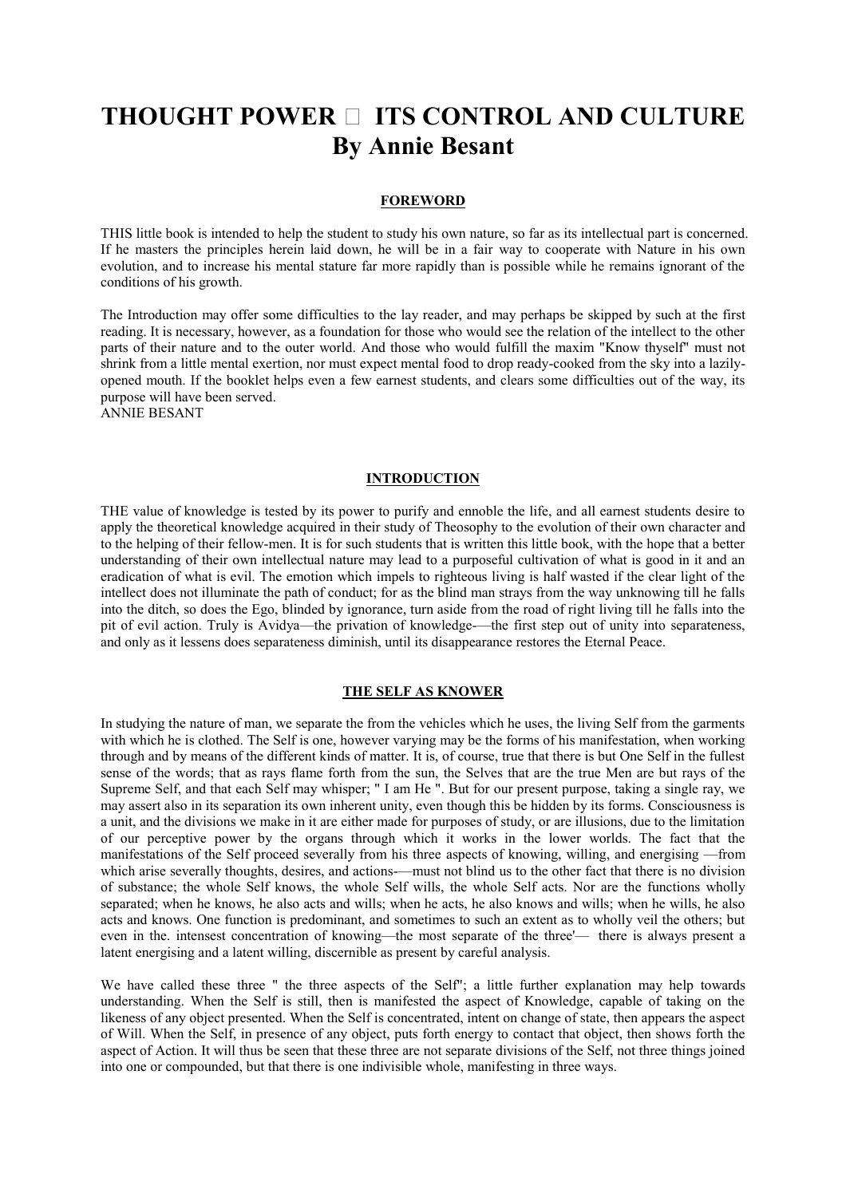# **THOUGHT POWER ITS CONTROL AND CULTURE By Annie Besant**

#### **FOREWORD**

THIS little book is intended to help the student to study his own nature, so far as its intellectual part is concerned. If he masters the principles herein laid down, he will be in a fair way to cooperate with Nature in his own evolution, and to increase his mental stature far more rapidly than is possible while he remains ignorant of the conditions of his growth.

The Introduction may offer some difficulties to the lay reader, and may perhaps be skipped by such at the first reading. It is necessary, however, as a foundation for those who would see the relation of the intellect to the other parts of their nature and to the outer world. And those who would fulfill the maxim "Know thyself" must not shrink from a little mental exertion, nor must expect mental food to drop ready-cooked from the sky into a lazilyopened mouth. If the booklet helps even a few earnest students, and clears some difficulties out of the way, its purpose will have been served. ANNIE BESANT

#### **INTRODUCTION**

THE value of knowledge is tested by its power to purify and ennoble the life, and all earnest students desire to apply the theoretical knowledge acquired in their study of Theosophy to the evolution of their own character and to the helping of their fellow-men. It is for such students that is written this little book, with the hope that a better understanding of their own intellectual nature may lead to a purposeful cultivation of what is good in it and an eradication of what is evil. The emotion which impels to righteous living is half wasted if the clear light of the intellect does not illuminate the path of conduct; for as the blind man strays from the way unknowing till he falls into the ditch, so does the Ego, blinded by ignorance, turn aside from the road of right living till he falls into the pit of evil action. Truly is Avidya—the privation of knowledge-—the first step out of unity into separateness, and only as it lessens does separateness diminish, until its disappearance restores the Eternal Peace.

#### **THE SELF AS KNOWER**

In studying the nature of man, we separate the from the vehicles which he uses, the living Self from the garments with which he is clothed. The Self is one, however varying may be the forms of his manifestation, when working through and by means of the different kinds of matter. It is, of course, true that there is but One Self in the fullest sense of the words; that as rays flame forth from the sun, the Selves that are the true Men are but rays of the Supreme Self, and that each Self may whisper; " I am He ". But for our present purpose, taking a single ray, we may assert also in its separation its own inherent unity, even though this be hidden by its forms. Consciousness is a unit, and the divisions we make in it are either made for purposes of study, or are illusions, due to the limitation of our perceptive power by the organs through which it works in the lower worlds. The fact that the manifestations of the Self proceed severally from his three aspects of knowing, willing, and energising —from which arise severally thoughts, desires, and actions-—must not blind us to the other fact that there is no division of substance; the whole Self knows, the whole Self wills, the whole Self acts. Nor are the functions wholly separated; when he knows, he also acts and wills; when he acts, he also knows and wills; when he wills, he also acts and knows. One function is predominant, and sometimes to such an extent as to wholly veil the others; but even in the. intensest concentration of knowing—the most separate of the three'— there is always present a latent energising and a latent willing, discernible as present by careful analysis.

We have called these three " the three aspects of the Self"; a little further explanation may help towards understanding. When the Self is still, then is manifested the aspect of Knowledge, capable of taking on the likeness of any object presented. When the Self is concentrated, intent on change of state, then appears the aspect of Will. When the Self, in presence of any object, puts forth energy to contact that object, then shows forth the aspect of Action. It will thus be seen that these three are not separate divisions of the Self, not three things joined into one or compounded, but that there is one indivisible whole, manifesting in three ways.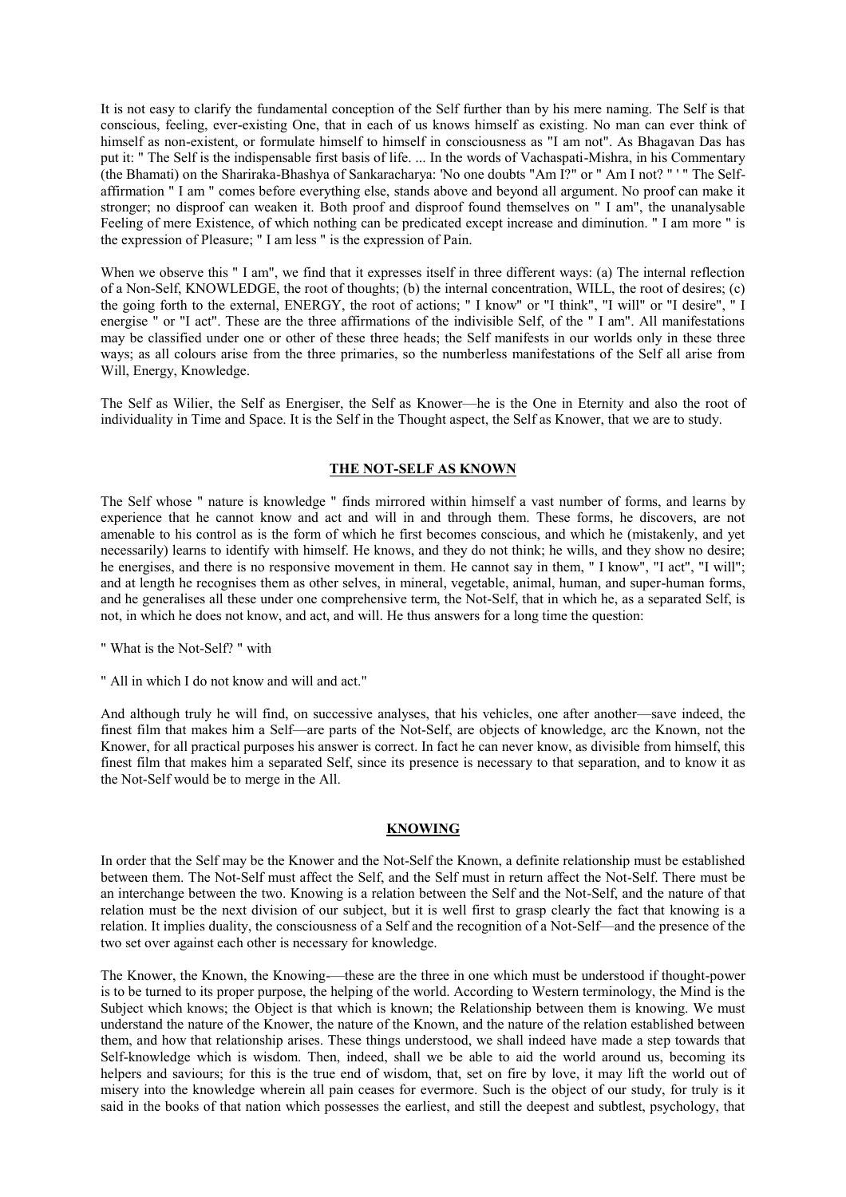It is not easy to clarify the fundamental conception of the Self further than by his mere naming. The Self is that conscious, feeling, ever-existing One, that in each of us knows himself as existing. No man can ever think of himself as non-existent, or formulate himself to himself in consciousness as "I am not". As Bhagavan Das has put it: " The Self is the indispensable first basis of life. ... In the words of Vachaspati-Mishra, in his Commentary (the Bhamati) on the Shariraka-Bhashya of Sankaracharya: 'No one doubts "Am I?" or " Am I not? " ' " The Selfaffirmation " I am " comes before everything else, stands above and beyond all argument. No proof can make it stronger; no disproof can weaken it. Both proof and disproof found themselves on " I am", the unanalysable Feeling of mere Existence, of which nothing can be predicated except increase and diminution. " I am more " is the expression of Pleasure; " I am less " is the expression of Pain.

When we observe this " I am", we find that it expresses itself in three different ways: (a) The internal reflection of a Non-Self, KNOWLEDGE, the root of thoughts; (b) the internal concentration, WILL, the root of desires; (c) the going forth to the external, ENERGY, the root of actions; " I know" or "I think", "I will" or "I desire", " I energise " or "I act". These are the three affirmations of the indivisible Self, of the " I am". All manifestations may be classified under one or other of these three heads; the Self manifests in our worlds only in these three ways; as all colours arise from the three primaries, so the numberless manifestations of the Self all arise from Will, Energy, Knowledge.

The Self as Wilier, the Self as Energiser, the Self as Knower—he is the One in Eternity and also the root of individuality in Time and Space. It is the Self in the Thought aspect, the Self as Knower, that we are to study.

## **THE NOT-SELF AS KNOWN**

The Self whose " nature is knowledge " finds mirrored within himself a vast number of forms, and learns by experience that he cannot know and act and will in and through them. These forms, he discovers, are not amenable to his control as is the form of which he first becomes conscious, and which he (mistakenly, and yet necessarily) learns to identify with himself. He knows, and they do not think; he wills, and they show no desire; he energises, and there is no responsive movement in them. He cannot say in them, " I know", "I act", "I will"; and at length he recognises them as other selves, in mineral, vegetable, animal, human, and super-human forms, and he generalises all these under one comprehensive term, the Not-Self, that in which he, as a separated Self, is not, in which he does not know, and act, and will. He thus answers for a long time the question:

- " What is the Not-Self? " with
- " All in which I do not know and will and act."

And although truly he will find, on successive analyses, that his vehicles, one after another—save indeed, the finest film that makes him a Self—are parts of the Not-Self, are objects of knowledge, arc the Known, not the Knower, for all practical purposes his answer is correct. In fact he can never know, as divisible from himself, this finest film that makes him a separated Self, since its presence is necessary to that separation, and to know it as the Not-Self would be to merge in the All.

## **KNOWING**

In order that the Self may be the Knower and the Not-Self the Known, a definite relationship must be established between them. The Not-Self must affect the Self, and the Self must in return affect the Not-Self. There must be an interchange between the two. Knowing is a relation between the Self and the Not-Self, and the nature of that relation must be the next division of our subject, but it is well first to grasp clearly the fact that knowing is a relation. It implies duality, the consciousness of a Self and the recognition of a Not-Self—and the presence of the two set over against each other is necessary for knowledge.

The Knower, the Known, the Knowing-—these are the three in one which must be understood if thought-power is to be turned to its proper purpose, the helping of the world. According to Western terminology, the Mind is the Subject which knows; the Object is that which is known; the Relationship between them is knowing. We must understand the nature of the Knower, the nature of the Known, and the nature of the relation established between them, and how that relationship arises. These things understood, we shall indeed have made a step towards that Self-knowledge which is wisdom. Then, indeed, shall we be able to aid the world around us, becoming its helpers and saviours; for this is the true end of wisdom, that, set on fire by love, it may lift the world out of misery into the knowledge wherein all pain ceases for evermore. Such is the object of our study, for truly is it said in the books of that nation which possesses the earliest, and still the deepest and subtlest, psychology, that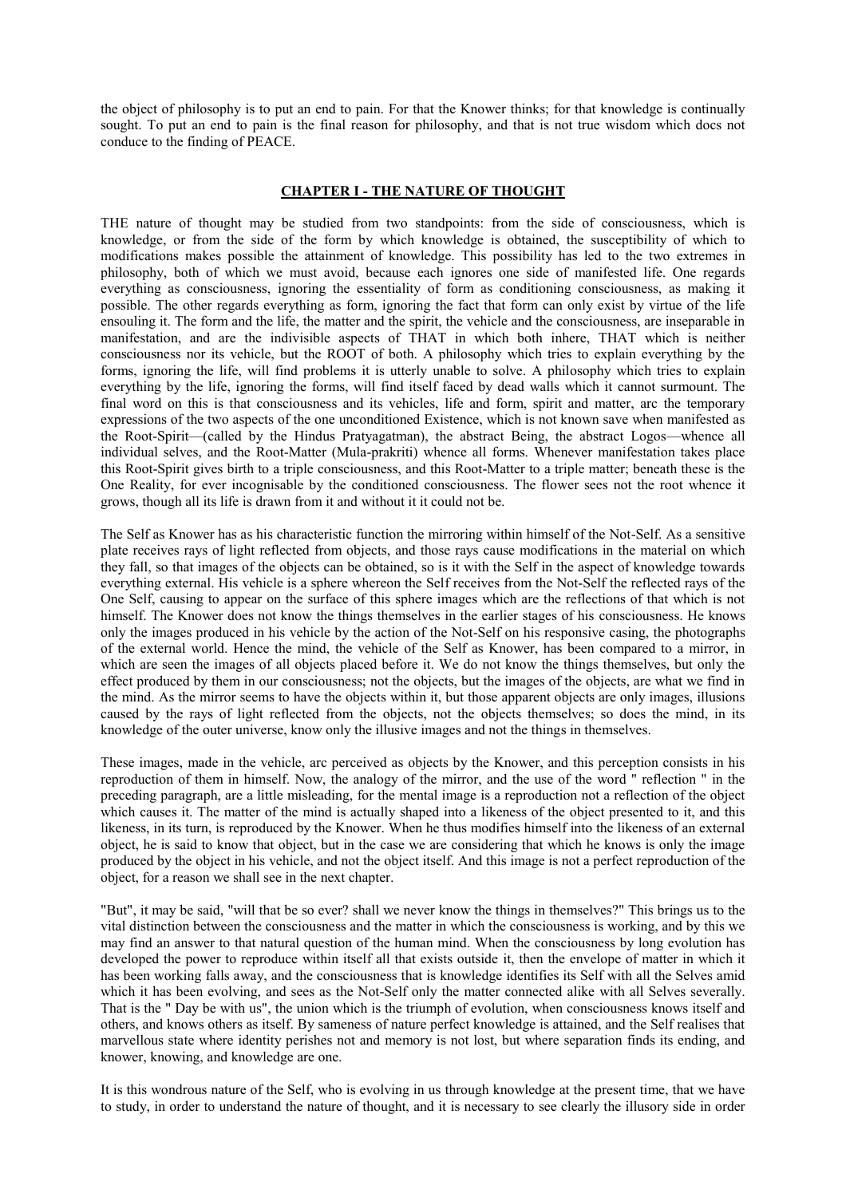the object of philosophy is to put an end to pain. For that the Knower thinks; for that knowledge is continually sought. To put an end to pain is the final reason for philosophy, and that is not true wisdom which docs not conduce to the finding of PEACE.

#### **CHAPTER I - THE NATURE OF THOUGHT**

THE nature of thought may be studied from two standpoints: from the side of consciousness, which is knowledge, or from the side of the form by which knowledge is obtained, the susceptibility of which to modifications makes possible the attainment of knowledge. This possibility has led to the two extremes in philosophy, both of which we must avoid, because each ignores one side of manifested life. One regards everything as consciousness, ignoring the essentiality of form as conditioning consciousness, as making it possible. The other regards everything as form, ignoring the fact that form can only exist by virtue of the life ensouling it. The form and the life, the matter and the spirit, the vehicle and the consciousness, are inseparable in manifestation, and are the indivisible aspects of THAT in which both inhere, THAT which is neither consciousness nor its vehicle, but the ROOT of both. A philosophy which tries to explain everything by the forms, ignoring the life, will find problems it is utterly unable to solve. A philosophy which tries to explain everything by the life, ignoring the forms, will find itself faced by dead walls which it cannot surmount. The final word on this is that consciousness and its vehicles, life and form, spirit and matter, arc the temporary expressions of the two aspects of the one unconditioned Existence, which is not known save when manifested as the Root-Spirit—(called by the Hindus Pratyagatman), the abstract Being, the abstract Logos—whence all individual selves, and the Root-Matter (Mula-prakriti) whence all forms. Whenever manifestation takes place this Root-Spirit gives birth to a triple consciousness, and this Root-Matter to a triple matter; beneath these is the One Reality, for ever incognisable by the conditioned consciousness. The flower sees not the root whence it grows, though all its life is drawn from it and without it it could not be.

The Self as Knower has as his characteristic function the mirroring within himself of the Not-Self. As a sensitive plate receives rays of light reflected from objects, and those rays cause modifications in the material on which they fall, so that images of the objects can be obtained, so is it with the Self in the aspect of knowledge towards everything external. His vehicle is a sphere whereon the Self receives from the Not-Self the reflected rays of the One Self, causing to appear on the surface of this sphere images which are the reflections of that which is not himself. The Knower does not know the things themselves in the earlier stages of his consciousness. He knows only the images produced in his vehicle by the action of the Not-Self on his responsive casing, the photographs of the external world. Hence the mind, the vehicle of the Self as Knower, has been compared to a mirror, in which are seen the images of all objects placed before it. We do not know the things themselves, but only the effect produced by them in our consciousness; not the objects, but the images of the objects, are what we find in the mind. As the mirror seems to have the objects within it, but those apparent objects are only images, illusions caused by the rays of light reflected from the objects, not the objects themselves; so does the mind, in its knowledge of the outer universe, know only the illusive images and not the things in themselves.

These images, made in the vehicle, arc perceived as objects by the Knower, and this perception consists in his reproduction of them in himself. Now, the analogy of the mirror, and the use of the word " reflection " in the preceding paragraph, are a little misleading, for the mental image is a reproduction not a reflection of the object which causes it. The matter of the mind is actually shaped into a likeness of the object presented to it, and this likeness, in its turn, is reproduced by the Knower. When he thus modifies himself into the likeness of an external object, he is said to know that object, but in the case we are considering that which he knows is only the image produced by the object in his vehicle, and not the object itself. And this image is not a perfect reproduction of the object, for a reason we shall see in the next chapter.

"But", it may be said, "will that be so ever? shall we never know the things in themselves?" This brings us to the vital distinction between the consciousness and the matter in which the consciousness is working, and by this we may find an answer to that natural question of the human mind. When the consciousness by long evolution has developed the power to reproduce within itself all that exists outside it, then the envelope of matter in which it has been working falls away, and the consciousness that is knowledge identifies its Self with all the Selves amid which it has been evolving, and sees as the Not-Self only the matter connected alike with all Selves severally. That is the " Day be with us", the union which is the triumph of evolution, when consciousness knows itself and others, and knows others as itself. By sameness of nature perfect knowledge is attained, and the Self realises that marvellous state where identity perishes not and memory is not lost, but where separation finds its ending, and knower, knowing, and knowledge are one.

It is this wondrous nature of the Self, who is evolving in us through knowledge at the present time, that we have to study, in order to understand the nature of thought, and it is necessary to see clearly the illusory side in order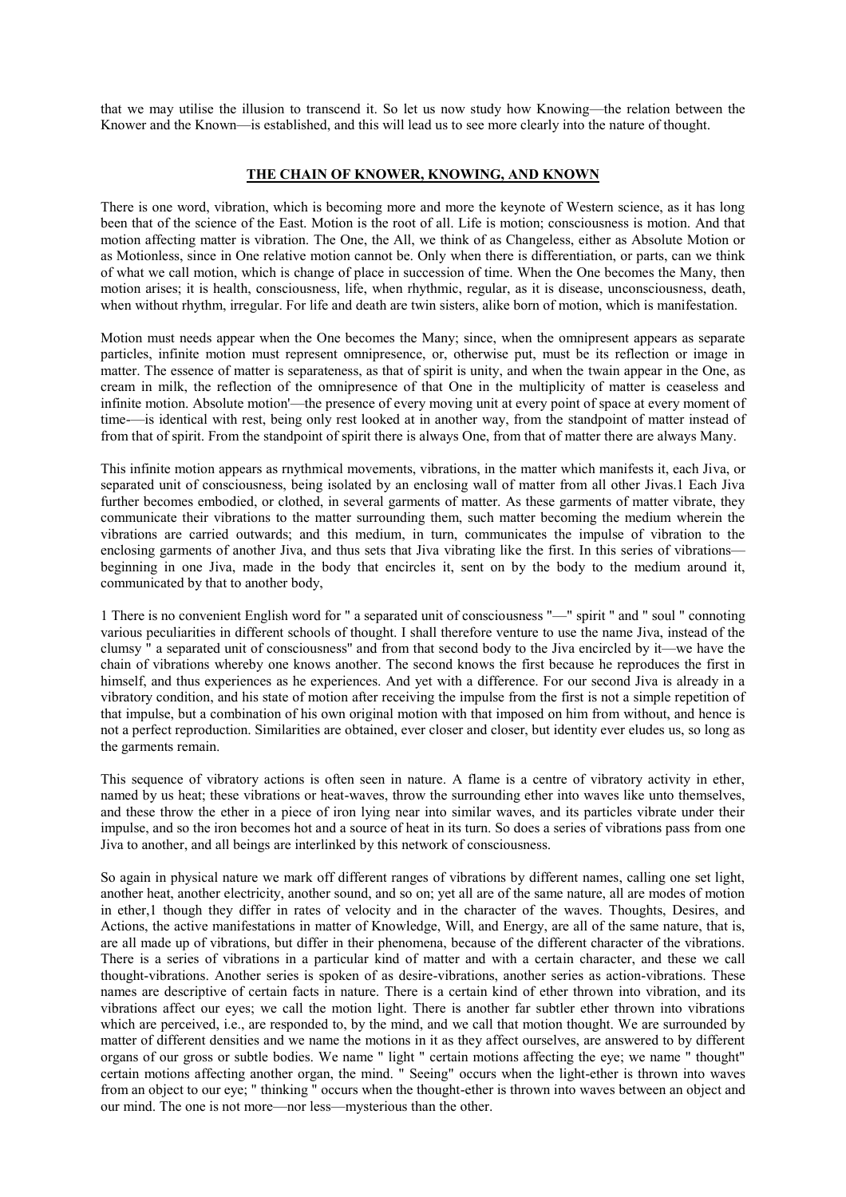that we may utilise the illusion to transcend it. So let us now study how Knowing—the relation between the Knower and the Known—is established, and this will lead us to see more clearly into the nature of thought.

#### **THE CHAIN OF KNOWER, KNOWING, AND KNOWN**

There is one word, vibration, which is becoming more and more the keynote of Western science, as it has long been that of the science of the East. Motion is the root of all. Life is motion; consciousness is motion. And that motion affecting matter is vibration. The One, the All, we think of as Changeless, either as Absolute Motion or as Motionless, since in One relative motion cannot be. Only when there is differentiation, or parts, can we think of what we call motion, which is change of place in succession of time. When the One becomes the Many, then motion arises; it is health, consciousness, life, when rhythmic, regular, as it is disease, unconsciousness, death, when without rhythm, irregular. For life and death are twin sisters, alike born of motion, which is manifestation.

Motion must needs appear when the One becomes the Many; since, when the omnipresent appears as separate particles, infinite motion must represent omnipresence, or, otherwise put, must be its reflection or image in matter. The essence of matter is separateness, as that of spirit is unity, and when the twain appear in the One, as cream in milk, the reflection of the omnipresence of that One in the multiplicity of matter is ceaseless and infinite motion. Absolute motion'—the presence of every moving unit at every point of space at every moment of time-—is identical with rest, being only rest looked at in another way, from the standpoint of matter instead of from that of spirit. From the standpoint of spirit there is always One, from that of matter there are always Many.

This infinite motion appears as rnythmical movements, vibrations, in the matter which manifests it, each Jiva, or separated unit of consciousness, being isolated by an enclosing wall of matter from all other Jivas.1 Each Jiva further becomes embodied, or clothed, in several garments of matter. As these garments of matter vibrate, they communicate their vibrations to the matter surrounding them, such matter becoming the medium wherein the vibrations are carried outwards; and this medium, in turn, communicates the impulse of vibration to the enclosing garments of another Jiva, and thus sets that Jiva vibrating like the first. In this series of vibrations beginning in one Jiva, made in the body that encircles it, sent on by the body to the medium around it, communicated by that to another body,

1 There is no convenient English word for " a separated unit of consciousness "—" spirit " and " soul " connoting various peculiarities in different schools of thought. I shall therefore venture to use the name Jiva, instead of the clumsy " a separated unit of consciousness'' and from that second body to the Jiva encircled by it—we have the chain of vibrations whereby one knows another. The second knows the first because he reproduces the first in himself, and thus experiences as he experiences. And yet with a difference. For our second Jiva is already in a vibratory condition, and his state of motion after receiving the impulse from the first is not a simple repetition of that impulse, but a combination of his own original motion with that imposed on him from without, and hence is not a perfect reproduction. Similarities are obtained, ever closer and closer, but identity ever eludes us, so long as the garments remain.

This sequence of vibratory actions is often seen in nature. A flame is a centre of vibratory activity in ether, named by us heat; these vibrations or heat-waves, throw the surrounding ether into waves like unto themselves, and these throw the ether in a piece of iron lying near into similar waves, and its particles vibrate under their impulse, and so the iron becomes hot and a source of heat in its turn. So does a series of vibrations pass from one Jiva to another, and all beings are interlinked by this network of consciousness.

So again in physical nature we mark off different ranges of vibrations by different names, calling one set light, another heat, another electricity, another sound, and so on; yet all are of the same nature, all are modes of motion in ether,1 though they differ in rates of velocity and in the character of the waves. Thoughts, Desires, and Actions, the active manifestations in matter of Knowledge, Will, and Energy, are all of the same nature, that is, are all made up of vibrations, but differ in their phenomena, because of the different character of the vibrations. There is a series of vibrations in a particular kind of matter and with a certain character, and these we call thought-vibrations. Another series is spoken of as desire-vibrations, another series as action-vibrations. These names are descriptive of certain facts in nature. There is a certain kind of ether thrown into vibration, and its vibrations affect our eyes; we call the motion light. There is another far subtler ether thrown into vibrations which are perceived, i.e., are responded to, by the mind, and we call that motion thought. We are surrounded by matter of different densities and we name the motions in it as they affect ourselves, are answered to by different organs of our gross or subtle bodies. We name " light " certain motions affecting the eye; we name " thought" certain motions affecting another organ, the mind. " Seeing" occurs when the light-ether is thrown into waves from an object to our eye; " thinking " occurs when the thought-ether is thrown into waves between an object and our mind. The one is not more—nor less—mysterious than the other.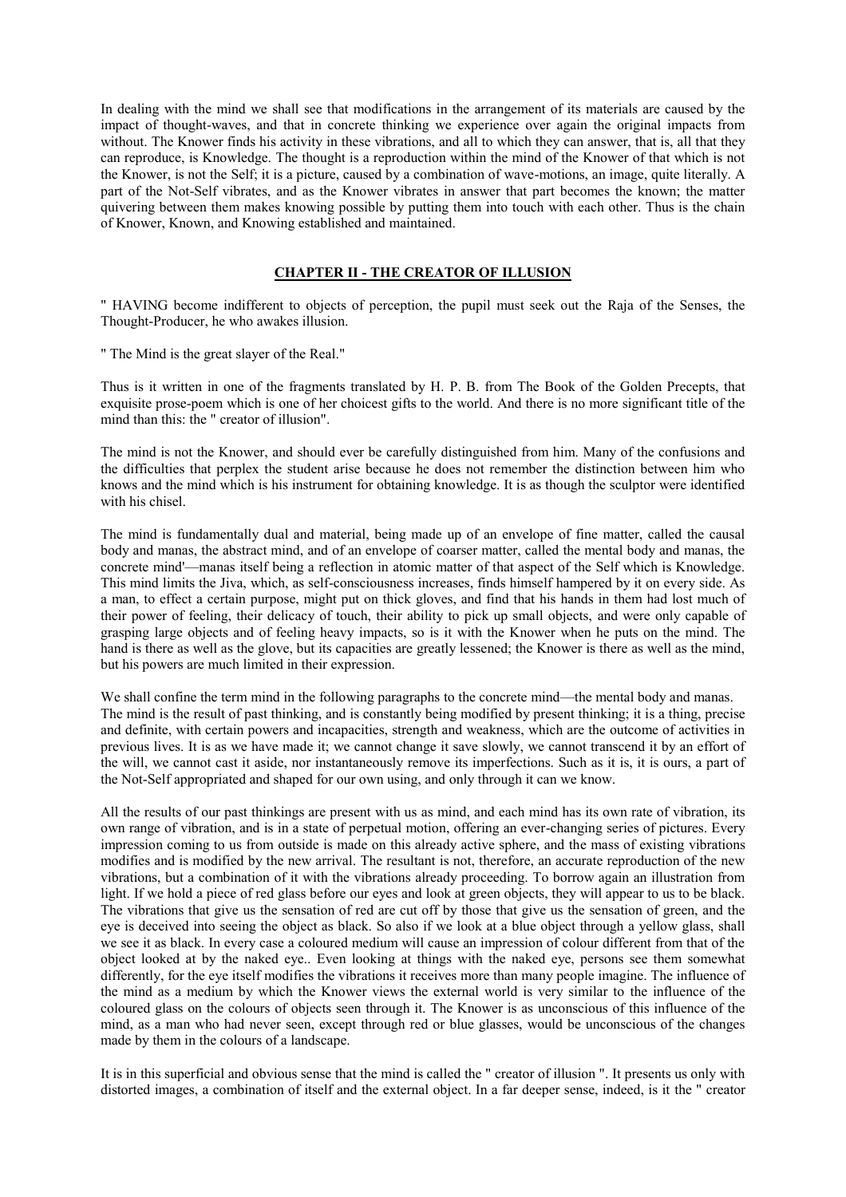In dealing with the mind we shall see that modifications in the arrangement of its materials are caused by the impact of thought-waves, and that in concrete thinking we experience over again the original impacts from without. The Knower finds his activity in these vibrations, and all to which they can answer, that is, all that they can reproduce, is Knowledge. The thought is a reproduction within the mind of the Knower of that which is not the Knower, is not the Self; it is a picture, caused by a combination of wave-motions, an image, quite literally. A part of the Not-Self vibrates, and as the Knower vibrates in answer that part becomes the known; the matter quivering between them makes knowing possible by putting them into touch with each other. Thus is the chain of Knower, Known, and Knowing established and maintained.

## **CHAPTER II - THE CREATOR OF ILLUSION**

" HAVING become indifferent to objects of perception, the pupil must seek out the Raja of the Senses, the Thought-Producer, he who awakes illusion.

" The Mind is the great slayer of the Real."

Thus is it written in one of the fragments translated by H. P. B. from The Book of the Golden Precepts, that exquisite prose-poem which is one of her choicest gifts to the world. And there is no more significant title of the mind than this: the " creator of illusion".

The mind is not the Knower, and should ever be carefully distinguished from him. Many of the confusions and the difficulties that perplex the student arise because he does not remember the distinction between him who knows and the mind which is his instrument for obtaining knowledge. It is as though the sculptor were identified with his chisel.

The mind is fundamentally dual and material, being made up of an envelope of fine matter, called the causal body and manas, the abstract mind, and of an envelope of coarser matter, called the mental body and manas, the concrete mind'—manas itself being a reflection in atomic matter of that aspect of the Self which is Knowledge. This mind limits the Jiva, which, as self-consciousness increases, finds himself hampered by it on every side. As a man, to effect a certain purpose, might put on thick gloves, and find that his hands in them had lost much of their power of feeling, their delicacy of touch, their ability to pick up small objects, and were only capable of grasping large objects and of feeling heavy impacts, so is it with the Knower when he puts on the mind. The hand is there as well as the glove, but its capacities are greatly lessened; the Knower is there as well as the mind, but his powers are much limited in their expression.

We shall confine the term mind in the following paragraphs to the concrete mind—the mental body and manas. The mind is the result of past thinking, and is constantly being modified by present thinking; it is a thing, precise and definite, with certain powers and incapacities, strength and weakness, which are the outcome of activities in previous lives. It is as we have made it; we cannot change it save slowly, we cannot transcend it by an effort of the will, we cannot cast it aside, nor instantaneously remove its imperfections. Such as it is, it is ours, a part of the Not-Self appropriated and shaped for our own using, and only through it can we know.

All the results of our past thinkings are present with us as mind, and each mind has its own rate of vibration, its own range of vibration, and is in a state of perpetual motion, offering an ever-changing series of pictures. Every impression coming to us from outside is made on this already active sphere, and the mass of existing vibrations modifies and is modified by the new arrival. The resultant is not, therefore, an accurate reproduction of the new vibrations, but a combination of it with the vibrations already proceeding. To borrow again an illustration from light. If we hold a piece of red glass before our eyes and look at green objects, they will appear to us to be black. The vibrations that give us the sensation of red are cut off by those that give us the sensation of green, and the eye is deceived into seeing the object as black. So also if we look at a blue object through a yellow glass, shall we see it as black. In every case a coloured medium will cause an impression of colour different from that of the object looked at by the naked eye.. Even looking at things with the naked eye, persons see them somewhat differently, for the eye itself modifies the vibrations it receives more than many people imagine. The influence of the mind as a medium by which the Knower views the external world is very similar to the influence of the coloured glass on the colours of objects seen through it. The Knower is as unconscious of this influence of the mind, as a man who had never seen, except through red or blue glasses, would be unconscious of the changes made by them in the colours of a landscape.

It is in this superficial and obvious sense that the mind is called the " creator of illusion ". It presents us only with distorted images, a combination of itself and the external object. In a far deeper sense, indeed, is it the " creator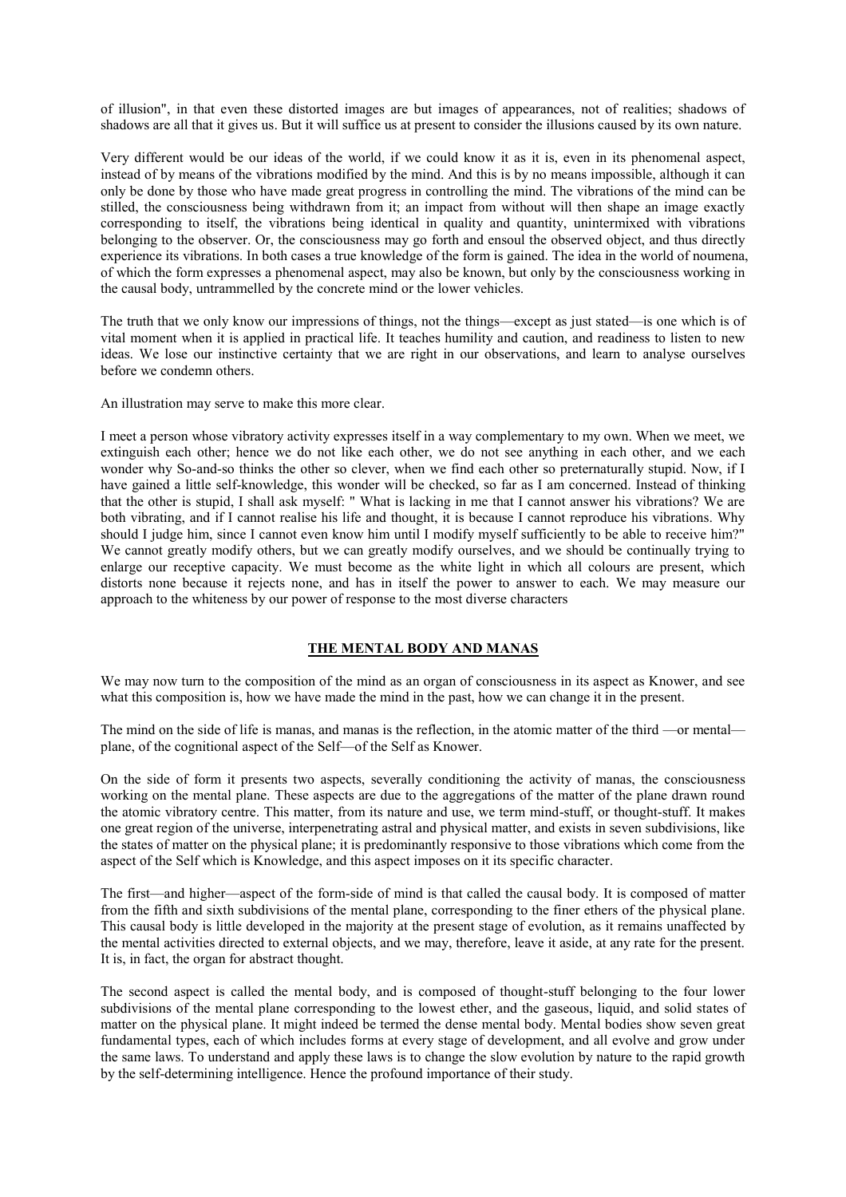of illusion", in that even these distorted images are but images of appearances, not of realities; shadows of shadows are all that it gives us. But it will suffice us at present to consider the illusions caused by its own nature.

Very different would be our ideas of the world, if we could know it as it is, even in its phenomenal aspect, instead of by means of the vibrations modified by the mind. And this is by no means impossible, although it can only be done by those who have made great progress in controlling the mind. The vibrations of the mind can be stilled, the consciousness being withdrawn from it; an impact from without will then shape an image exactly corresponding to itself, the vibrations being identical in quality and quantity, unintermixed with vibrations belonging to the observer. Or, the consciousness may go forth and ensoul the observed object, and thus directly experience its vibrations. In both cases a true knowledge of the form is gained. The idea in the world of noumena, of which the form expresses a phenomenal aspect, may also be known, but only by the consciousness working in the causal body, untrammelled by the concrete mind or the lower vehicles.

The truth that we only know our impressions of things, not the things—except as just stated—is one which is of vital moment when it is applied in practical life. It teaches humility and caution, and readiness to listen to new ideas. We lose our instinctive certainty that we are right in our observations, and learn to analyse ourselves before we condemn others.

An illustration may serve to make this more clear.

I meet a person whose vibratory activity expresses itself in a way complementary to my own. When we meet, we extinguish each other; hence we do not like each other, we do not see anything in each other, and we each wonder why So-and-so thinks the other so clever, when we find each other so preternaturally stupid. Now, if I have gained a little self-knowledge, this wonder will be checked, so far as I am concerned. Instead of thinking that the other is stupid, I shall ask myself: " What is lacking in me that I cannot answer his vibrations? We are both vibrating, and if I cannot realise his life and thought, it is because I cannot reproduce his vibrations. Why should I judge him, since I cannot even know him until I modify myself sufficiently to be able to receive him?" We cannot greatly modify others, but we can greatly modify ourselves, and we should be continually trying to enlarge our receptive capacity. We must become as the white light in which all colours are present, which distorts none because it rejects none, and has in itself the power to answer to each. We may measure our approach to the whiteness by our power of response to the most diverse characters

## **THE MENTAL BODY AND MANAS**

We may now turn to the composition of the mind as an organ of consciousness in its aspect as Knower, and see what this composition is, how we have made the mind in the past, how we can change it in the present.

The mind on the side of life is manas, and manas is the reflection, in the atomic matter of the third —or mental plane, of the cognitional aspect of the Self—of the Self as Knower.

On the side of form it presents two aspects, severally conditioning the activity of manas, the consciousness working on the mental plane. These aspects are due to the aggregations of the matter of the plane drawn round the atomic vibratory centre. This matter, from its nature and use, we term mind-stuff, or thought-stuff. It makes one great region of the universe, interpenetrating astral and physical matter, and exists in seven subdivisions, like the states of matter on the physical plane; it is predominantly responsive to those vibrations which come from the aspect of the Self which is Knowledge, and this aspect imposes on it its specific character.

The first—and higher—aspect of the form-side of mind is that called the causal body. It is composed of matter from the fifth and sixth subdivisions of the mental plane, corresponding to the finer ethers of the physical plane. This causal body is little developed in the majority at the present stage of evolution, as it remains unaffected by the mental activities directed to external objects, and we may, therefore, leave it aside, at any rate for the present. It is, in fact, the organ for abstract thought.

The second aspect is called the mental body, and is composed of thought-stuff belonging to the four lower subdivisions of the mental plane corresponding to the lowest ether, and the gaseous, liquid, and solid states of matter on the physical plane. It might indeed be termed the dense mental body. Mental bodies show seven great fundamental types, each of which includes forms at every stage of development, and all evolve and grow under the same laws. To understand and apply these laws is to change the slow evolution by nature to the rapid growth by the self-determining intelligence. Hence the profound importance of their study.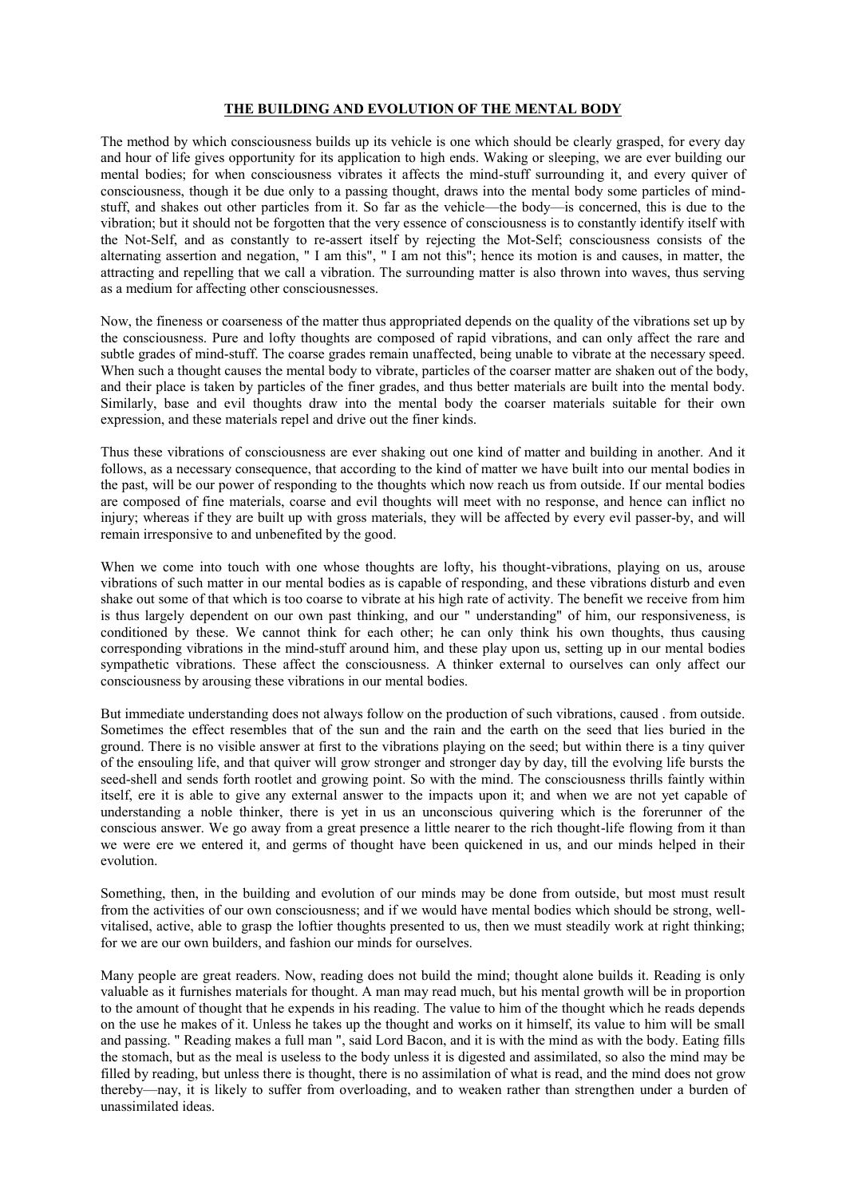#### **THE BUILDING AND EVOLUTION OF THE MENTAL BODY**

The method by which consciousness builds up its vehicle is one which should be clearly grasped, for every day and hour of life gives opportunity for its application to high ends. Waking or sleeping, we are ever building our mental bodies; for when consciousness vibrates it affects the mind-stuff surrounding it, and every quiver of consciousness, though it be due only to a passing thought, draws into the mental body some particles of mindstuff, and shakes out other particles from it. So far as the vehicle—the body—is concerned, this is due to the vibration; but it should not be forgotten that the very essence of consciousness is to constantly identify itself with the Not-Self, and as constantly to re-assert itself by rejecting the Mot-Self; consciousness consists of the alternating assertion and negation, " I am this", " I am not this"; hence its motion is and causes, in matter, the attracting and repelling that we call a vibration. The surrounding matter is also thrown into waves, thus serving as a medium for affecting other consciousnesses.

Now, the fineness or coarseness of the matter thus appropriated depends on the quality of the vibrations set up by the consciousness. Pure and lofty thoughts are composed of rapid vibrations, and can only affect the rare and subtle grades of mind-stuff. The coarse grades remain unaffected, being unable to vibrate at the necessary speed. When such a thought causes the mental body to vibrate, particles of the coarser matter are shaken out of the body, and their place is taken by particles of the finer grades, and thus better materials are built into the mental body. Similarly, base and evil thoughts draw into the mental body the coarser materials suitable for their own expression, and these materials repel and drive out the finer kinds.

Thus these vibrations of consciousness are ever shaking out one kind of matter and building in another. And it follows, as a necessary consequence, that according to the kind of matter we have built into our mental bodies in the past, will be our power of responding to the thoughts which now reach us from outside. If our mental bodies are composed of fine materials, coarse and evil thoughts will meet with no response, and hence can inflict no injury; whereas if they are built up with gross materials, they will be affected by every evil passer-by, and will remain irresponsive to and unbenefited by the good.

When we come into touch with one whose thoughts are lofty, his thought-vibrations, playing on us, arouse vibrations of such matter in our mental bodies as is capable of responding, and these vibrations disturb and even shake out some of that which is too coarse to vibrate at his high rate of activity. The benefit we receive from him is thus largely dependent on our own past thinking, and our " understanding" of him, our responsiveness, is conditioned by these. We cannot think for each other; he can only think his own thoughts, thus causing corresponding vibrations in the mind-stuff around him, and these play upon us, setting up in our mental bodies sympathetic vibrations. These affect the consciousness. A thinker external to ourselves can only affect our consciousness by arousing these vibrations in our mental bodies.

But immediate understanding does not always follow on the production of such vibrations, caused . from outside. Sometimes the effect resembles that of the sun and the rain and the earth on the seed that lies buried in the ground. There is no visible answer at first to the vibrations playing on the seed; but within there is a tiny quiver of the ensouling life, and that quiver will grow stronger and stronger day by day, till the evolving life bursts the seed-shell and sends forth rootlet and growing point. So with the mind. The consciousness thrills faintly within itself, ere it is able to give any external answer to the impacts upon it; and when we are not yet capable of understanding a noble thinker, there is yet in us an unconscious quivering which is the forerunner of the conscious answer. We go away from a great presence a little nearer to the rich thought-life flowing from it than we were ere we entered it, and germs of thought have been quickened in us, and our minds helped in their evolution.

Something, then, in the building and evolution of our minds may be done from outside, but most must result from the activities of our own consciousness; and if we would have mental bodies which should be strong, wellvitalised, active, able to grasp the loftier thoughts presented to us, then we must steadily work at right thinking; for we are our own builders, and fashion our minds for ourselves.

Many people are great readers. Now, reading does not build the mind; thought alone builds it. Reading is only valuable as it furnishes materials for thought. A man may read much, but his mental growth will be in proportion to the amount of thought that he expends in his reading. The value to him of the thought which he reads depends on the use he makes of it. Unless he takes up the thought and works on it himself, its value to him will be small and passing. " Reading makes a full man ", said Lord Bacon, and it is with the mind as with the body. Eating fills the stomach, but as the meal is useless to the body unless it is digested and assimilated, so also the mind may be filled by reading, but unless there is thought, there is no assimilation of what is read, and the mind does not grow thereby—nay, it is likely to suffer from overloading, and to weaken rather than strengthen under a burden of unassimilated ideas.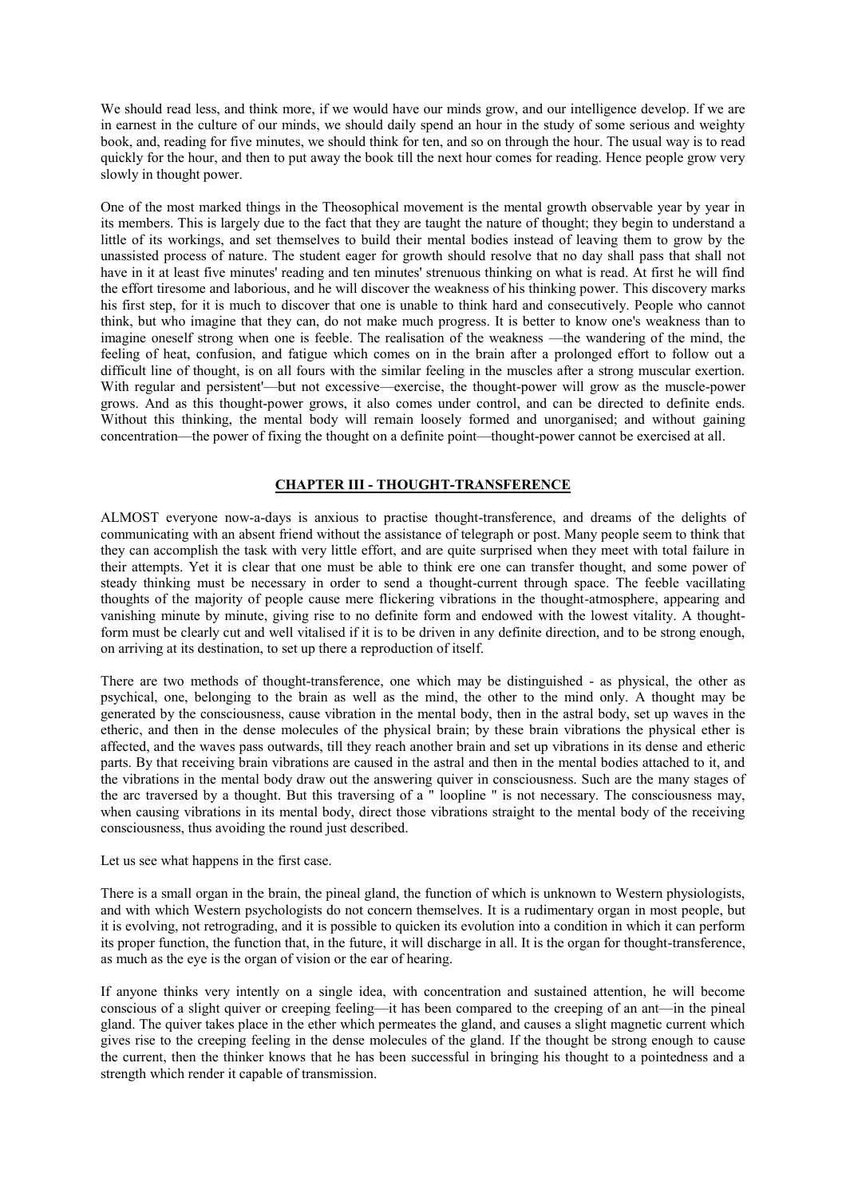We should read less, and think more, if we would have our minds grow, and our intelligence develop. If we are in earnest in the culture of our minds, we should daily spend an hour in the study of some serious and weighty book, and, reading for five minutes, we should think for ten, and so on through the hour. The usual way is to read quickly for the hour, and then to put away the book till the next hour comes for reading. Hence people grow very slowly in thought power.

One of the most marked things in the Theosophical movement is the mental growth observable year by year in its members. This is largely due to the fact that they are taught the nature of thought; they begin to understand a little of its workings, and set themselves to build their mental bodies instead of leaving them to grow by the unassisted process of nature. The student eager for growth should resolve that no day shall pass that shall not have in it at least five minutes' reading and ten minutes' strenuous thinking on what is read. At first he will find the effort tiresome and laborious, and he will discover the weakness of his thinking power. This discovery marks his first step, for it is much to discover that one is unable to think hard and consecutively. People who cannot think, but who imagine that they can, do not make much progress. It is better to know one's weakness than to imagine oneself strong when one is feeble. The realisation of the weakness —the wandering of the mind, the feeling of heat, confusion, and fatigue which comes on in the brain after a prolonged effort to follow out a difficult line of thought, is on all fours with the similar feeling in the muscles after a strong muscular exertion. With regular and persistent'—but not excessive—exercise, the thought-power will grow as the muscle-power grows. And as this thought-power grows, it also comes under control, and can be directed to definite ends. Without this thinking, the mental body will remain loosely formed and unorganised; and without gaining concentration—the power of fixing the thought on a definite point—thought-power cannot be exercised at all.

## **CHAPTER III - THOUGHT-TRANSFERENCE**

ALMOST everyone now-a-days is anxious to practise thought-transference, and dreams of the delights of communicating with an absent friend without the assistance of telegraph or post. Many people seem to think that they can accomplish the task with very little effort, and are quite surprised when they meet with total failure in their attempts. Yet it is clear that one must be able to think ere one can transfer thought, and some power of steady thinking must be necessary in order to send a thought-current through space. The feeble vacillating thoughts of the majority of people cause mere flickering vibrations in the thought-atmosphere, appearing and vanishing minute by minute, giving rise to no definite form and endowed with the lowest vitality. A thoughtform must be clearly cut and well vitalised if it is to be driven in any definite direction, and to be strong enough, on arriving at its destination, to set up there a reproduction of itself.

There are two methods of thought-transference, one which may be distinguished - as physical, the other as psychical, one, belonging to the brain as well as the mind, the other to the mind only. A thought may be generated by the consciousness, cause vibration in the mental body, then in the astral body, set up waves in the etheric, and then in the dense molecules of the physical brain; by these brain vibrations the physical ether is affected, and the waves pass outwards, till they reach another brain and set up vibrations in its dense and etheric parts. By that receiving brain vibrations are caused in the astral and then in the mental bodies attached to it, and the vibrations in the mental body draw out the answering quiver in consciousness. Such are the many stages of the arc traversed by a thought. But this traversing of a " loopline " is not necessary. The consciousness may, when causing vibrations in its mental body, direct those vibrations straight to the mental body of the receiving consciousness, thus avoiding the round just described.

#### Let us see what happens in the first case.

There is a small organ in the brain, the pineal gland, the function of which is unknown to Western physiologists, and with which Western psychologists do not concern themselves. It is a rudimentary organ in most people, but it is evolving, not retrograding, and it is possible to quicken its evolution into a condition in which it can perform its proper function, the function that, in the future, it will discharge in all. It is the organ for thought-transference, as much as the eye is the organ of vision or the ear of hearing.

If anyone thinks very intently on a single idea, with concentration and sustained attention, he will become conscious of a slight quiver or creeping feeling—it has been compared to the creeping of an ant—in the pineal gland. The quiver takes place in the ether which permeates the gland, and causes a slight magnetic current which gives rise to the creeping feeling in the dense molecules of the gland. If the thought be strong enough to cause the current, then the thinker knows that he has been successful in bringing his thought to a pointedness and a strength which render it capable of transmission.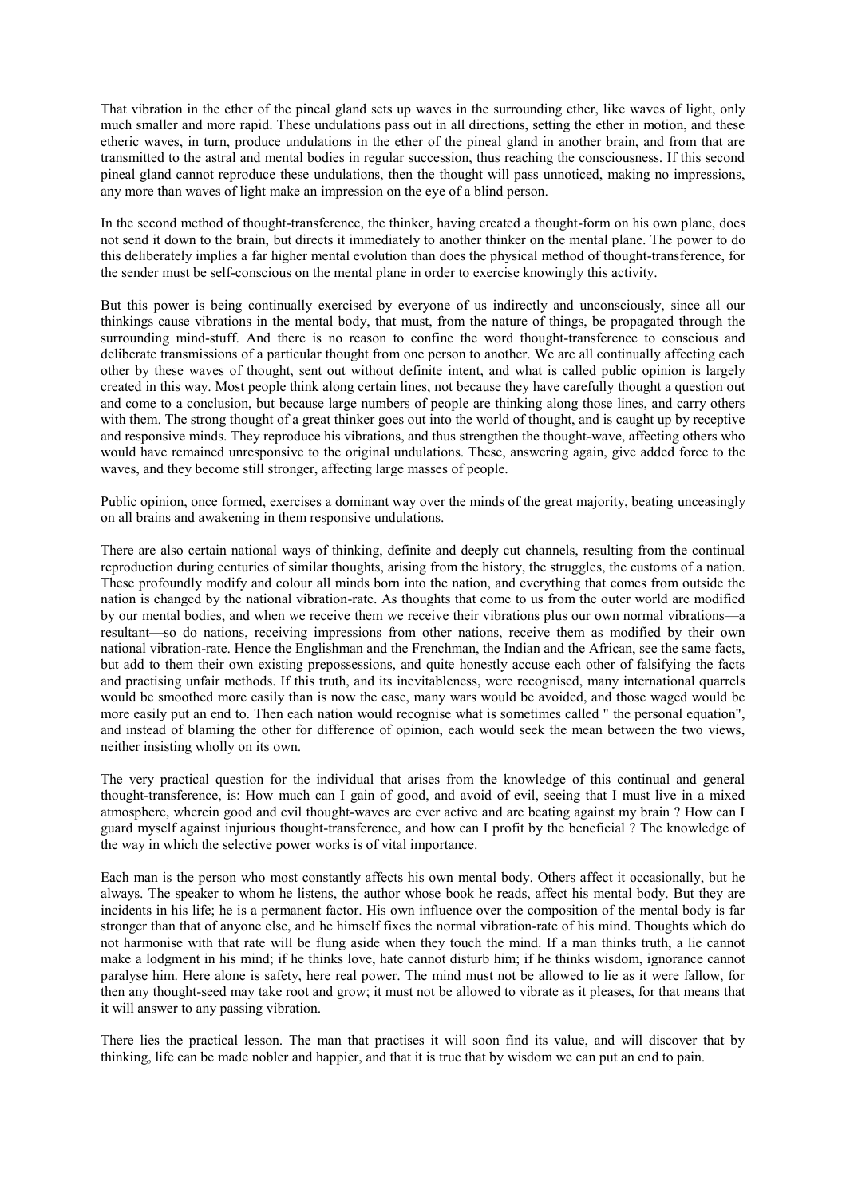That vibration in the ether of the pineal gland sets up waves in the surrounding ether, like waves of light, only much smaller and more rapid. These undulations pass out in all directions, setting the ether in motion, and these etheric waves, in turn, produce undulations in the ether of the pineal gland in another brain, and from that are transmitted to the astral and mental bodies in regular succession, thus reaching the consciousness. If this second pineal gland cannot reproduce these undulations, then the thought will pass unnoticed, making no impressions, any more than waves of light make an impression on the eye of a blind person.

In the second method of thought-transference, the thinker, having created a thought-form on his own plane, does not send it down to the brain, but directs it immediately to another thinker on the mental plane. The power to do this deliberately implies a far higher mental evolution than does the physical method of thought-transference, for the sender must be self-conscious on the mental plane in order to exercise knowingly this activity.

But this power is being continually exercised by everyone of us indirectly and unconsciously, since all our thinkings cause vibrations in the mental body, that must, from the nature of things, be propagated through the surrounding mind-stuff. And there is no reason to confine the word thought-transference to conscious and deliberate transmissions of a particular thought from one person to another. We are all continually affecting each other by these waves of thought, sent out without definite intent, and what is called public opinion is largely created in this way. Most people think along certain lines, not because they have carefully thought a question out and come to a conclusion, but because large numbers of people are thinking along those lines, and carry others with them. The strong thought of a great thinker goes out into the world of thought, and is caught up by receptive and responsive minds. They reproduce his vibrations, and thus strengthen the thought-wave, affecting others who would have remained unresponsive to the original undulations. These, answering again, give added force to the waves, and they become still stronger, affecting large masses of people.

Public opinion, once formed, exercises a dominant way over the minds of the great majority, beating unceasingly on all brains and awakening in them responsive undulations.

There are also certain national ways of thinking, definite and deeply cut channels, resulting from the continual reproduction during centuries of similar thoughts, arising from the history, the struggles, the customs of a nation. These profoundly modify and colour all minds born into the nation, and everything that comes from outside the nation is changed by the national vibration-rate. As thoughts that come to us from the outer world are modified by our mental bodies, and when we receive them we receive their vibrations plus our own normal vibrations—a resultant—so do nations, receiving impressions from other nations, receive them as modified by their own national vibration-rate. Hence the Englishman and the Frenchman, the Indian and the African, see the same facts, but add to them their own existing prepossessions, and quite honestly accuse each other of falsifying the facts and practising unfair methods. If this truth, and its inevitableness, were recognised, many international quarrels would be smoothed more easily than is now the case, many wars would be avoided, and those waged would be more easily put an end to. Then each nation would recognise what is sometimes called " the personal equation", and instead of blaming the other for difference of opinion, each would seek the mean between the two views, neither insisting wholly on its own.

The very practical question for the individual that arises from the knowledge of this continual and general thought-transference, is: How much can I gain of good, and avoid of evil, seeing that I must live in a mixed atmosphere, wherein good and evil thought-waves are ever active and are beating against my brain ? How can I guard myself against injurious thought-transference, and how can I profit by the beneficial ? The knowledge of the way in which the selective power works is of vital importance.

Each man is the person who most constantly affects his own mental body. Others affect it occasionally, but he always. The speaker to whom he listens, the author whose book he reads, affect his mental body. But they are incidents in his life; he is a permanent factor. His own influence over the composition of the mental body is far stronger than that of anyone else, and he himself fixes the normal vibration-rate of his mind. Thoughts which do not harmonise with that rate will be flung aside when they touch the mind. If a man thinks truth, a lie cannot make a lodgment in his mind; if he thinks love, hate cannot disturb him; if he thinks wisdom, ignorance cannot paralyse him. Here alone is safety, here real power. The mind must not be allowed to lie as it were fallow, for then any thought-seed may take root and grow; it must not be allowed to vibrate as it pleases, for that means that it will answer to any passing vibration.

There lies the practical lesson. The man that practises it will soon find its value, and will discover that by thinking, life can be made nobler and happier, and that it is true that by wisdom we can put an end to pain.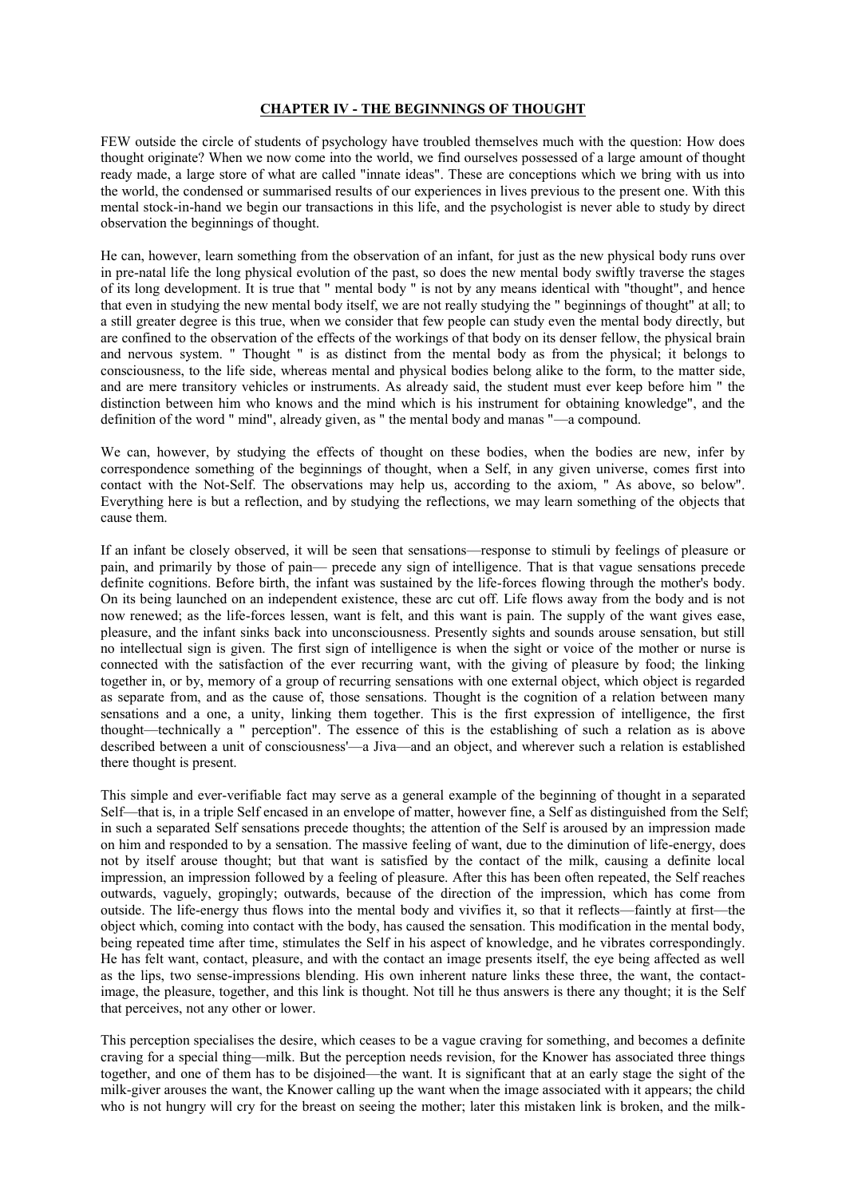#### **CHAPTER IV - THE BEGINNINGS OF THOUGHT**

FEW outside the circle of students of psychology have troubled themselves much with the question: How does thought originate? When we now come into the world, we find ourselves possessed of a large amount of thought ready made, a large store of what are called "innate ideas". These are conceptions which we bring with us into the world, the condensed or summarised results of our experiences in lives previous to the present one. With this mental stock-in-hand we begin our transactions in this life, and the psychologist is never able to study by direct observation the beginnings of thought.

He can, however, learn something from the observation of an infant, for just as the new physical body runs over in pre-natal life the long physical evolution of the past, so does the new mental body swiftly traverse the stages of its long development. It is true that " mental body " is not by any means identical with "thought", and hence that even in studying the new mental body itself, we are not really studying the " beginnings of thought" at all; to a still greater degree is this true, when we consider that few people can study even the mental body directly, but are confined to the observation of the effects of the workings of that body on its denser fellow, the physical brain and nervous system. " Thought " is as distinct from the mental body as from the physical; it belongs to consciousness, to the life side, whereas mental and physical bodies belong alike to the form, to the matter side, and are mere transitory vehicles or instruments. As already said, the student must ever keep before him " the distinction between him who knows and the mind which is his instrument for obtaining knowledge", and the definition of the word " mind", already given, as " the mental body and manas "—a compound.

We can, however, by studying the effects of thought on these bodies, when the bodies are new, infer by correspondence something of the beginnings of thought, when a Self, in any given universe, comes first into contact with the Not-Self. The observations may help us, according to the axiom, " As above, so below". Everything here is but a reflection, and by studying the reflections, we may learn something of the objects that cause them.

If an infant be closely observed, it will be seen that sensations—response to stimuli by feelings of pleasure or pain, and primarily by those of pain— precede any sign of intelligence. That is that vague sensations precede definite cognitions. Before birth, the infant was sustained by the life-forces flowing through the mother's body. On its being launched on an independent existence, these arc cut off. Life flows away from the body and is not now renewed; as the life-forces lessen, want is felt, and this want is pain. The supply of the want gives ease, pleasure, and the infant sinks back into unconsciousness. Presently sights and sounds arouse sensation, but still no intellectual sign is given. The first sign of intelligence is when the sight or voice of the mother or nurse is connected with the satisfaction of the ever recurring want, with the giving of pleasure by food; the linking together in, or by, memory of a group of recurring sensations with one external object, which object is regarded as separate from, and as the cause of, those sensations. Thought is the cognition of a relation between many sensations and a one, a unity, linking them together. This is the first expression of intelligence, the first thought—technically a " perception". The essence of this is the establishing of such a relation as is above described between a unit of consciousness'—a Jiva—and an object, and wherever such a relation is established there thought is present.

This simple and ever-verifiable fact may serve as a general example of the beginning of thought in a separated Self—that is, in a triple Self encased in an envelope of matter, however fine, a Self as distinguished from the Self; in such a separated Self sensations precede thoughts; the attention of the Self is aroused by an impression made on him and responded to by a sensation. The massive feeling of want, due to the diminution of life-energy, does not by itself arouse thought; but that want is satisfied by the contact of the milk, causing a definite local impression, an impression followed by a feeling of pleasure. After this has been often repeated, the Self reaches outwards, vaguely, gropingly; outwards, because of the direction of the impression, which has come from outside. The life-energy thus flows into the mental body and vivifies it, so that it reflects—faintly at first—the object which, coming into contact with the body, has caused the sensation. This modification in the mental body, being repeated time after time, stimulates the Self in his aspect of knowledge, and he vibrates correspondingly. He has felt want, contact, pleasure, and with the contact an image presents itself, the eye being affected as well as the lips, two sense-impressions blending. His own inherent nature links these three, the want, the contactimage, the pleasure, together, and this link is thought. Not till he thus answers is there any thought; it is the Self that perceives, not any other or lower.

This perception specialises the desire, which ceases to be a vague craving for something, and becomes a definite craving for a special thing—milk. But the perception needs revision, for the Knower has associated three things together, and one of them has to be disjoined—the want. It is significant that at an early stage the sight of the milk-giver arouses the want, the Knower calling up the want when the image associated with it appears; the child who is not hungry will cry for the breast on seeing the mother; later this mistaken link is broken, and the milk-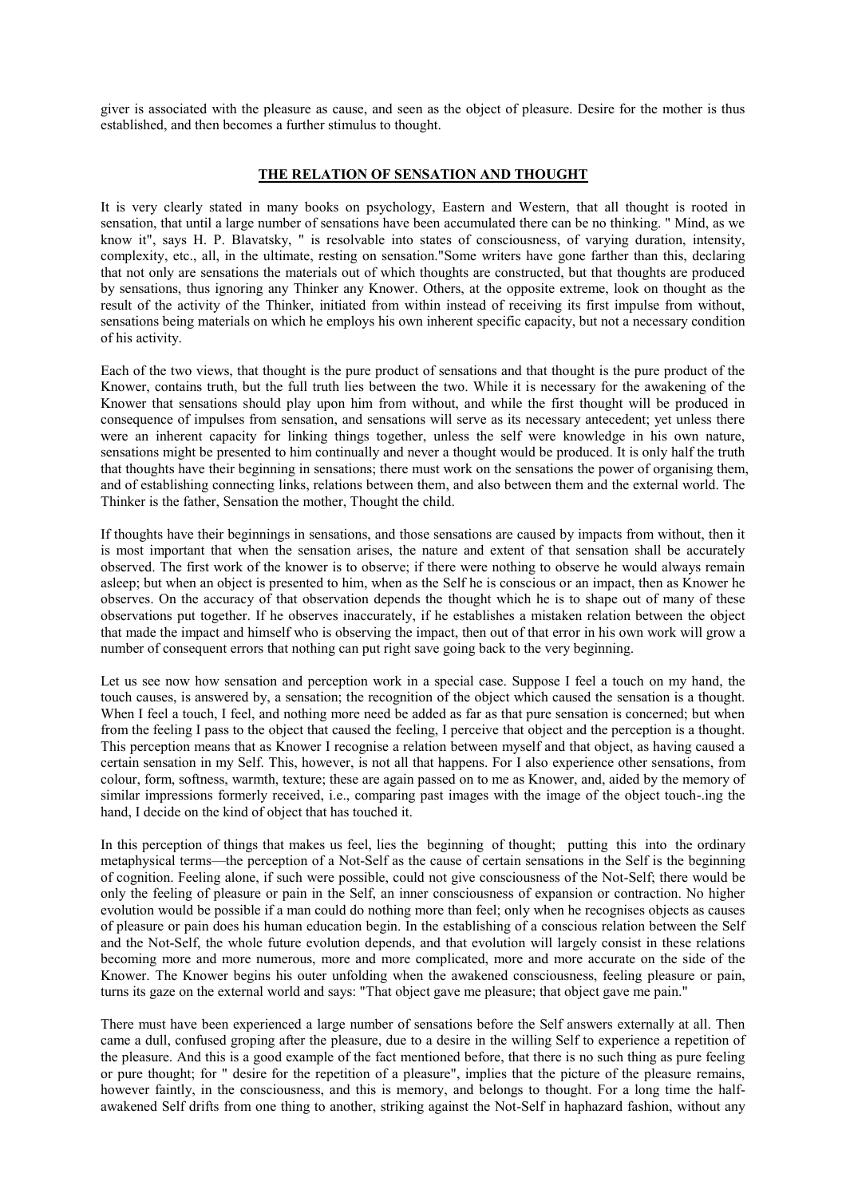giver is associated with the pleasure as cause, and seen as the object of pleasure. Desire for the mother is thus established, and then becomes a further stimulus to thought.

#### **THE RELATION OF SENSATION AND THOUGHT**

It is very clearly stated in many books on psychology, Eastern and Western, that all thought is rooted in sensation, that until a large number of sensations have been accumulated there can be no thinking. " Mind, as we know it", says H. P. Blavatsky, " is resolvable into states of consciousness, of varying duration, intensity, complexity, etc., all, in the ultimate, resting on sensation."Some writers have gone farther than this, declaring that not only are sensations the materials out of which thoughts are constructed, but that thoughts are produced by sensations, thus ignoring any Thinker any Knower. Others, at the opposite extreme, look on thought as the result of the activity of the Thinker, initiated from within instead of receiving its first impulse from without, sensations being materials on which he employs his own inherent specific capacity, but not a necessary condition of his activity.

Each of the two views, that thought is the pure product of sensations and that thought is the pure product of the Knower, contains truth, but the full truth lies between the two. While it is necessary for the awakening of the Knower that sensations should play upon him from without, and while the first thought will be produced in consequence of impulses from sensation, and sensations will serve as its necessary antecedent; yet unless there were an inherent capacity for linking things together, unless the self were knowledge in his own nature, sensations might be presented to him continually and never a thought would be produced. It is only half the truth that thoughts have their beginning in sensations; there must work on the sensations the power of organising them, and of establishing connecting links, relations between them, and also between them and the external world. The Thinker is the father, Sensation the mother, Thought the child.

If thoughts have their beginnings in sensations, and those sensations are caused by impacts from without, then it is most important that when the sensation arises, the nature and extent of that sensation shall be accurately observed. The first work of the knower is to observe; if there were nothing to observe he would always remain asleep; but when an object is presented to him, when as the Self he is conscious or an impact, then as Knower he observes. On the accuracy of that observation depends the thought which he is to shape out of many of these observations put together. If he observes inaccurately, if he establishes a mistaken relation between the object that made the impact and himself who is observing the impact, then out of that error in his own work will grow a number of consequent errors that nothing can put right save going back to the very beginning.

Let us see now how sensation and perception work in a special case. Suppose I feel a touch on my hand, the touch causes, is answered by, a sensation; the recognition of the object which caused the sensation is a thought. When I feel a touch, I feel, and nothing more need be added as far as that pure sensation is concerned; but when from the feeling I pass to the object that caused the feeling, I perceive that object and the perception is a thought. This perception means that as Knower I recognise a relation between myself and that object, as having caused a certain sensation in my Self. This, however, is not all that happens. For I also experience other sensations, from colour, form, softness, warmth, texture; these are again passed on to me as Knower, and, aided by the memory of similar impressions formerly received, i.e., comparing past images with the image of the object touch-.ing the hand, I decide on the kind of object that has touched it.

In this perception of things that makes us feel, lies the beginning of thought; putting this into the ordinary metaphysical terms—the perception of a Not-Self as the cause of certain sensations in the Self is the beginning of cognition. Feeling alone, if such were possible, could not give consciousness of the Not-Self; there would be only the feeling of pleasure or pain in the Self, an inner consciousness of expansion or contraction. No higher evolution would be possible if a man could do nothing more than feel; only when he recognises objects as causes of pleasure or pain does his human education begin. In the establishing of a conscious relation between the Self and the Not-Self, the whole future evolution depends, and that evolution will largely consist in these relations becoming more and more numerous, more and more complicated, more and more accurate on the side of the Knower. The Knower begins his outer unfolding when the awakened consciousness, feeling pleasure or pain, turns its gaze on the external world and says: "That object gave me pleasure; that object gave me pain."

There must have been experienced a large number of sensations before the Self answers externally at all. Then came a dull, confused groping after the pleasure, due to a desire in the willing Self to experience a repetition of the pleasure. And this is a good example of the fact mentioned before, that there is no such thing as pure feeling or pure thought; for " desire for the repetition of a pleasure", implies that the picture of the pleasure remains, however faintly, in the consciousness, and this is memory, and belongs to thought. For a long time the halfawakened Self drifts from one thing to another, striking against the Not-Self in haphazard fashion, without any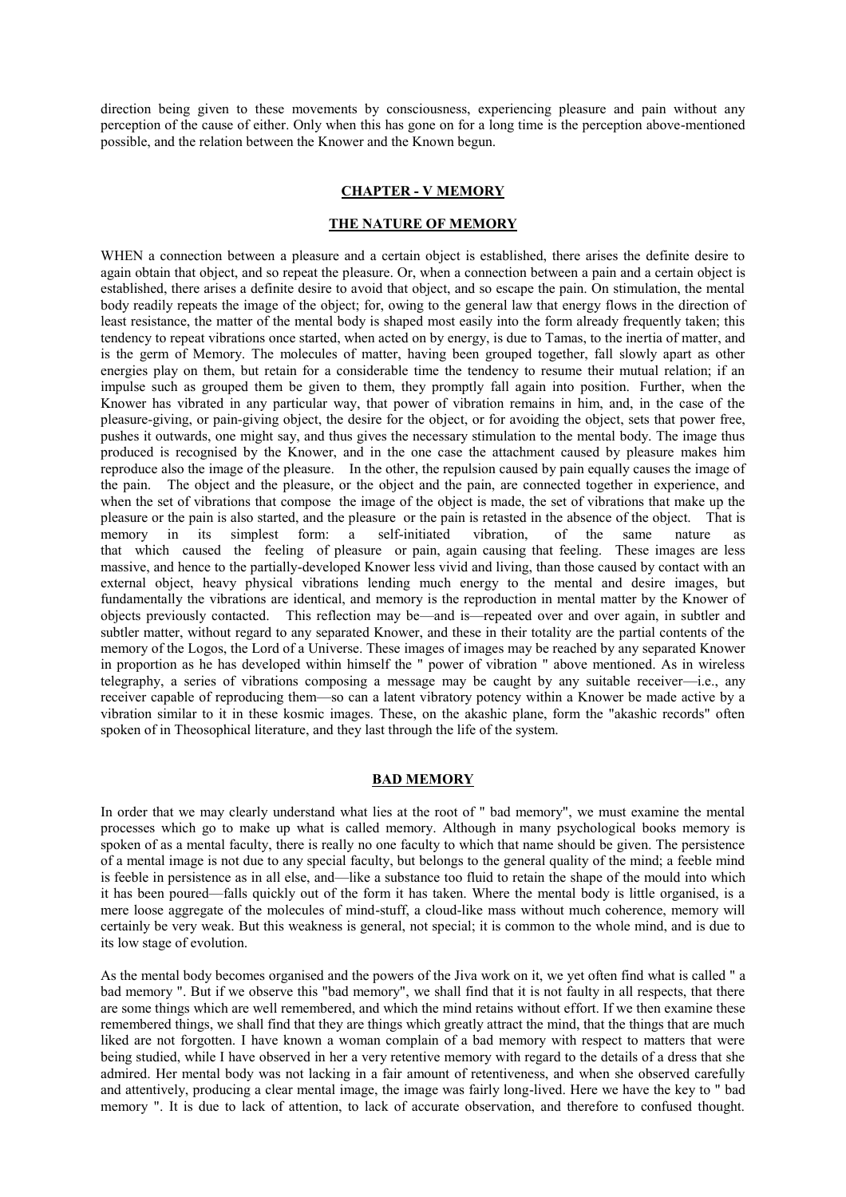direction being given to these movements by consciousness, experiencing pleasure and pain without any perception of the cause of either. Only when this has gone on for a long time is the perception above-mentioned possible, and the relation between the Knower and the Known begun.

#### **CHAPTER - V MEMORY**

#### **THE NATURE OF MEMORY**

WHEN a connection between a pleasure and a certain object is established, there arises the definite desire to again obtain that object, and so repeat the pleasure. Or, when a connection between a pain and a certain object is established, there arises a definite desire to avoid that object, and so escape the pain. On stimulation, the mental body readily repeats the image of the object; for, owing to the general law that energy flows in the direction of least resistance, the matter of the mental body is shaped most easily into the form already frequently taken; this tendency to repeat vibrations once started, when acted on by energy, is due to Tamas, to the inertia of matter, and is the germ of Memory. The molecules of matter, having been grouped together, fall slowly apart as other energies play on them, but retain for a considerable time the tendency to resume their mutual relation; if an impulse such as grouped them be given to them, they promptly fall again into position. Further, when the Knower has vibrated in any particular way, that power of vibration remains in him, and, in the case of the pleasure-giving, or pain-giving object, the desire for the object, or for avoiding the object, sets that power free, pushes it outwards, one might say, and thus gives the necessary stimulation to the mental body. The image thus produced is recognised by the Knower, and in the one case the attachment caused by pleasure makes him reproduce also the image of the pleasure. In the other, the repulsion caused by pain equally causes the image of the pain. The object and the pleasure, or the object and the pain, are connected together in experience, and when the set of vibrations that compose the image of the object is made, the set of vibrations that make up the pleasure or the pain is also started, and the pleasure or the pain is retasted in the absence of the object. That is memory in its simplest form: a self-initiated vibration, of the same nature as that which caused the feeling of pleasure or pain, again causing that feeling. These images are less massive, and hence to the partially-developed Knower less vivid and living, than those caused by contact with an external object, heavy physical vibrations lending much energy to the mental and desire images, but fundamentally the vibrations are identical, and memory is the reproduction in mental matter by the Knower of objects previously contacted. This reflection may be—and is—repeated over and over again, in subtler and subtler matter, without regard to any separated Knower, and these in their totality are the partial contents of the memory of the Logos, the Lord of a Universe. These images of images may be reached by any separated Knower in proportion as he has developed within himself the " power of vibration " above mentioned. As in wireless telegraphy, a series of vibrations composing a message may be caught by any suitable receiver—i.e., any receiver capable of reproducing them—so can a latent vibratory potency within a Knower be made active by a vibration similar to it in these kosmic images. These, on the akashic plane, form the "akashic records" often spoken of in Theosophical literature, and they last through the life of the system.

#### **BAD MEMORY**

In order that we may clearly understand what lies at the root of " bad memory", we must examine the mental processes which go to make up what is called memory. Although in many psychological books memory is spoken of as a mental faculty, there is really no one faculty to which that name should be given. The persistence of a mental image is not due to any special faculty, but belongs to the general quality of the mind; a feeble mind is feeble in persistence as in all else, and—like a substance too fluid to retain the shape of the mould into which it has been poured—falls quickly out of the form it has taken. Where the mental body is little organised, is a mere loose aggregate of the molecules of mind-stuff, a cloud-like mass without much coherence, memory will certainly be very weak. But this weakness is general, not special; it is common to the whole mind, and is due to its low stage of evolution.

As the mental body becomes organised and the powers of the Jiva work on it, we yet often find what is called " a bad memory ". But if we observe this "bad memory", we shall find that it is not faulty in all respects, that there are some things which are well remembered, and which the mind retains without effort. If we then examine these remembered things, we shall find that they are things which greatly attract the mind, that the things that are much liked are not forgotten. I have known a woman complain of a bad memory with respect to matters that were being studied, while I have observed in her a very retentive memory with regard to the details of a dress that she admired. Her mental body was not lacking in a fair amount of retentiveness, and when she observed carefully and attentively, producing a clear mental image, the image was fairly long-lived. Here we have the key to " bad memory ". It is due to lack of attention, to lack of accurate observation, and therefore to confused thought.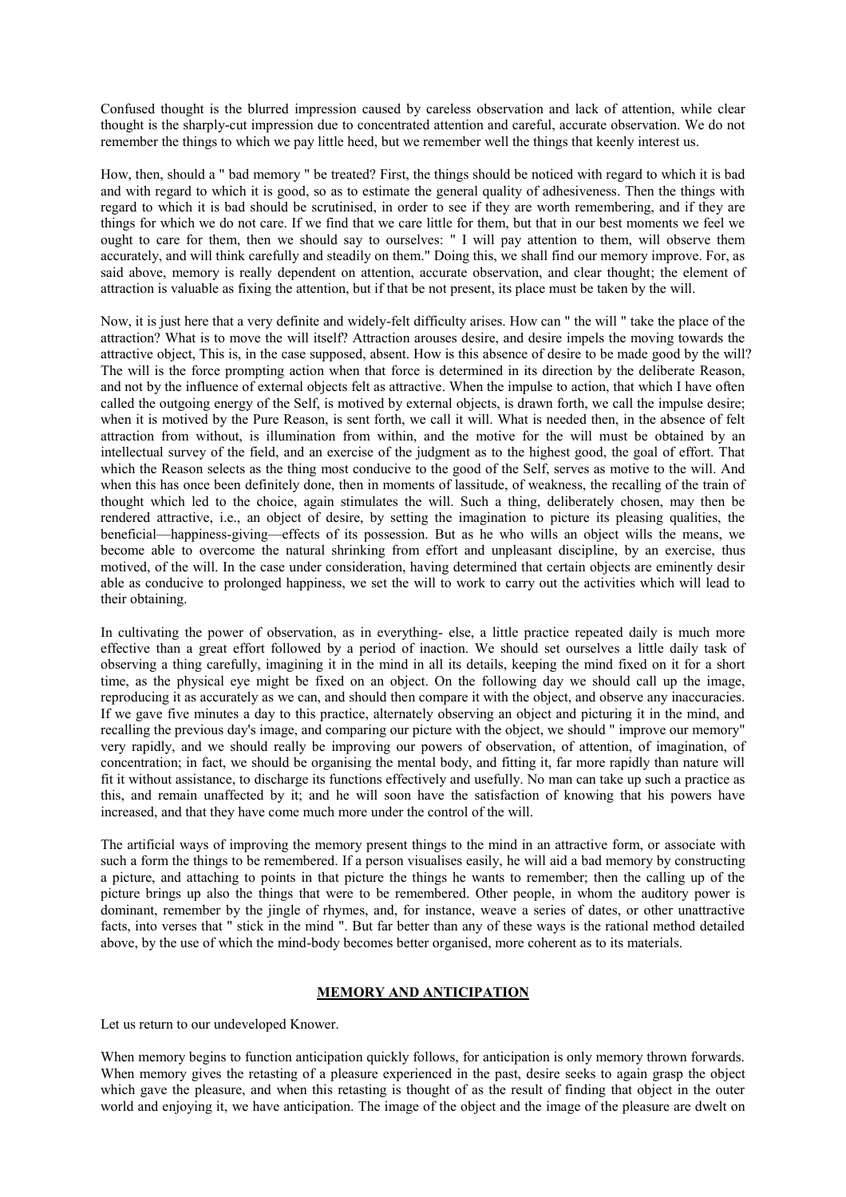Confused thought is the blurred impression caused by careless observation and lack of attention, while clear thought is the sharply-cut impression due to concentrated attention and careful, accurate observation. We do not remember the things to which we pay little heed, but we remember well the things that keenly interest us.

How, then, should a " bad memory " be treated? First, the things should be noticed with regard to which it is bad and with regard to which it is good, so as to estimate the general quality of adhesiveness. Then the things with regard to which it is bad should be scrutinised, in order to see if they are worth remembering, and if they are things for which we do not care. If we find that we care little for them, but that in our best moments we feel we ought to care for them, then we should say to ourselves: " I will pay attention to them, will observe them accurately, and will think carefully and steadily on them." Doing this, we shall find our memory improve. For, as said above, memory is really dependent on attention, accurate observation, and clear thought; the element of attraction is valuable as fixing the attention, but if that be not present, its place must be taken by the will.

Now, it is just here that a very definite and widely-felt difficulty arises. How can " the will " take the place of the attraction? What is to move the will itself? Attraction arouses desire, and desire impels the moving towards the attractive object, This is, in the case supposed, absent. How is this absence of desire to be made good by the will? The will is the force prompting action when that force is determined in its direction by the deliberate Reason, and not by the influence of external objects felt as attractive. When the impulse to action, that which I have often called the outgoing energy of the Self, is motived by external objects, is drawn forth, we call the impulse desire; when it is motived by the Pure Reason, is sent forth, we call it will. What is needed then, in the absence of felt attraction from without, is illumination from within, and the motive for the will must be obtained by an intellectual survey of the field, and an exercise of the judgment as to the highest good, the goal of effort. That which the Reason selects as the thing most conducive to the good of the Self, serves as motive to the will. And when this has once been definitely done, then in moments of lassitude, of weakness, the recalling of the train of thought which led to the choice, again stimulates the will. Such a thing, deliberately chosen, may then be rendered attractive, i.e., an object of desire, by setting the imagination to picture its pleasing qualities, the beneficial—happiness-giving—effects of its possession. But as he who wills an object wills the means, we become able to overcome the natural shrinking from effort and unpleasant discipline, by an exercise, thus motived, of the will. In the case under consideration, having determined that certain objects are eminently desir able as conducive to prolonged happiness, we set the will to work to carry out the activities which will lead to their obtaining.

In cultivating the power of observation, as in everything- else, a little practice repeated daily is much more effective than a great effort followed by a period of inaction. We should set ourselves a little daily task of observing a thing carefully, imagining it in the mind in all its details, keeping the mind fixed on it for a short time, as the physical eye might be fixed on an object. On the following day we should call up the image, reproducing it as accurately as we can, and should then compare it with the object, and observe any inaccuracies. If we gave five minutes a day to this practice, alternately observing an object and picturing it in the mind, and recalling the previous day's image, and comparing our picture with the object, we should " improve our memory" very rapidly, and we should really be improving our powers of observation, of attention, of imagination, of concentration; in fact, we should be organising the mental body, and fitting it, far more rapidly than nature will fit it without assistance, to discharge its functions effectively and usefully. No man can take up such a practice as this, and remain unaffected by it; and he will soon have the satisfaction of knowing that his powers have increased, and that they have come much more under the control of the will.

The artificial ways of improving the memory present things to the mind in an attractive form, or associate with such a form the things to be remembered. If a person visualises easily, he will aid a bad memory by constructing a picture, and attaching to points in that picture the things he wants to remember; then the calling up of the picture brings up also the things that were to be remembered. Other people, in whom the auditory power is dominant, remember by the jingle of rhymes, and, for instance, weave a series of dates, or other unattractive facts, into verses that " stick in the mind ". But far better than any of these ways is the rational method detailed above, by the use of which the mind-body becomes better organised, more coherent as to its materials.

## **MEMORY AND ANTICIPATION**

Let us return to our undeveloped Knower.

When memory begins to function anticipation quickly follows, for anticipation is only memory thrown forwards. When memory gives the retasting of a pleasure experienced in the past, desire seeks to again grasp the object which gave the pleasure, and when this retasting is thought of as the result of finding that object in the outer world and enjoying it, we have anticipation. The image of the object and the image of the pleasure are dwelt on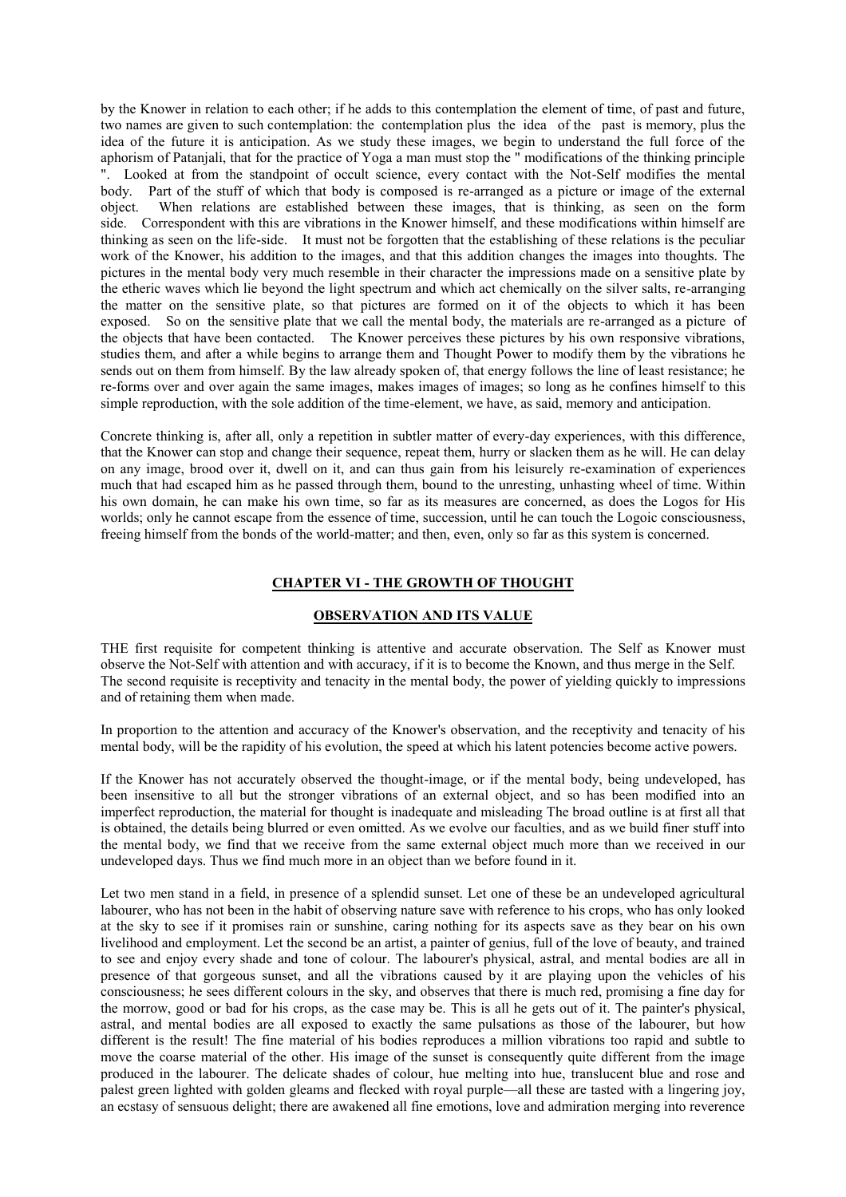by the Knower in relation to each other; if he adds to this contemplation the element of time, of past and future, two names are given to such contemplation: the contemplation plus the idea of the past is memory, plus the idea of the future it is anticipation. As we study these images, we begin to understand the full force of the aphorism of Patanjali, that for the practice of Yoga a man must stop the " modifications of the thinking principle

". Looked at from the standpoint of occult science, every contact with the Not-Self modifies the mental body. Part of the stuff of which that body is composed is re-arranged as a picture or image of the external object. When relations are established between these images, that is thinking, as seen on the form side. Correspondent with this are vibrations in the Knower himself, and these modifications within himself are thinking as seen on the life-side. It must not be forgotten that the establishing of these relations is the peculiar work of the Knower, his addition to the images, and that this addition changes the images into thoughts. The pictures in the mental body very much resemble in their character the impressions made on a sensitive plate by the etheric waves which lie beyond the light spectrum and which act chemically on the silver salts, re-arranging the matter on the sensitive plate, so that pictures are formed on it of the objects to which it has been exposed. So on the sensitive plate that we call the mental body, the materials are re-arranged as a picture of the objects that have been contacted. The Knower perceives these pictures by his own responsive vibrations, studies them, and after a while begins to arrange them and Thought Power to modify them by the vibrations he sends out on them from himself. By the law already spoken of, that energy follows the line of least resistance; he re-forms over and over again the same images, makes images of images; so long as he confines himself to this simple reproduction, with the sole addition of the time-element, we have, as said, memory and anticipation.

Concrete thinking is, after all, only a repetition in subtler matter of every-day experiences, with this difference, that the Knower can stop and change their sequence, repeat them, hurry or slacken them as he will. He can delay on any image, brood over it, dwell on it, and can thus gain from his leisurely re-examination of experiences much that had escaped him as he passed through them, bound to the unresting, unhasting wheel of time. Within his own domain, he can make his own time, so far as its measures are concerned, as does the Logos for His worlds; only he cannot escape from the essence of time, succession, until he can touch the Logoic consciousness, freeing himself from the bonds of the world-matter; and then, even, only so far as this system is concerned.

#### **CHAPTER VI - THE GROWTH OF THOUGHT**

#### **OBSERVATION AND ITS VALUE**

THE first requisite for competent thinking is attentive and accurate observation. The Self as Knower must observe the Not-Self with attention and with accuracy, if it is to become the Known, and thus merge in the Self. The second requisite is receptivity and tenacity in the mental body, the power of yielding quickly to impressions and of retaining them when made.

In proportion to the attention and accuracy of the Knower's observation, and the receptivity and tenacity of his mental body, will be the rapidity of his evolution, the speed at which his latent potencies become active powers.

If the Knower has not accurately observed the thought-image, or if the mental body, being undeveloped, has been insensitive to all but the stronger vibrations of an external object, and so has been modified into an imperfect reproduction, the material for thought is inadequate and misleading The broad outline is at first all that is obtained, the details being blurred or even omitted. As we evolve our faculties, and as we build finer stuff into the mental body, we find that we receive from the same external object much more than we received in our undeveloped days. Thus we find much more in an object than we before found in it.

Let two men stand in a field, in presence of a splendid sunset. Let one of these be an undeveloped agricultural labourer, who has not been in the habit of observing nature save with reference to his crops, who has only looked at the sky to see if it promises rain or sunshine, caring nothing for its aspects save as they bear on his own livelihood and employment. Let the second be an artist, a painter of genius, full of the love of beauty, and trained to see and enjoy every shade and tone of colour. The labourer's physical, astral, and mental bodies are all in presence of that gorgeous sunset, and all the vibrations caused by it are playing upon the vehicles of his consciousness; he sees different colours in the sky, and observes that there is much red, promising a fine day for the morrow, good or bad for his crops, as the case may be. This is all he gets out of it. The painter's physical, astral, and mental bodies are all exposed to exactly the same pulsations as those of the labourer, but how different is the result! The fine material of his bodies reproduces a million vibrations too rapid and subtle to move the coarse material of the other. His image of the sunset is consequently quite different from the image produced in the labourer. The delicate shades of colour, hue melting into hue, translucent blue and rose and palest green lighted with golden gleams and flecked with royal purple—all these are tasted with a lingering joy, an ecstasy of sensuous delight; there are awakened all fine emotions, love and admiration merging into reverence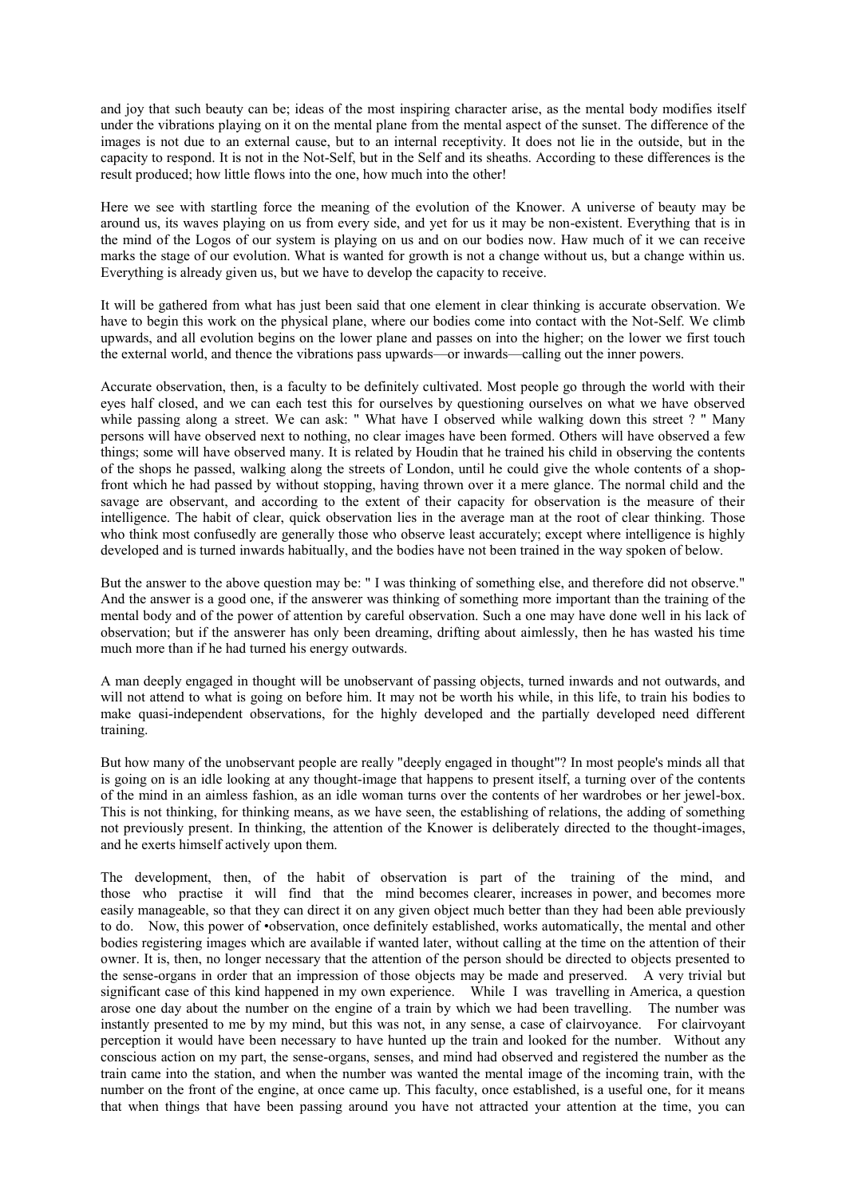and joy that such beauty can be; ideas of the most inspiring character arise, as the mental body modifies itself under the vibrations playing on it on the mental plane from the mental aspect of the sunset. The difference of the images is not due to an external cause, but to an internal receptivity. It does not lie in the outside, but in the capacity to respond. It is not in the Not-Self, but in the Self and its sheaths. According to these differences is the result produced; how little flows into the one, how much into the other!

Here we see with startling force the meaning of the evolution of the Knower. A universe of beauty may be around us, its waves playing on us from every side, and yet for us it may be non-existent. Everything that is in the mind of the Logos of our system is playing on us and on our bodies now. Haw much of it we can receive marks the stage of our evolution. What is wanted for growth is not a change without us, but a change within us. Everything is already given us, but we have to develop the capacity to receive.

It will be gathered from what has just been said that one element in clear thinking is accurate observation. We have to begin this work on the physical plane, where our bodies come into contact with the Not-Self. We climb upwards, and all evolution begins on the lower plane and passes on into the higher; on the lower we first touch the external world, and thence the vibrations pass upwards—or inwards—calling out the inner powers.

Accurate observation, then, is a faculty to be definitely cultivated. Most people go through the world with their eyes half closed, and we can each test this for ourselves by questioning ourselves on what we have observed while passing along a street. We can ask: " What have I observed while walking down this street ? " Many persons will have observed next to nothing, no clear images have been formed. Others will have observed a few things; some will have observed many. It is related by Houdin that he trained his child in observing the contents of the shops he passed, walking along the streets of London, until he could give the whole contents of a shopfront which he had passed by without stopping, having thrown over it a mere glance. The normal child and the savage are observant, and according to the extent of their capacity for observation is the measure of their intelligence. The habit of clear, quick observation lies in the average man at the root of clear thinking. Those who think most confusedly are generally those who observe least accurately; except where intelligence is highly developed and is turned inwards habitually, and the bodies have not been trained in the way spoken of below.

But the answer to the above question may be: " I was thinking of something else, and therefore did not observe." And the answer is a good one, if the answerer was thinking of something more important than the training of the mental body and of the power of attention by careful observation. Such a one may have done well in his lack of observation; but if the answerer has only been dreaming, drifting about aimlessly, then he has wasted his time much more than if he had turned his energy outwards.

A man deeply engaged in thought will be unobservant of passing objects, turned inwards and not outwards, and will not attend to what is going on before him. It may not be worth his while, in this life, to train his bodies to make quasi-independent observations, for the highly developed and the partially developed need different training.

But how many of the unobservant people are really "deeply engaged in thought"? In most people's minds all that is going on is an idle looking at any thought-image that happens to present itself, a turning over of the contents of the mind in an aimless fashion, as an idle woman turns over the contents of her wardrobes or her jewel-box. This is not thinking, for thinking means, as we have seen, the establishing of relations, the adding of something not previously present. In thinking, the attention of the Knower is deliberately directed to the thought-images, and he exerts himself actively upon them.

The development, then, of the habit of observation is part of the training of the mind, and those who practise it will find that the mind becomes clearer, increases in power, and becomes more easily manageable, so that they can direct it on any given object much better than they had been able previously to do. Now, this power of •observation, once definitely established, works automatically, the mental and other bodies registering images which are available if wanted later, without calling at the time on the attention of their owner. It is, then, no longer necessary that the attention of the person should be directed to objects presented to the sense-organs in order that an impression of those objects may be made and preserved. A very trivial but significant case of this kind happened in my own experience. While I was travelling in America, a question arose one day about the number on the engine of a train by which we had been travelling. The number was instantly presented to me by my mind, but this was not, in any sense, a case of clairvoyance. For clairvoyant perception it would have been necessary to have hunted up the train and looked for the number. Without any conscious action on my part, the sense-organs, senses, and mind had observed and registered the number as the train came into the station, and when the number was wanted the mental image of the incoming train, with the number on the front of the engine, at once came up. This faculty, once established, is a useful one, for it means that when things that have been passing around you have not attracted your attention at the time, you can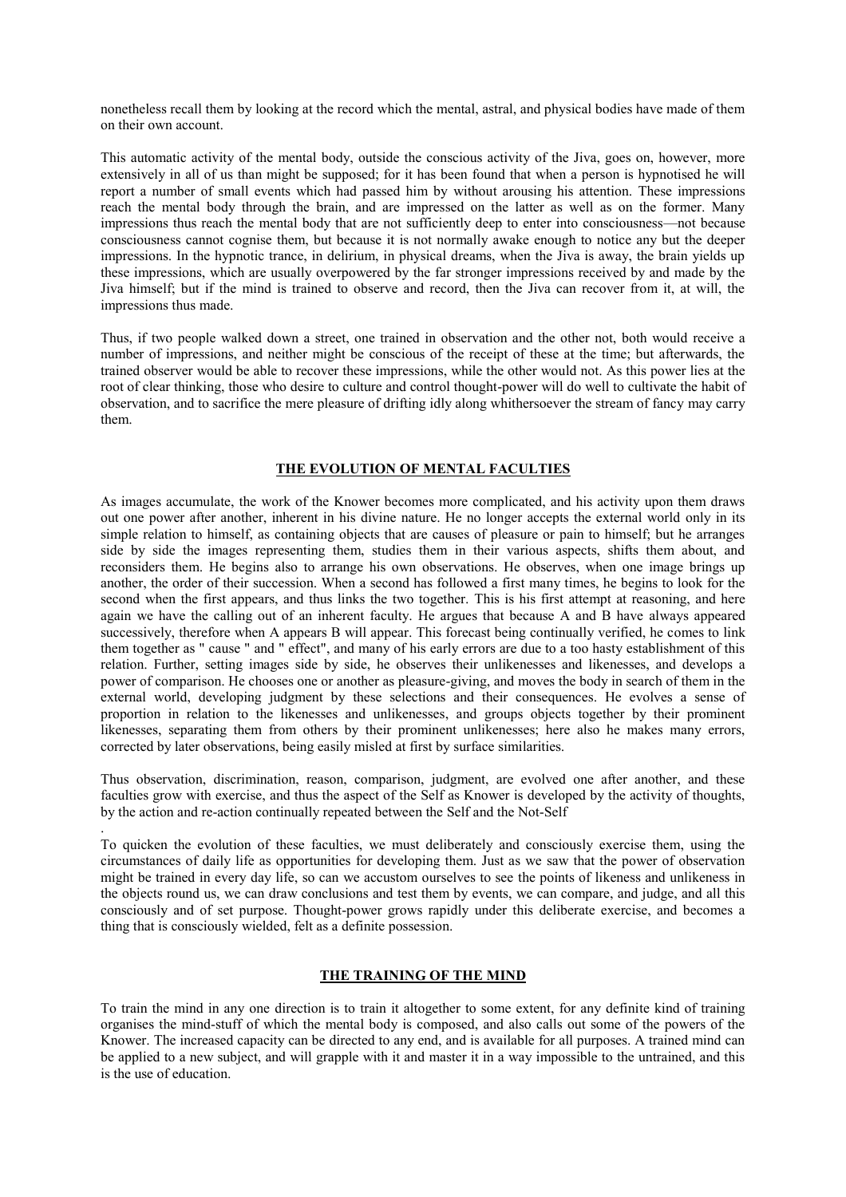nonetheless recall them by looking at the record which the mental, astral, and physical bodies have made of them on their own account.

This automatic activity of the mental body, outside the conscious activity of the Jiva, goes on, however, more extensively in all of us than might be supposed; for it has been found that when a person is hypnotised he will report a number of small events which had passed him by without arousing his attention. These impressions reach the mental body through the brain, and are impressed on the latter as well as on the former. Many impressions thus reach the mental body that are not sufficiently deep to enter into consciousness—not because consciousness cannot cognise them, but because it is not normally awake enough to notice any but the deeper impressions. In the hypnotic trance, in delirium, in physical dreams, when the Jiva is away, the brain yields up these impressions, which are usually overpowered by the far stronger impressions received by and made by the Jiva himself; but if the mind is trained to observe and record, then the Jiva can recover from it, at will, the impressions thus made.

Thus, if two people walked down a street, one trained in observation and the other not, both would receive a number of impressions, and neither might be conscious of the receipt of these at the time; but afterwards, the trained observer would be able to recover these impressions, while the other would not. As this power lies at the root of clear thinking, those who desire to culture and control thought-power will do well to cultivate the habit of observation, and to sacrifice the mere pleasure of drifting idly along whithersoever the stream of fancy may carry them.

## **THE EVOLUTION OF MENTAL FACULTIES**

As images accumulate, the work of the Knower becomes more complicated, and his activity upon them draws out one power after another, inherent in his divine nature. He no longer accepts the external world only in its simple relation to himself, as containing objects that are causes of pleasure or pain to himself; but he arranges side by side the images representing them, studies them in their various aspects, shifts them about, and reconsiders them. He begins also to arrange his own observations. He observes, when one image brings up another, the order of their succession. When a second has followed a first many times, he begins to look for the second when the first appears, and thus links the two together. This is his first attempt at reasoning, and here again we have the calling out of an inherent faculty. He argues that because A and B have always appeared successively, therefore when A appears B will appear. This forecast being continually verified, he comes to link them together as " cause " and " effect", and many of his early errors are due to a too hasty establishment of this relation. Further, setting images side by side, he observes their unlikenesses and likenesses, and develops a power of comparison. He chooses one or another as pleasure-giving, and moves the body in search of them in the external world, developing judgment by these selections and their consequences. He evolves a sense of proportion in relation to the likenesses and unlikenesses, and groups objects together by their prominent likenesses, separating them from others by their prominent unlikenesses; here also he makes many errors, corrected by later observations, being easily misled at first by surface similarities.

Thus observation, discrimination, reason, comparison, judgment, are evolved one after another, and these faculties grow with exercise, and thus the aspect of the Self as Knower is developed by the activity of thoughts, by the action and re-action continually repeated between the Self and the Not-Self

.

To quicken the evolution of these faculties, we must deliberately and consciously exercise them, using the circumstances of daily life as opportunities for developing them. Just as we saw that the power of observation might be trained in every day life, so can we accustom ourselves to see the points of likeness and unlikeness in the objects round us, we can draw conclusions and test them by events, we can compare, and judge, and all this consciously and of set purpose. Thought-power grows rapidly under this deliberate exercise, and becomes a thing that is consciously wielded, felt as a definite possession.

## **THE TRAINING OF THE MIND**

To train the mind in any one direction is to train it altogether to some extent, for any definite kind of training organises the mind-stuff of which the mental body is composed, and also calls out some of the powers of the Knower. The increased capacity can be directed to any end, and is available for all purposes. A trained mind can be applied to a new subject, and will grapple with it and master it in a way impossible to the untrained, and this is the use of education.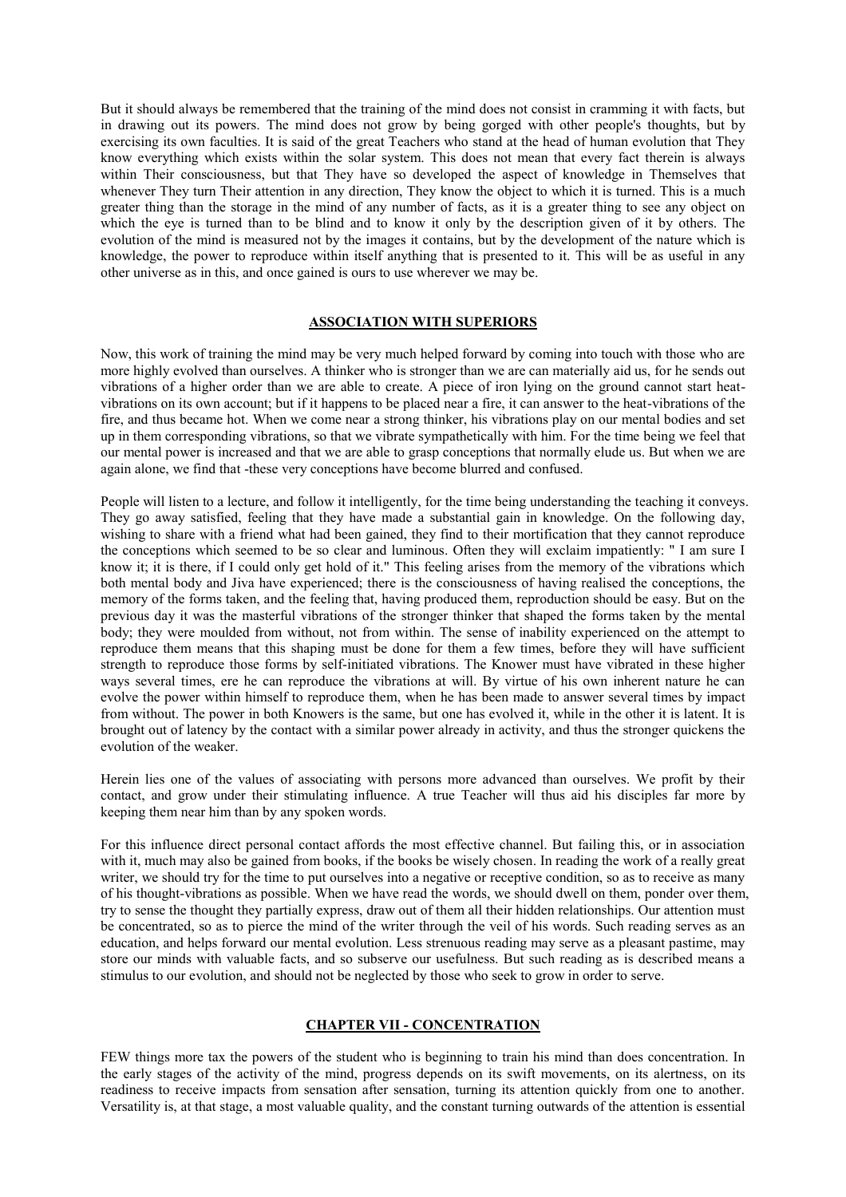But it should always be remembered that the training of the mind does not consist in cramming it with facts, but in drawing out its powers. The mind does not grow by being gorged with other people's thoughts, but by exercising its own faculties. It is said of the great Teachers who stand at the head of human evolution that They know everything which exists within the solar system. This does not mean that every fact therein is always within Their consciousness, but that They have so developed the aspect of knowledge in Themselves that whenever They turn Their attention in any direction. They know the object to which it is turned. This is a much greater thing than the storage in the mind of any number of facts, as it is a greater thing to see any object on which the eye is turned than to be blind and to know it only by the description given of it by others. The evolution of the mind is measured not by the images it contains, but by the development of the nature which is knowledge, the power to reproduce within itself anything that is presented to it. This will be as useful in any other universe as in this, and once gained is ours to use wherever we may be.

#### **ASSOCIATION WITH SUPERIORS**

Now, this work of training the mind may be very much helped forward by coming into touch with those who are more highly evolved than ourselves. A thinker who is stronger than we are can materially aid us, for he sends out vibrations of a higher order than we are able to create. A piece of iron lying on the ground cannot start heatvibrations on its own account; but if it happens to be placed near a fire, it can answer to the heat-vibrations of the fire, and thus became hot. When we come near a strong thinker, his vibrations play on our mental bodies and set up in them corresponding vibrations, so that we vibrate sympathetically with him. For the time being we feel that our mental power is increased and that we are able to grasp conceptions that normally elude us. But when we are again alone, we find that -these very conceptions have become blurred and confused.

People will listen to a lecture, and follow it intelligently, for the time being understanding the teaching it conveys. They go away satisfied, feeling that they have made a substantial gain in knowledge. On the following day, wishing to share with a friend what had been gained, they find to their mortification that they cannot reproduce the conceptions which seemed to be so clear and luminous. Often they will exclaim impatiently: " I am sure I know it; it is there, if I could only get hold of it." This feeling arises from the memory of the vibrations which both mental body and Jiva have experienced; there is the consciousness of having realised the conceptions, the memory of the forms taken, and the feeling that, having produced them, reproduction should be easy. But on the previous day it was the masterful vibrations of the stronger thinker that shaped the forms taken by the mental body; they were moulded from without, not from within. The sense of inability experienced on the attempt to reproduce them means that this shaping must be done for them a few times, before they will have sufficient strength to reproduce those forms by self-initiated vibrations. The Knower must have vibrated in these higher ways several times, ere he can reproduce the vibrations at will. By virtue of his own inherent nature he can evolve the power within himself to reproduce them, when he has been made to answer several times by impact from without. The power in both Knowers is the same, but one has evolved it, while in the other it is latent. It is brought out of latency by the contact with a similar power already in activity, and thus the stronger quickens the evolution of the weaker.

Herein lies one of the values of associating with persons more advanced than ourselves. We profit by their contact, and grow under their stimulating influence. A true Teacher will thus aid his disciples far more by keeping them near him than by any spoken words.

For this influence direct personal contact affords the most effective channel. But failing this, or in association with it, much may also be gained from books, if the books be wisely chosen. In reading the work of a really great writer, we should try for the time to put ourselves into a negative or receptive condition, so as to receive as many of his thought-vibrations as possible. When we have read the words, we should dwell on them, ponder over them, try to sense the thought they partially express, draw out of them all their hidden relationships. Our attention must be concentrated, so as to pierce the mind of the writer through the veil of his words. Such reading serves as an education, and helps forward our mental evolution. Less strenuous reading may serve as a pleasant pastime, may store our minds with valuable facts, and so subserve our usefulness. But such reading as is described means a stimulus to our evolution, and should not be neglected by those who seek to grow in order to serve.

#### **CHAPTER VII - CONCENTRATION**

FEW things more tax the powers of the student who is beginning to train his mind than does concentration. In the early stages of the activity of the mind, progress depends on its swift movements, on its alertness, on its readiness to receive impacts from sensation after sensation, turning its attention quickly from one to another. Versatility is, at that stage, a most valuable quality, and the constant turning outwards of the attention is essential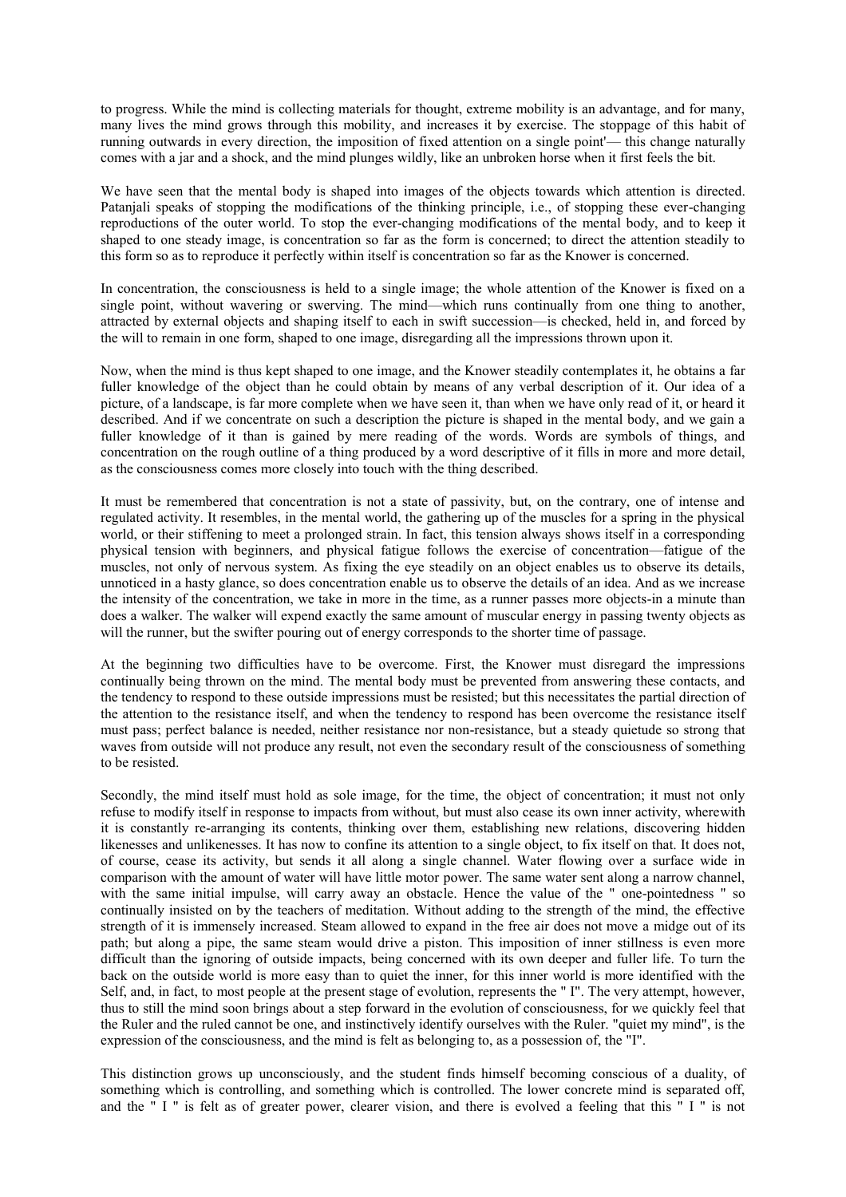to progress. While the mind is collecting materials for thought, extreme mobility is an advantage, and for many, many lives the mind grows through this mobility, and increases it by exercise. The stoppage of this habit of running outwards in every direction, the imposition of fixed attention on a single point'— this change naturally comes with a jar and a shock, and the mind plunges wildly, like an unbroken horse when it first feels the bit.

We have seen that the mental body is shaped into images of the objects towards which attention is directed. Patanjali speaks of stopping the modifications of the thinking principle, i.e., of stopping these ever-changing reproductions of the outer world. To stop the ever-changing modifications of the mental body, and to keep it shaped to one steady image, is concentration so far as the form is concerned; to direct the attention steadily to this form so as to reproduce it perfectly within itself is concentration so far as the Knower is concerned.

In concentration, the consciousness is held to a single image; the whole attention of the Knower is fixed on a single point, without wavering or swerving. The mind—which runs continually from one thing to another, attracted by external objects and shaping itself to each in swift succession—is checked, held in, and forced by the will to remain in one form, shaped to one image, disregarding all the impressions thrown upon it.

Now, when the mind is thus kept shaped to one image, and the Knower steadily contemplates it, he obtains a far fuller knowledge of the object than he could obtain by means of any verbal description of it. Our idea of a picture, of a landscape, is far more complete when we have seen it, than when we have only read of it, or heard it described. And if we concentrate on such a description the picture is shaped in the mental body, and we gain a fuller knowledge of it than is gained by mere reading of the words. Words are symbols of things, and concentration on the rough outline of a thing produced by a word descriptive of it fills in more and more detail, as the consciousness comes more closely into touch with the thing described.

It must be remembered that concentration is not a state of passivity, but, on the contrary, one of intense and regulated activity. It resembles, in the mental world, the gathering up of the muscles for a spring in the physical world, or their stiffening to meet a prolonged strain. In fact, this tension always shows itself in a corresponding physical tension with beginners, and physical fatigue follows the exercise of concentration—fatigue of the muscles, not only of nervous system. As fixing the eye steadily on an object enables us to observe its details, unnoticed in a hasty glance, so does concentration enable us to observe the details of an idea. And as we increase the intensity of the concentration, we take in more in the time, as a runner passes more objects-in a minute than does a walker. The walker will expend exactly the same amount of muscular energy in passing twenty objects as will the runner, but the swifter pouring out of energy corresponds to the shorter time of passage.

At the beginning two difficulties have to be overcome. First, the Knower must disregard the impressions continually being thrown on the mind. The mental body must be prevented from answering these contacts, and the tendency to respond to these outside impressions must be resisted; but this necessitates the partial direction of the attention to the resistance itself, and when the tendency to respond has been overcome the resistance itself must pass; perfect balance is needed, neither resistance nor non-resistance, but a steady quietude so strong that waves from outside will not produce any result, not even the secondary result of the consciousness of something to be resisted.

Secondly, the mind itself must hold as sole image, for the time, the object of concentration; it must not only refuse to modify itself in response to impacts from without, but must also cease its own inner activity, wherewith it is constantly re-arranging its contents, thinking over them, establishing new relations, discovering hidden likenesses and unlikenesses. It has now to confine its attention to a single object, to fix itself on that. It does not, of course, cease its activity, but sends it all along a single channel. Water flowing over a surface wide in comparison with the amount of water will have little motor power. The same water sent along a narrow channel, with the same initial impulse, will carry away an obstacle. Hence the value of the " one-pointedness " so continually insisted on by the teachers of meditation. Without adding to the strength of the mind, the effective strength of it is immensely increased. Steam allowed to expand in the free air does not move a midge out of its path; but along a pipe, the same steam would drive a piston. This imposition of inner stillness is even more difficult than the ignoring of outside impacts, being concerned with its own deeper and fuller life. To turn the back on the outside world is more easy than to quiet the inner, for this inner world is more identified with the Self, and, in fact, to most people at the present stage of evolution, represents the " I". The very attempt, however, thus to still the mind soon brings about a step forward in the evolution of consciousness, for we quickly feel that the Ruler and the ruled cannot be one, and instinctively identify ourselves with the Ruler. "quiet my mind", is the expression of the consciousness, and the mind is felt as belonging to, as a possession of, the "I".

This distinction grows up unconsciously, and the student finds himself becoming conscious of a duality, of something which is controlling, and something which is controlled. The lower concrete mind is separated off, and the " I " is felt as of greater power, clearer vision, and there is evolved a feeling that this " I " is not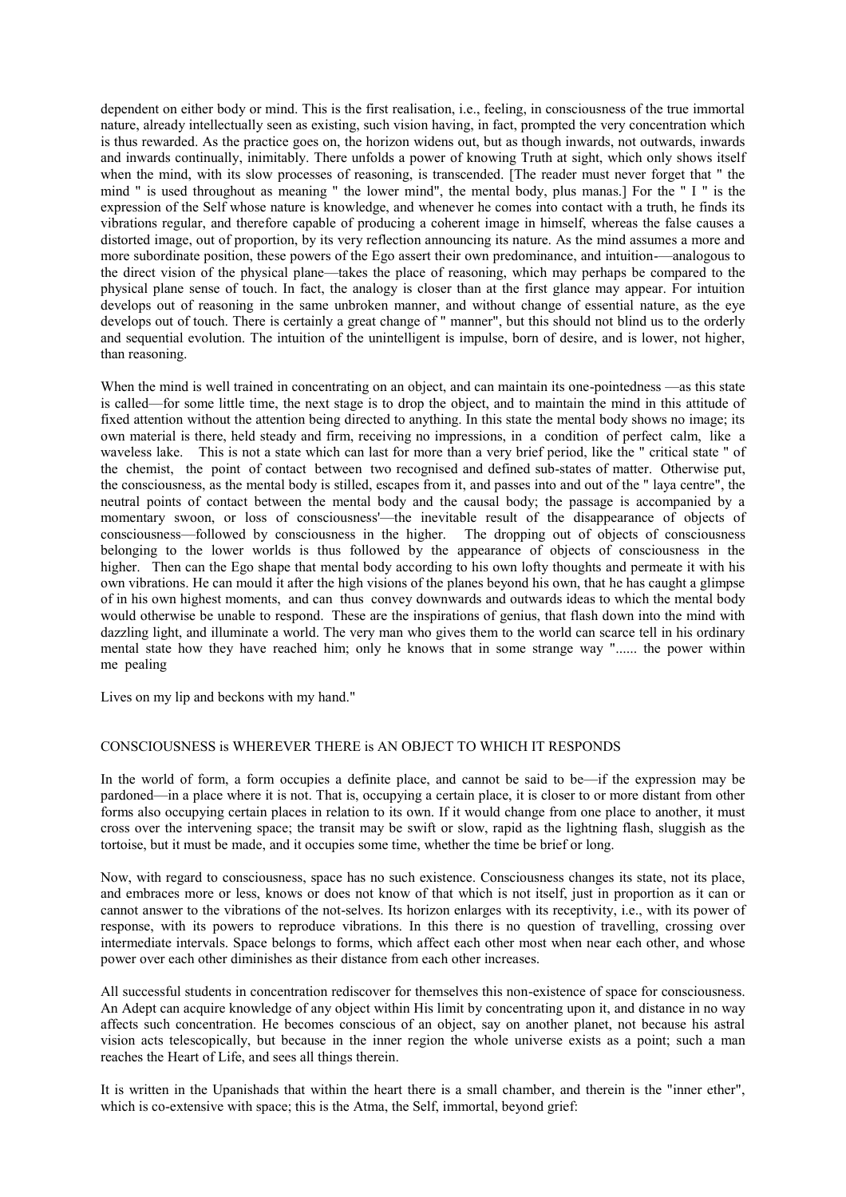dependent on either body or mind. This is the first realisation, i.e., feeling, in consciousness of the true immortal nature, already intellectually seen as existing, such vision having, in fact, prompted the very concentration which is thus rewarded. As the practice goes on, the horizon widens out, but as though inwards, not outwards, inwards and inwards continually, inimitably. There unfolds a power of knowing Truth at sight, which only shows itself when the mind, with its slow processes of reasoning, is transcended. [The reader must never forget that " the mind " is used throughout as meaning " the lower mind", the mental body, plus manas.] For the " I " is the expression of the Self whose nature is knowledge, and whenever he comes into contact with a truth, he finds its vibrations regular, and therefore capable of producing a coherent image in himself, whereas the false causes a distorted image, out of proportion, by its very reflection announcing its nature. As the mind assumes a more and more subordinate position, these powers of the Ego assert their own predominance, and intuition-—analogous to the direct vision of the physical plane—takes the place of reasoning, which may perhaps be compared to the physical plane sense of touch. In fact, the analogy is closer than at the first glance may appear. For intuition develops out of reasoning in the same unbroken manner, and without change of essential nature, as the eye develops out of touch. There is certainly a great change of " manner", but this should not blind us to the orderly and sequential evolution. The intuition of the unintelligent is impulse, born of desire, and is lower, not higher, than reasoning.

When the mind is well trained in concentrating on an object, and can maintain its one-pointedness —as this state is called—for some little time, the next stage is to drop the object, and to maintain the mind in this attitude of fixed attention without the attention being directed to anything. In this state the mental body shows no image; its own material is there, held steady and firm, receiving no impressions, in a condition of perfect calm, like a waveless lake. This is not a state which can last for more than a very brief period, like the " critical state " of the chemist, the point of contact between two recognised and defined sub-states of matter. Otherwise put, the consciousness, as the mental body is stilled, escapes from it, and passes into and out of the " laya centre", the neutral points of contact between the mental body and the causal body; the passage is accompanied by a momentary swoon, or loss of consciousness'—the inevitable result of the disappearance of objects of consciousness—followed by consciousness in the higher. The dropping out of objects of consciousness belonging to the lower worlds is thus followed by the appearance of objects of consciousness in the higher. Then can the Ego shape that mental body according to his own lofty thoughts and permeate it with his own vibrations. He can mould it after the high visions of the planes beyond his own, that he has caught a glimpse of in his own highest moments, and can thus convey downwards and outwards ideas to which the mental body would otherwise be unable to respond. These are the inspirations of genius, that flash down into the mind with dazzling light, and illuminate a world. The very man who gives them to the world can scarce tell in his ordinary mental state how they have reached him; only he knows that in some strange way "...... the power within me pealing

Lives on my lip and beckons with my hand."

#### CONSCIOUSNESS is WHEREVER THERE is AN OBJECT TO WHICH IT RESPONDS

In the world of form, a form occupies a definite place, and cannot be said to be—if the expression may be pardoned—in a place where it is not. That is, occupying a certain place, it is closer to or more distant from other forms also occupying certain places in relation to its own. If it would change from one place to another, it must cross over the intervening space; the transit may be swift or slow, rapid as the lightning flash, sluggish as the tortoise, but it must be made, and it occupies some time, whether the time be brief or long.

Now, with regard to consciousness, space has no such existence. Consciousness changes its state, not its place, and embraces more or less, knows or does not know of that which is not itself, just in proportion as it can or cannot answer to the vibrations of the not-selves. Its horizon enlarges with its receptivity, i.e., with its power of response, with its powers to reproduce vibrations. In this there is no question of travelling, crossing over intermediate intervals. Space belongs to forms, which affect each other most when near each other, and whose power over each other diminishes as their distance from each other increases.

All successful students in concentration rediscover for themselves this non-existence of space for consciousness. An Adept can acquire knowledge of any object within His limit by concentrating upon it, and distance in no way affects such concentration. He becomes conscious of an object, say on another planet, not because his astral vision acts telescopically, but because in the inner region the whole universe exists as a point; such a man reaches the Heart of Life, and sees all things therein.

It is written in the Upanishads that within the heart there is a small chamber, and therein is the "inner ether", which is co-extensive with space; this is the Atma, the Self, immortal, beyond grief: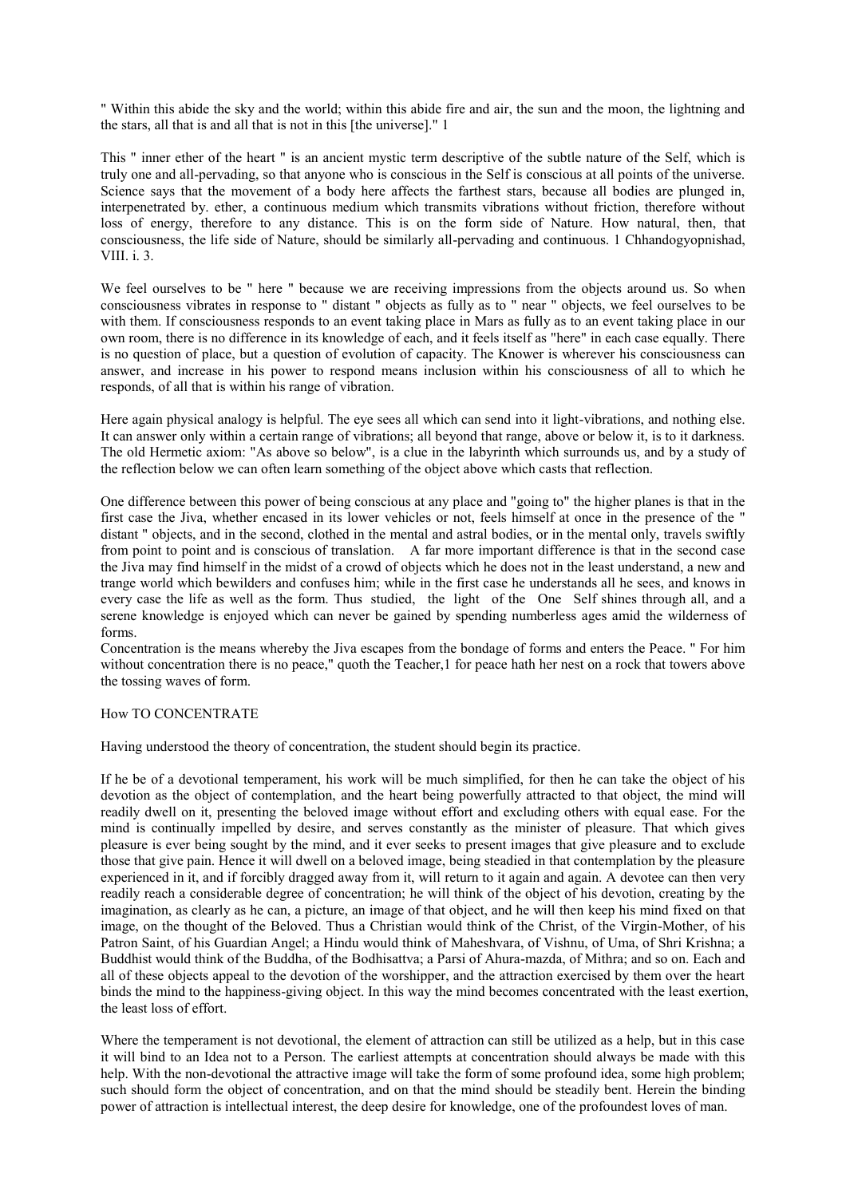" Within this abide the sky and the world; within this abide fire and air, the sun and the moon, the lightning and the stars, all that is and all that is not in this [the universe]." 1

This " inner ether of the heart " is an ancient mystic term descriptive of the subtle nature of the Self, which is truly one and all-pervading, so that anyone who is conscious in the Self is conscious at all points of the universe. Science says that the movement of a body here affects the farthest stars, because all bodies are plunged in, interpenetrated by. ether, a continuous medium which transmits vibrations without friction, therefore without loss of energy, therefore to any distance. This is on the form side of Nature. How natural, then, that consciousness, the life side of Nature, should be similarly all-pervading and continuous. 1 Chhandogyopnishad, VIII. i. 3.

We feel ourselves to be " here " because we are receiving impressions from the objects around us. So when consciousness vibrates in response to " distant " objects as fully as to " near " objects, we feel ourselves to be with them. If consciousness responds to an event taking place in Mars as fully as to an event taking place in our own room, there is no difference in its knowledge of each, and it feels itself as "here" in each case equally. There is no question of place, but a question of evolution of capacity. The Knower is wherever his consciousness can answer, and increase in his power to respond means inclusion within his consciousness of all to which he responds, of all that is within his range of vibration.

Here again physical analogy is helpful. The eye sees all which can send into it light-vibrations, and nothing else. It can answer only within a certain range of vibrations; all beyond that range, above or below it, is to it darkness. The old Hermetic axiom: "As above so below", is a clue in the labyrinth which surrounds us, and by a study of the reflection below we can often learn something of the object above which casts that reflection.

One difference between this power of being conscious at any place and "going to" the higher planes is that in the first case the Jiva, whether encased in its lower vehicles or not, feels himself at once in the presence of the " distant " objects, and in the second, clothed in the mental and astral bodies, or in the mental only, travels swiftly from point to point and is conscious of translation. A far more important difference is that in the second case the Jiva may find himself in the midst of a crowd of objects which he does not in the least understand, a new and trange world which bewilders and confuses him; while in the first case he understands all he sees, and knows in every case the life as well as the form. Thus studied, the light of the One Self shines through all, and a serene knowledge is enjoyed which can never be gained by spending numberless ages amid the wilderness of forms.

Concentration is the means whereby the Jiva escapes from the bondage of forms and enters the Peace. " For him without concentration there is no peace," quoth the Teacher,1 for peace hath her nest on a rock that towers above the tossing waves of form.

#### How TO CONCENTRATE

Having understood the theory of concentration, the student should begin its practice.

If he be of a devotional temperament, his work will be much simplified, for then he can take the object of his devotion as the object of contemplation, and the heart being powerfully attracted to that object, the mind will readily dwell on it, presenting the beloved image without effort and excluding others with equal ease. For the mind is continually impelled by desire, and serves constantly as the minister of pleasure. That which gives pleasure is ever being sought by the mind, and it ever seeks to present images that give pleasure and to exclude those that give pain. Hence it will dwell on a beloved image, being steadied in that contemplation by the pleasure experienced in it, and if forcibly dragged away from it, will return to it again and again. A devotee can then very readily reach a considerable degree of concentration; he will think of the object of his devotion, creating by the imagination, as clearly as he can, a picture, an image of that object, and he will then keep his mind fixed on that image, on the thought of the Beloved. Thus a Christian would think of the Christ, of the Virgin-Mother, of his Patron Saint, of his Guardian Angel; a Hindu would think of Maheshvara, of Vishnu, of Uma, of Shri Krishna; a Buddhist would think of the Buddha, of the Bodhisattva; a Parsi of Ahura-mazda, of Mithra; and so on. Each and all of these objects appeal to the devotion of the worshipper, and the attraction exercised by them over the heart binds the mind to the happiness-giving object. In this way the mind becomes concentrated with the least exertion, the least loss of effort.

Where the temperament is not devotional, the element of attraction can still be utilized as a help, but in this case it will bind to an Idea not to a Person. The earliest attempts at concentration should always be made with this help. With the non-devotional the attractive image will take the form of some profound idea, some high problem: such should form the object of concentration, and on that the mind should be steadily bent. Herein the binding power of attraction is intellectual interest, the deep desire for knowledge, one of the profoundest loves of man.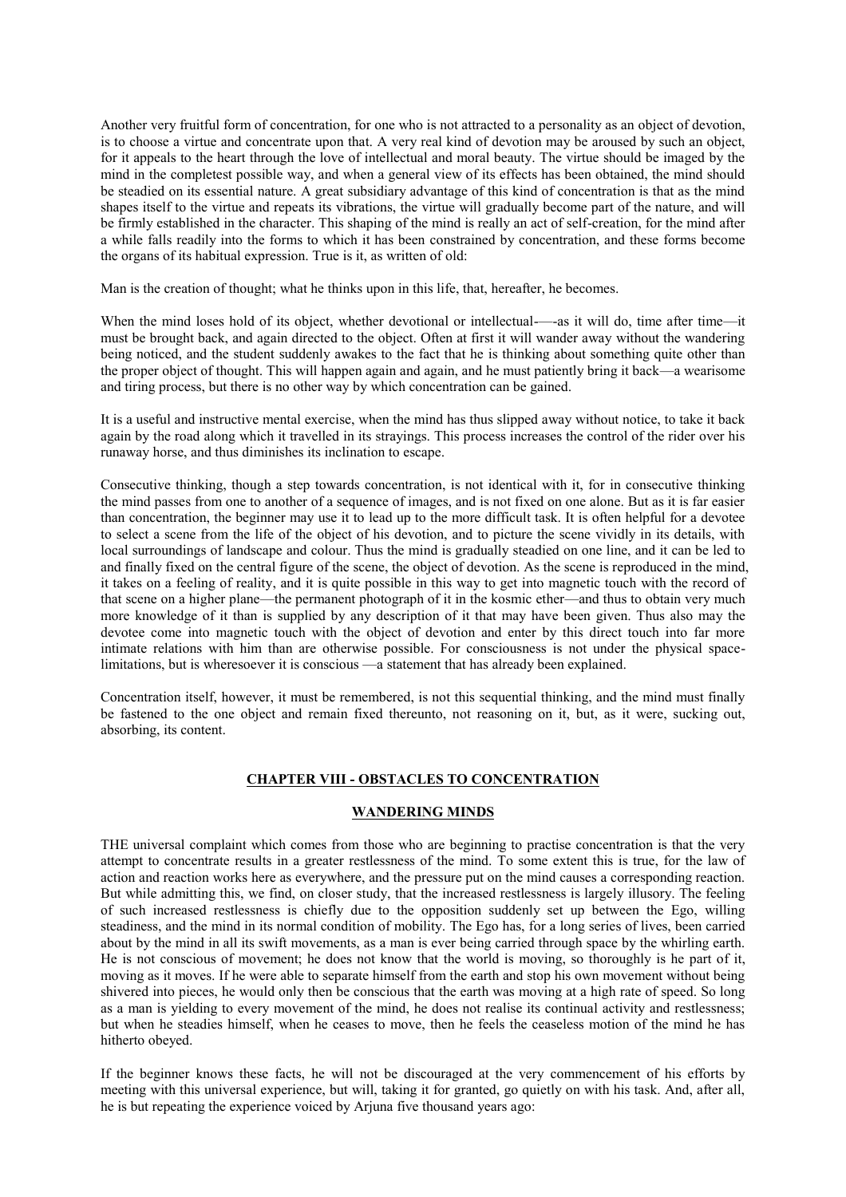Another very fruitful form of concentration, for one who is not attracted to a personality as an object of devotion, is to choose a virtue and concentrate upon that. A very real kind of devotion may be aroused by such an object, for it appeals to the heart through the love of intellectual and moral beauty. The virtue should be imaged by the mind in the completest possible way, and when a general view of its effects has been obtained, the mind should be steadied on its essential nature. A great subsidiary advantage of this kind of concentration is that as the mind shapes itself to the virtue and repeats its vibrations, the virtue will gradually become part of the nature, and will be firmly established in the character. This shaping of the mind is really an act of self-creation, for the mind after a while falls readily into the forms to which it has been constrained by concentration, and these forms become the organs of its habitual expression. True is it, as written of old:

Man is the creation of thought; what he thinks upon in this life, that, hereafter, he becomes.

When the mind loses hold of its object, whether devotional or intellectual—-as it will do, time after time—it must be brought back, and again directed to the object. Often at first it will wander away without the wandering being noticed, and the student suddenly awakes to the fact that he is thinking about something quite other than the proper object of thought. This will happen again and again, and he must patiently bring it back—a wearisome and tiring process, but there is no other way by which concentration can be gained.

It is a useful and instructive mental exercise, when the mind has thus slipped away without notice, to take it back again by the road along which it travelled in its strayings. This process increases the control of the rider over his runaway horse, and thus diminishes its inclination to escape.

Consecutive thinking, though a step towards concentration, is not identical with it, for in consecutive thinking the mind passes from one to another of a sequence of images, and is not fixed on one alone. But as it is far easier than concentration, the beginner may use it to lead up to the more difficult task. It is often helpful for a devotee to select a scene from the life of the object of his devotion, and to picture the scene vividly in its details, with local surroundings of landscape and colour. Thus the mind is gradually steadied on one line, and it can be led to and finally fixed on the central figure of the scene, the object of devotion. As the scene is reproduced in the mind, it takes on a feeling of reality, and it is quite possible in this way to get into magnetic touch with the record of that scene on a higher plane—the permanent photograph of it in the kosmic ether—and thus to obtain very much more knowledge of it than is supplied by any description of it that may have been given. Thus also may the devotee come into magnetic touch with the object of devotion and enter by this direct touch into far more intimate relations with him than are otherwise possible. For consciousness is not under the physical spacelimitations, but is wheresoever it is conscious —a statement that has already been explained.

Concentration itself, however, it must be remembered, is not this sequential thinking, and the mind must finally be fastened to the one object and remain fixed thereunto, not reasoning on it, but, as it were, sucking out, absorbing, its content.

# **CHAPTER VIII - OBSTACLES TO CONCENTRATION**

# **WANDERING MINDS**

THE universal complaint which comes from those who are beginning to practise concentration is that the very attempt to concentrate results in a greater restlessness of the mind. To some extent this is true, for the law of action and reaction works here as everywhere, and the pressure put on the mind causes a corresponding reaction. But while admitting this, we find, on closer study, that the increased restlessness is largely illusory. The feeling of such increased restlessness is chiefly due to the opposition suddenly set up between the Ego, willing steadiness, and the mind in its normal condition of mobility. The Ego has, for a long series of lives, been carried about by the mind in all its swift movements, as a man is ever being carried through space by the whirling earth. He is not conscious of movement; he does not know that the world is moving, so thoroughly is he part of it, moving as it moves. If he were able to separate himself from the earth and stop his own movement without being shivered into pieces, he would only then be conscious that the earth was moving at a high rate of speed. So long as a man is yielding to every movement of the mind, he does not realise its continual activity and restlessness; but when he steadies himself, when he ceases to move, then he feels the ceaseless motion of the mind he has hitherto obeyed.

If the beginner knows these facts, he will not be discouraged at the very commencement of his efforts by meeting with this universal experience, but will, taking it for granted, go quietly on with his task. And, after all, he is but repeating the experience voiced by Arjuna five thousand years ago: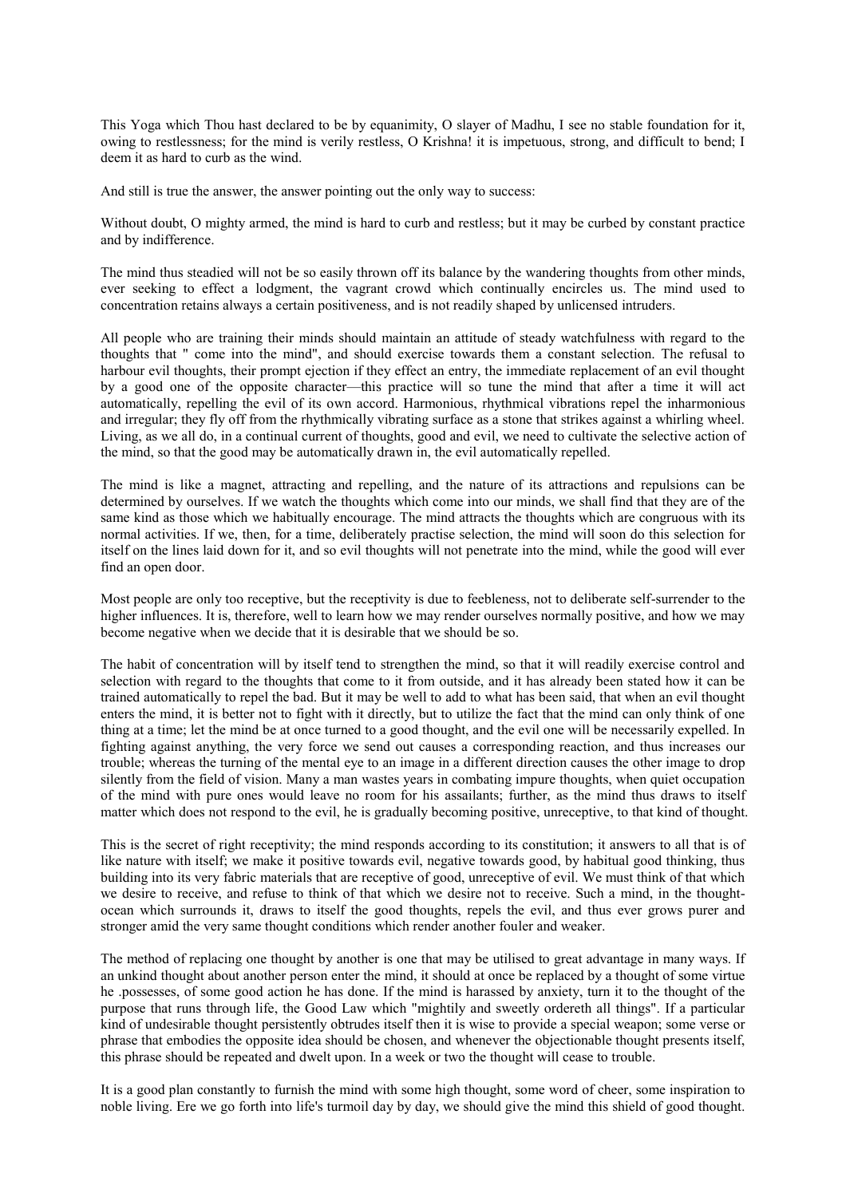This Yoga which Thou hast declared to be by equanimity, O slayer of Madhu, I see no stable foundation for it, owing to restlessness; for the mind is verily restless, O Krishna! it is impetuous, strong, and difficult to bend; I deem it as hard to curb as the wind.

And still is true the answer, the answer pointing out the only way to success:

Without doubt, O mighty armed, the mind is hard to curb and restless; but it may be curbed by constant practice and by indifference.

The mind thus steadied will not be so easily thrown off its balance by the wandering thoughts from other minds, ever seeking to effect a lodgment, the vagrant crowd which continually encircles us. The mind used to concentration retains always a certain positiveness, and is not readily shaped by unlicensed intruders.

All people who are training their minds should maintain an attitude of steady watchfulness with regard to the thoughts that " come into the mind", and should exercise towards them a constant selection. The refusal to harbour evil thoughts, their prompt ejection if they effect an entry, the immediate replacement of an evil thought by a good one of the opposite character—this practice will so tune the mind that after a time it will act automatically, repelling the evil of its own accord. Harmonious, rhythmical vibrations repel the inharmonious and irregular; they fly off from the rhythmically vibrating surface as a stone that strikes against a whirling wheel. Living, as we all do, in a continual current of thoughts, good and evil, we need to cultivate the selective action of the mind, so that the good may be automatically drawn in, the evil automatically repelled.

The mind is like a magnet, attracting and repelling, and the nature of its attractions and repulsions can be determined by ourselves. If we watch the thoughts which come into our minds, we shall find that they are of the same kind as those which we habitually encourage. The mind attracts the thoughts which are congruous with its normal activities. If we, then, for a time, deliberately practise selection, the mind will soon do this selection for itself on the lines laid down for it, and so evil thoughts will not penetrate into the mind, while the good will ever find an open door.

Most people are only too receptive, but the receptivity is due to feebleness, not to deliberate self-surrender to the higher influences. It is, therefore, well to learn how we may render ourselves normally positive, and how we may become negative when we decide that it is desirable that we should be so.

The habit of concentration will by itself tend to strengthen the mind, so that it will readily exercise control and selection with regard to the thoughts that come to it from outside, and it has already been stated how it can be trained automatically to repel the bad. But it may be well to add to what has been said, that when an evil thought enters the mind, it is better not to fight with it directly, but to utilize the fact that the mind can only think of one thing at a time; let the mind be at once turned to a good thought, and the evil one will be necessarily expelled. In fighting against anything, the very force we send out causes a corresponding reaction, and thus increases our trouble; whereas the turning of the mental eye to an image in a different direction causes the other image to drop silently from the field of vision. Many a man wastes years in combating impure thoughts, when quiet occupation of the mind with pure ones would leave no room for his assailants; further, as the mind thus draws to itself matter which does not respond to the evil, he is gradually becoming positive, unreceptive, to that kind of thought.

This is the secret of right receptivity; the mind responds according to its constitution; it answers to all that is of like nature with itself; we make it positive towards evil, negative towards good, by habitual good thinking, thus building into its very fabric materials that are receptive of good, unreceptive of evil. We must think of that which we desire to receive, and refuse to think of that which we desire not to receive. Such a mind, in the thoughtocean which surrounds it, draws to itself the good thoughts, repels the evil, and thus ever grows purer and stronger amid the very same thought conditions which render another fouler and weaker.

The method of replacing one thought by another is one that may be utilised to great advantage in many ways. If an unkind thought about another person enter the mind, it should at once be replaced by a thought of some virtue he .possesses, of some good action he has done. If the mind is harassed by anxiety, turn it to the thought of the purpose that runs through life, the Good Law which "mightily and sweetly ordereth all things". If a particular kind of undesirable thought persistently obtrudes itself then it is wise to provide a special weapon; some verse or phrase that embodies the opposite idea should be chosen, and whenever the objectionable thought presents itself, this phrase should be repeated and dwelt upon. In a week or two the thought will cease to trouble.

It is a good plan constantly to furnish the mind with some high thought, some word of cheer, some inspiration to noble living. Ere we go forth into life's turmoil day by day, we should give the mind this shield of good thought.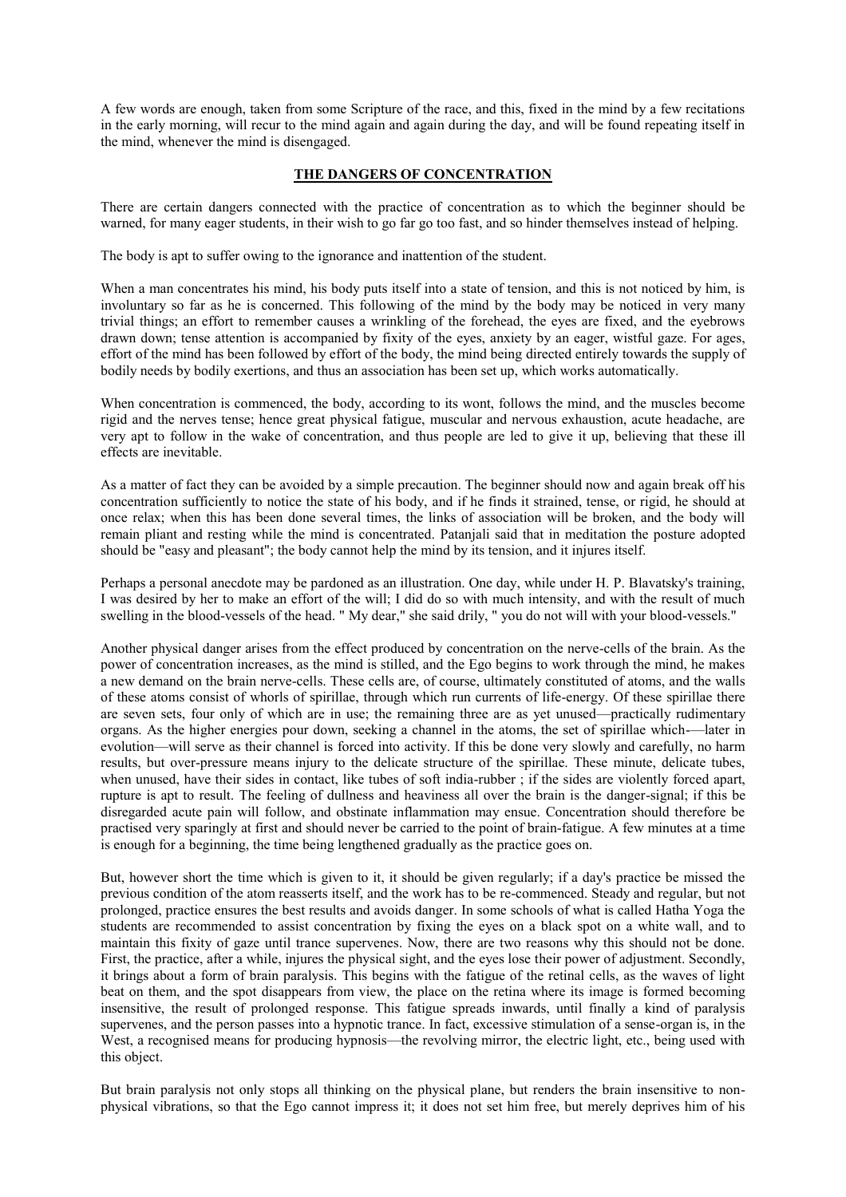A few words are enough, taken from some Scripture of the race, and this, fixed in the mind by a few recitations in the early morning, will recur to the mind again and again during the day, and will be found repeating itself in the mind, whenever the mind is disengaged.

## **THE DANGERS OF CONCENTRATION**

There are certain dangers connected with the practice of concentration as to which the beginner should be warned, for many eager students, in their wish to go far go too fast, and so hinder themselves instead of helping.

The body is apt to suffer owing to the ignorance and inattention of the student.

When a man concentrates his mind, his body puts itself into a state of tension, and this is not noticed by him, is involuntary so far as he is concerned. This following of the mind by the body may be noticed in very many trivial things; an effort to remember causes a wrinkling of the forehead, the eyes are fixed, and the eyebrows drawn down; tense attention is accompanied by fixity of the eyes, anxiety by an eager, wistful gaze. For ages, effort of the mind has been followed by effort of the body, the mind being directed entirely towards the supply of bodily needs by bodily exertions, and thus an association has been set up, which works automatically.

When concentration is commenced, the body, according to its wont, follows the mind, and the muscles become rigid and the nerves tense; hence great physical fatigue, muscular and nervous exhaustion, acute headache, are very apt to follow in the wake of concentration, and thus people are led to give it up, believing that these ill effects are inevitable.

As a matter of fact they can be avoided by a simple precaution. The beginner should now and again break off his concentration sufficiently to notice the state of his body, and if he finds it strained, tense, or rigid, he should at once relax; when this has been done several times, the links of association will be broken, and the body will remain pliant and resting while the mind is concentrated. Patanjali said that in meditation the posture adopted should be "easy and pleasant"; the body cannot help the mind by its tension, and it injures itself.

Perhaps a personal anecdote may be pardoned as an illustration. One day, while under H. P. Blavatsky's training, I was desired by her to make an effort of the will; I did do so with much intensity, and with the result of much swelling in the blood-vessels of the head. " My dear," she said drily, " you do not will with your blood-vessels."

Another physical danger arises from the effect produced by concentration on the nerve-cells of the brain. As the power of concentration increases, as the mind is stilled, and the Ego begins to work through the mind, he makes a new demand on the brain nerve-cells. These cells are, of course, ultimately constituted of atoms, and the walls of these atoms consist of whorls of spirillae, through which run currents of life-energy. Of these spirillae there are seven sets, four only of which are in use; the remaining three are as yet unused—practically rudimentary organs. As the higher energies pour down, seeking a channel in the atoms, the set of spirillae which-—later in evolution—will serve as their channel is forced into activity. If this be done very slowly and carefully, no harm results, but over-pressure means injury to the delicate structure of the spirillae. These minute, delicate tubes, when unused, have their sides in contact, like tubes of soft india-rubber ; if the sides are violently forced apart, rupture is apt to result. The feeling of dullness and heaviness all over the brain is the danger-signal; if this be disregarded acute pain will follow, and obstinate inflammation may ensue. Concentration should therefore be practised very sparingly at first and should never be carried to the point of brain-fatigue. A few minutes at a time is enough for a beginning, the time being lengthened gradually as the practice goes on.

But, however short the time which is given to it, it should be given regularly; if a day's practice be missed the previous condition of the atom reasserts itself, and the work has to be re-commenced. Steady and regular, but not prolonged, practice ensures the best results and avoids danger. In some schools of what is called Hatha Yoga the students are recommended to assist concentration by fixing the eyes on a black spot on a white wall, and to maintain this fixity of gaze until trance supervenes. Now, there are two reasons why this should not be done. First, the practice, after a while, injures the physical sight, and the eyes lose their power of adjustment. Secondly, it brings about a form of brain paralysis. This begins with the fatigue of the retinal cells, as the waves of light beat on them, and the spot disappears from view, the place on the retina where its image is formed becoming insensitive, the result of prolonged response. This fatigue spreads inwards, until finally a kind of paralysis supervenes, and the person passes into a hypnotic trance. In fact, excessive stimulation of a sense-organ is, in the West, a recognised means for producing hypnosis—the revolving mirror, the electric light, etc., being used with this object.

But brain paralysis not only stops all thinking on the physical plane, but renders the brain insensitive to nonphysical vibrations, so that the Ego cannot impress it; it does not set him free, but merely deprives him of his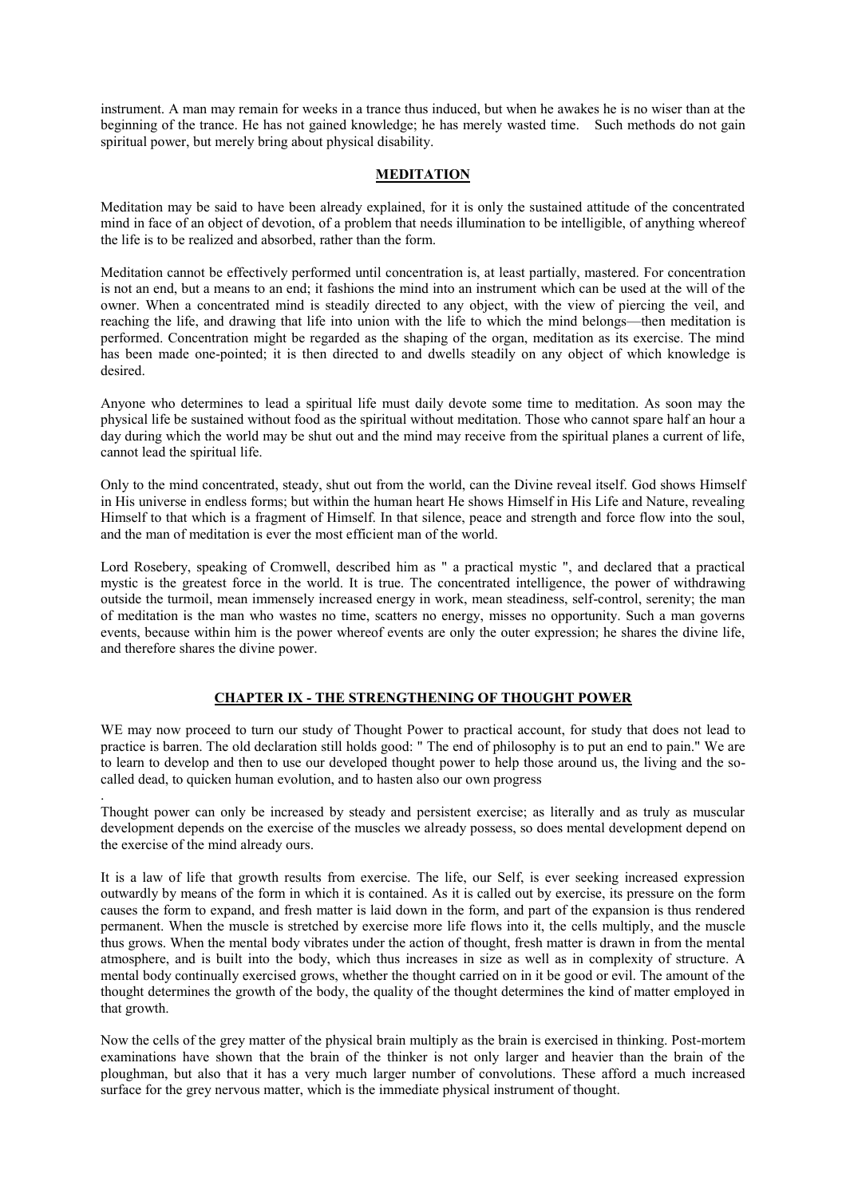instrument. A man may remain for weeks in a trance thus induced, but when he awakes he is no wiser than at the beginning of the trance. He has not gained knowledge; he has merely wasted time. Such methods do not gain spiritual power, but merely bring about physical disability.

## **MEDITATION**

Meditation may be said to have been already explained, for it is only the sustained attitude of the concentrated mind in face of an object of devotion, of a problem that needs illumination to be intelligible, of anything whereof the life is to be realized and absorbed, rather than the form.

Meditation cannot be effectively performed until concentration is, at least partially, mastered. For concentration is not an end, but a means to an end; it fashions the mind into an instrument which can be used at the will of the owner. When a concentrated mind is steadily directed to any object, with the view of piercing the veil, and reaching the life, and drawing that life into union with the life to which the mind belongs—then meditation is performed. Concentration might be regarded as the shaping of the organ, meditation as its exercise. The mind has been made one-pointed; it is then directed to and dwells steadily on any object of which knowledge is desired.

Anyone who determines to lead a spiritual life must daily devote some time to meditation. As soon may the physical life be sustained without food as the spiritual without meditation. Those who cannot spare half an hour a day during which the world may be shut out and the mind may receive from the spiritual planes a current of life, cannot lead the spiritual life.

Only to the mind concentrated, steady, shut out from the world, can the Divine reveal itself. God shows Himself in His universe in endless forms; but within the human heart He shows Himself in His Life and Nature, revealing Himself to that which is a fragment of Himself. In that silence, peace and strength and force flow into the soul, and the man of meditation is ever the most efficient man of the world.

Lord Rosebery, speaking of Cromwell, described him as " a practical mystic ", and declared that a practical mystic is the greatest force in the world. It is true. The concentrated intelligence, the power of withdrawing outside the turmoil, mean immensely increased energy in work, mean steadiness, self-control, serenity; the man of meditation is the man who wastes no time, scatters no energy, misses no opportunity. Such a man governs events, because within him is the power whereof events are only the outer expression; he shares the divine life, and therefore shares the divine power.

# **CHAPTER IX - THE STRENGTHENING OF THOUGHT POWER**

WE may now proceed to turn our study of Thought Power to practical account, for study that does not lead to practice is barren. The old declaration still holds good: " The end of philosophy is to put an end to pain." We are to learn to develop and then to use our developed thought power to help those around us, the living and the socalled dead, to quicken human evolution, and to hasten also our own progress

Thought power can only be increased by steady and persistent exercise; as literally and as truly as muscular development depends on the exercise of the muscles we already possess, so does mental development depend on the exercise of the mind already ours.

.

It is a law of life that growth results from exercise. The life, our Self, is ever seeking increased expression outwardly by means of the form in which it is contained. As it is called out by exercise, its pressure on the form causes the form to expand, and fresh matter is laid down in the form, and part of the expansion is thus rendered permanent. When the muscle is stretched by exercise more life flows into it, the cells multiply, and the muscle thus grows. When the mental body vibrates under the action of thought, fresh matter is drawn in from the mental atmosphere, and is built into the body, which thus increases in size as well as in complexity of structure. A mental body continually exercised grows, whether the thought carried on in it be good or evil. The amount of the thought determines the growth of the body, the quality of the thought determines the kind of matter employed in that growth.

Now the cells of the grey matter of the physical brain multiply as the brain is exercised in thinking. Post-mortem examinations have shown that the brain of the thinker is not only larger and heavier than the brain of the ploughman, but also that it has a very much larger number of convolutions. These afford a much increased surface for the grey nervous matter, which is the immediate physical instrument of thought.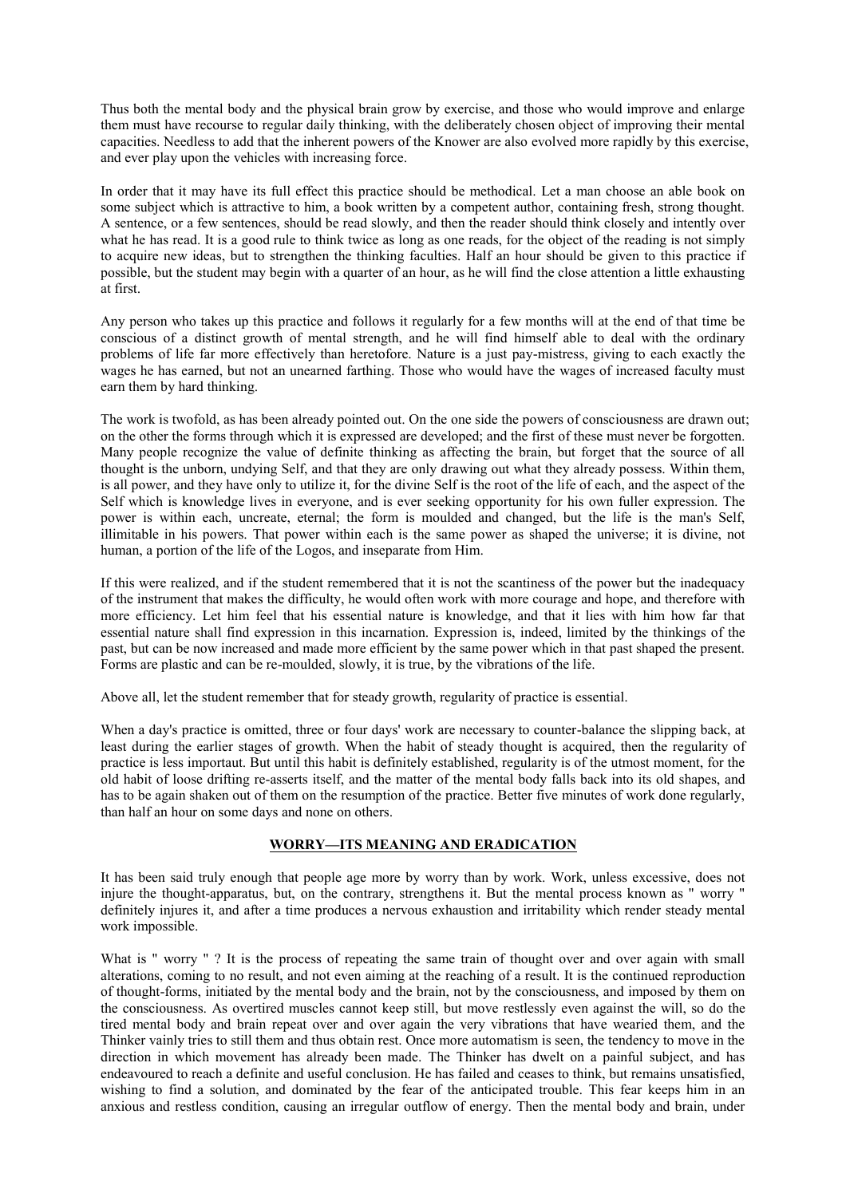Thus both the mental body and the physical brain grow by exercise, and those who would improve and enlarge them must have recourse to regular daily thinking, with the deliberately chosen object of improving their mental capacities. Needless to add that the inherent powers of the Knower are also evolved more rapidly by this exercise, and ever play upon the vehicles with increasing force.

In order that it may have its full effect this practice should be methodical. Let a man choose an able book on some subject which is attractive to him, a book written by a competent author, containing fresh, strong thought. A sentence, or a few sentences, should be read slowly, and then the reader should think closely and intently over what he has read. It is a good rule to think twice as long as one reads, for the object of the reading is not simply to acquire new ideas, but to strengthen the thinking faculties. Half an hour should be given to this practice if possible, but the student may begin with a quarter of an hour, as he will find the close attention a little exhausting at first.

Any person who takes up this practice and follows it regularly for a few months will at the end of that time be conscious of a distinct growth of mental strength, and he will find himself able to deal with the ordinary problems of life far more effectively than heretofore. Nature is a just pay-mistress, giving to each exactly the wages he has earned, but not an unearned farthing. Those who would have the wages of increased faculty must earn them by hard thinking.

The work is twofold, as has been already pointed out. On the one side the powers of consciousness are drawn out; on the other the forms through which it is expressed are developed; and the first of these must never be forgotten. Many people recognize the value of definite thinking as affecting the brain, but forget that the source of all thought is the unborn, undying Self, and that they are only drawing out what they already possess. Within them, is all power, and they have only to utilize it, for the divine Self is the root of the life of each, and the aspect of the Self which is knowledge lives in everyone, and is ever seeking opportunity for his own fuller expression. The power is within each, uncreate, eternal; the form is moulded and changed, but the life is the man's Self, illimitable in his powers. That power within each is the same power as shaped the universe; it is divine, not human, a portion of the life of the Logos, and inseparate from Him.

If this were realized, and if the student remembered that it is not the scantiness of the power but the inadequacy of the instrument that makes the difficulty, he would often work with more courage and hope, and therefore with more efficiency. Let him feel that his essential nature is knowledge, and that it lies with him how far that essential nature shall find expression in this incarnation. Expression is, indeed, limited by the thinkings of the past, but can be now increased and made more efficient by the same power which in that past shaped the present. Forms are plastic and can be re-moulded, slowly, it is true, by the vibrations of the life.

Above all, let the student remember that for steady growth, regularity of practice is essential.

When a day's practice is omitted, three or four days' work are necessary to counter-balance the slipping back, at least during the earlier stages of growth. When the habit of steady thought is acquired, then the regularity of practice is less importaut. But until this habit is definitely established, regularity is of the utmost moment, for the old habit of loose drifting re-asserts itself, and the matter of the mental body falls back into its old shapes, and has to be again shaken out of them on the resumption of the practice. Better five minutes of work done regularly, than half an hour on some days and none on others.

## **WORRY—ITS MEANING AND ERADICATION**

It has been said truly enough that people age more by worry than by work. Work, unless excessive, does not injure the thought-apparatus, but, on the contrary, strengthens it. But the mental process known as " worry " definitely injures it, and after a time produces a nervous exhaustion and irritability which render steady mental work impossible.

What is " worry " ? It is the process of repeating the same train of thought over and over again with small alterations, coming to no result, and not even aiming at the reaching of a result. It is the continued reproduction of thought-forms, initiated by the mental body and the brain, not by the consciousness, and imposed by them on the consciousness. As overtired muscles cannot keep still, but move restlessly even against the will, so do the tired mental body and brain repeat over and over again the very vibrations that have wearied them, and the Thinker vainly tries to still them and thus obtain rest. Once more automatism is seen, the tendency to move in the direction in which movement has already been made. The Thinker has dwelt on a painful subject, and has endeavoured to reach a definite and useful conclusion. He has failed and ceases to think, but remains unsatisfied, wishing to find a solution, and dominated by the fear of the anticipated trouble. This fear keeps him in an anxious and restless condition, causing an irregular outflow of energy. Then the mental body and brain, under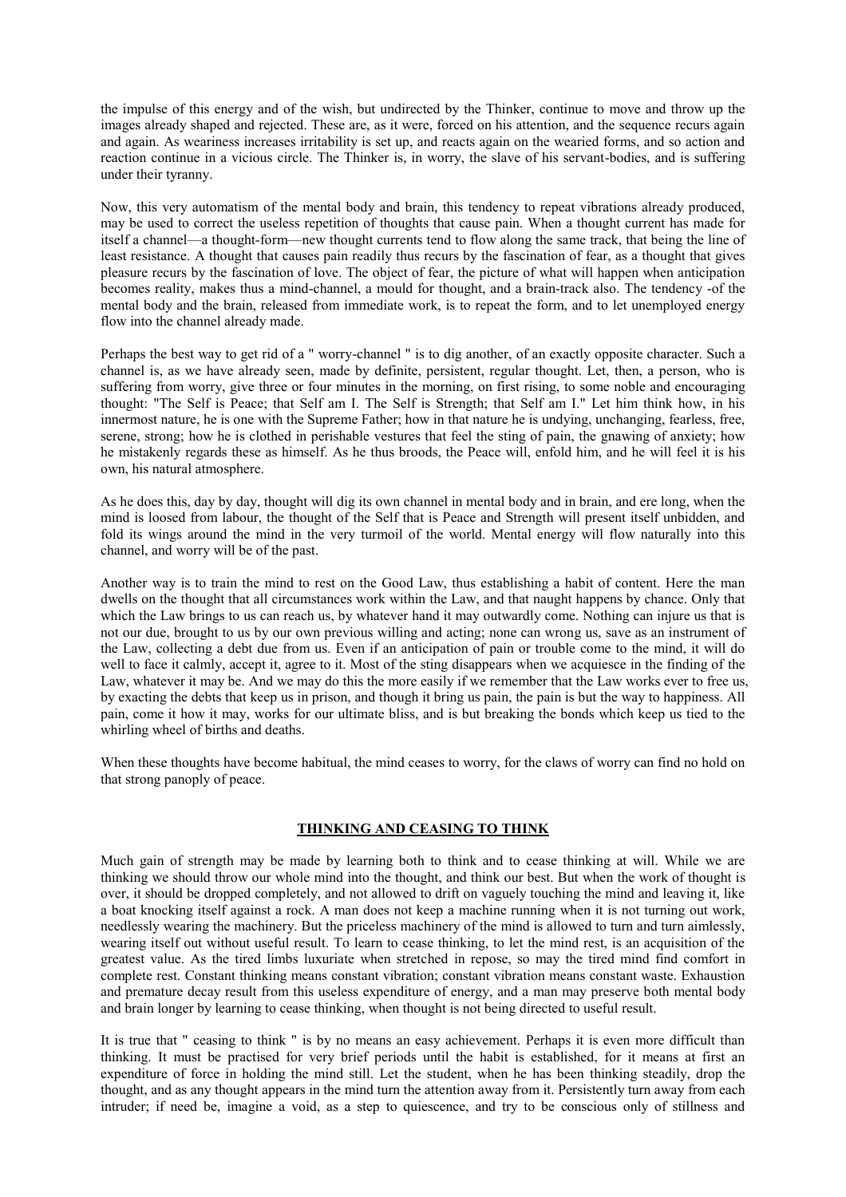the impulse of this energy and of the wish, but undirected by the Thinker, continue to move and throw up the images already shaped and rejected. These are, as it were, forced on his attention, and the sequence recurs again and again. As weariness increases irritability is set up, and reacts again on the wearied forms, and so action and reaction continue in a vicious circle. The Thinker is, in worry, the slave of his servant-bodies, and is suffering under their tyranny.

Now, this very automatism of the mental body and brain, this tendency to repeat vibrations already produced, may be used to correct the useless repetition of thoughts that cause pain. When a thought current has made for itself a channel—a thought-form—new thought currents tend to flow along the same track, that being the line of least resistance. A thought that causes pain readily thus recurs by the fascination of fear, as a thought that gives pleasure recurs by the fascination of love. The object of fear, the picture of what will happen when anticipation becomes reality, makes thus a mind-channel, a mould for thought, and a brain-track also. The tendency -of the mental body and the brain, released from immediate work, is to repeat the form, and to let unemployed energy flow into the channel already made.

Perhaps the best way to get rid of a " worry-channel " is to dig another, of an exactly opposite character. Such a channel is, as we have already seen, made by definite, persistent, regular thought. Let, then, a person, who is suffering from worry, give three or four minutes in the morning, on first rising, to some noble and encouraging thought: "The Self is Peace; that Self am I. The Self is Strength; that Self am I." Let him think how, in his innermost nature, he is one with the Supreme Father; how in that nature he is undying, unchanging, fearless, free, serene, strong; how he is clothed in perishable vestures that feel the sting of pain, the gnawing of anxiety; how he mistakenly regards these as himself. As he thus broods, the Peace will, enfold him, and he will feel it is his own, his natural atmosphere.

As he does this, day by day, thought will dig its own channel in mental body and in brain, and ere long, when the mind is loosed from labour, the thought of the Self that is Peace and Strength will present itself unbidden, and fold its wings around the mind in the very turmoil of the world. Mental energy will flow naturally into this channel, and worry will be of the past.

Another way is to train the mind to rest on the Good Law, thus establishing a habit of content. Here the man dwells on the thought that all circumstances work within the Law, and that naught happens by chance. Only that which the Law brings to us can reach us, by whatever hand it may outwardly come. Nothing can injure us that is not our due, brought to us by our own previous willing and acting; none can wrong us, save as an instrument of the Law, collecting a debt due from us. Even if an anticipation of pain or trouble come to the mind, it will do well to face it calmly, accept it, agree to it. Most of the sting disappears when we acquiesce in the finding of the Law, whatever it may be. And we may do this the more easily if we remember that the Law works ever to free us, by exacting the debts that keep us in prison, and though it bring us pain, the pain is but the way to happiness. All pain, come it how it may, works for our ultimate bliss, and is but breaking the bonds which keep us tied to the whirling wheel of births and deaths.

When these thoughts have become habitual, the mind ceases to worry, for the claws of worry can find no hold on that strong panoply of peace.

## **THINKING AND CEASING TO THINK**

Much gain of strength may be made by learning both to think and to cease thinking at will. While we are thinking we should throw our whole mind into the thought, and think our best. But when the work of thought is over, it should be dropped completely, and not allowed to drift on vaguely touching the mind and leaving it, like a boat knocking itself against a rock. A man does not keep a machine running when it is not turning out work, needlessly wearing the machinery. But the priceless machinery of the mind is allowed to turn and turn aimlessly, wearing itself out without useful result. To learn to cease thinking, to let the mind rest, is an acquisition of the greatest value. As the tired limbs luxuriate when stretched in repose, so may the tired mind find comfort in complete rest. Constant thinking means constant vibration; constant vibration means constant waste. Exhaustion and premature decay result from this useless expenditure of energy, and a man may preserve both mental body and brain longer by learning to cease thinking, when thought is not being directed to useful result.

It is true that " ceasing to think " is by no means an easy achievement. Perhaps it is even more difficult than thinking. It must be practised for very brief periods until the habit is established, for it means at first an expenditure of force in holding the mind still. Let the student, when he has been thinking steadily, drop the thought, and as any thought appears in the mind turn the attention away from it. Persistently turn away from each intruder; if need be, imagine a void, as a step to quiescence, and try to be conscious only of stillness and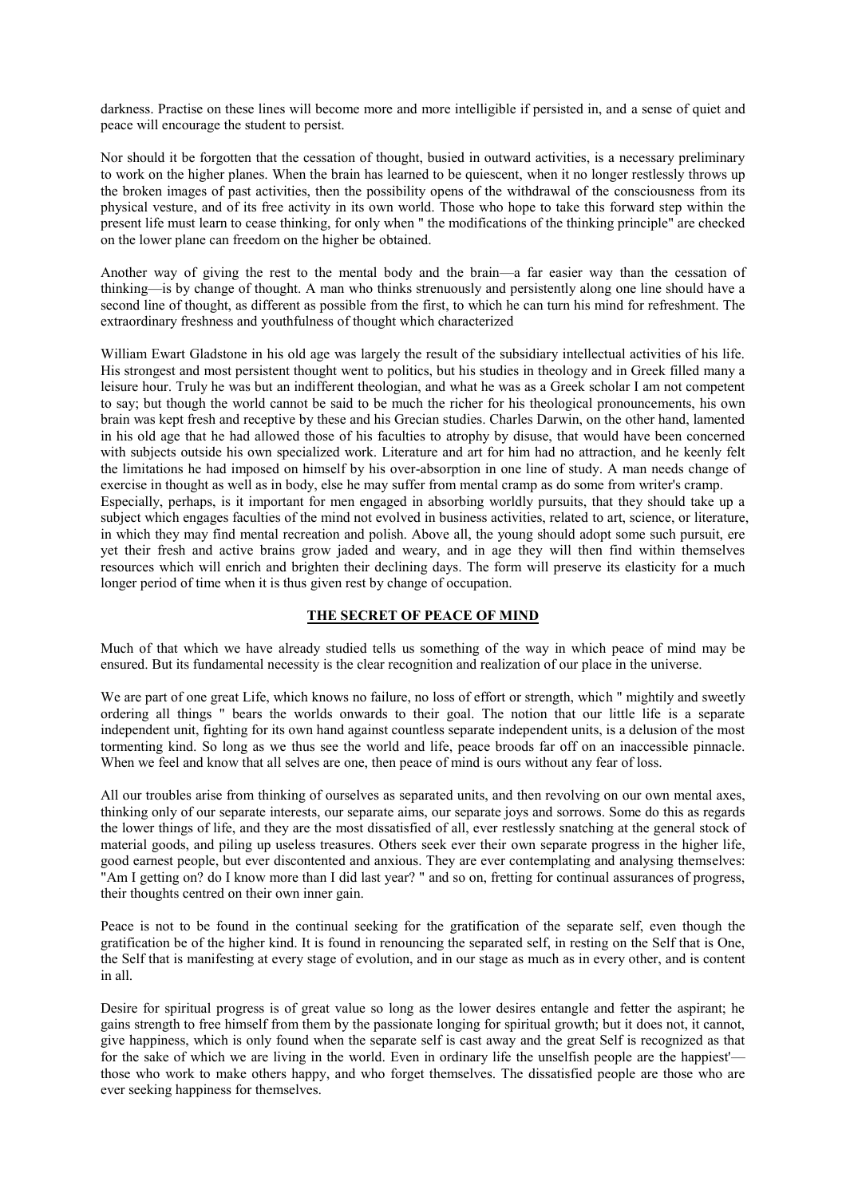darkness. Practise on these lines will become more and more intelligible if persisted in, and a sense of quiet and peace will encourage the student to persist.

Nor should it be forgotten that the cessation of thought, busied in outward activities, is a necessary preliminary to work on the higher planes. When the brain has learned to be quiescent, when it no longer restlessly throws up the broken images of past activities, then the possibility opens of the withdrawal of the consciousness from its physical vesture, and of its free activity in its own world. Those who hope to take this forward step within the present life must learn to cease thinking, for only when " the modifications of the thinking principle" are checked on the lower plane can freedom on the higher be obtained.

Another way of giving the rest to the mental body and the brain—a far easier way than the cessation of thinking—is by change of thought. A man who thinks strenuously and persistently along one line should have a second line of thought, as different as possible from the first, to which he can turn his mind for refreshment. The extraordinary freshness and youthfulness of thought which characterized

William Ewart Gladstone in his old age was largely the result of the subsidiary intellectual activities of his life. His strongest and most persistent thought went to politics, but his studies in theology and in Greek filled many a leisure hour. Truly he was but an indifferent theologian, and what he was as a Greek scholar I am not competent to say; but though the world cannot be said to be much the richer for his theological pronouncements, his own brain was kept fresh and receptive by these and his Grecian studies. Charles Darwin, on the other hand, lamented in his old age that he had allowed those of his faculties to atrophy by disuse, that would have been concerned with subjects outside his own specialized work. Literature and art for him had no attraction, and he keenly felt the limitations he had imposed on himself by his over-absorption in one line of study. A man needs change of exercise in thought as well as in body, else he may suffer from mental cramp as do some from writer's cramp. Especially, perhaps, is it important for men engaged in absorbing worldly pursuits, that they should take up a subject which engages faculties of the mind not evolved in business activities, related to art, science, or literature, in which they may find mental recreation and polish. Above all, the young should adopt some such pursuit, ere yet their fresh and active brains grow jaded and weary, and in age they will then find within themselves resources which will enrich and brighten their declining days. The form will preserve its elasticity for a much longer period of time when it is thus given rest by change of occupation.

#### **THE SECRET OF PEACE OF MIND**

Much of that which we have already studied tells us something of the way in which peace of mind may be ensured. But its fundamental necessity is the clear recognition and realization of our place in the universe.

We are part of one great Life, which knows no failure, no loss of effort or strength, which " mightily and sweetly ordering all things " bears the worlds onwards to their goal. The notion that our little life is a separate independent unit, fighting for its own hand against countless separate independent units, is a delusion of the most tormenting kind. So long as we thus see the world and life, peace broods far off on an inaccessible pinnacle. When we feel and know that all selves are one, then peace of mind is ours without any fear of loss.

All our troubles arise from thinking of ourselves as separated units, and then revolving on our own mental axes, thinking only of our separate interests, our separate aims, our separate joys and sorrows. Some do this as regards the lower things of life, and they are the most dissatisfied of all, ever restlessly snatching at the general stock of material goods, and piling up useless treasures. Others seek ever their own separate progress in the higher life, good earnest people, but ever discontented and anxious. They are ever contemplating and analysing themselves: "Am I getting on? do I know more than I did last year? " and so on, fretting for continual assurances of progress, their thoughts centred on their own inner gain.

Peace is not to be found in the continual seeking for the gratification of the separate self, even though the gratification be of the higher kind. It is found in renouncing the separated self, in resting on the Self that is One, the Self that is manifesting at every stage of evolution, and in our stage as much as in every other, and is content in all.

Desire for spiritual progress is of great value so long as the lower desires entangle and fetter the aspirant; he gains strength to free himself from them by the passionate longing for spiritual growth; but it does not, it cannot, give happiness, which is only found when the separate self is cast away and the great Self is recognized as that for the sake of which we are living in the world. Even in ordinary life the unselfish people are the happiest' those who work to make others happy, and who forget themselves. The dissatisfied people are those who are ever seeking happiness for themselves.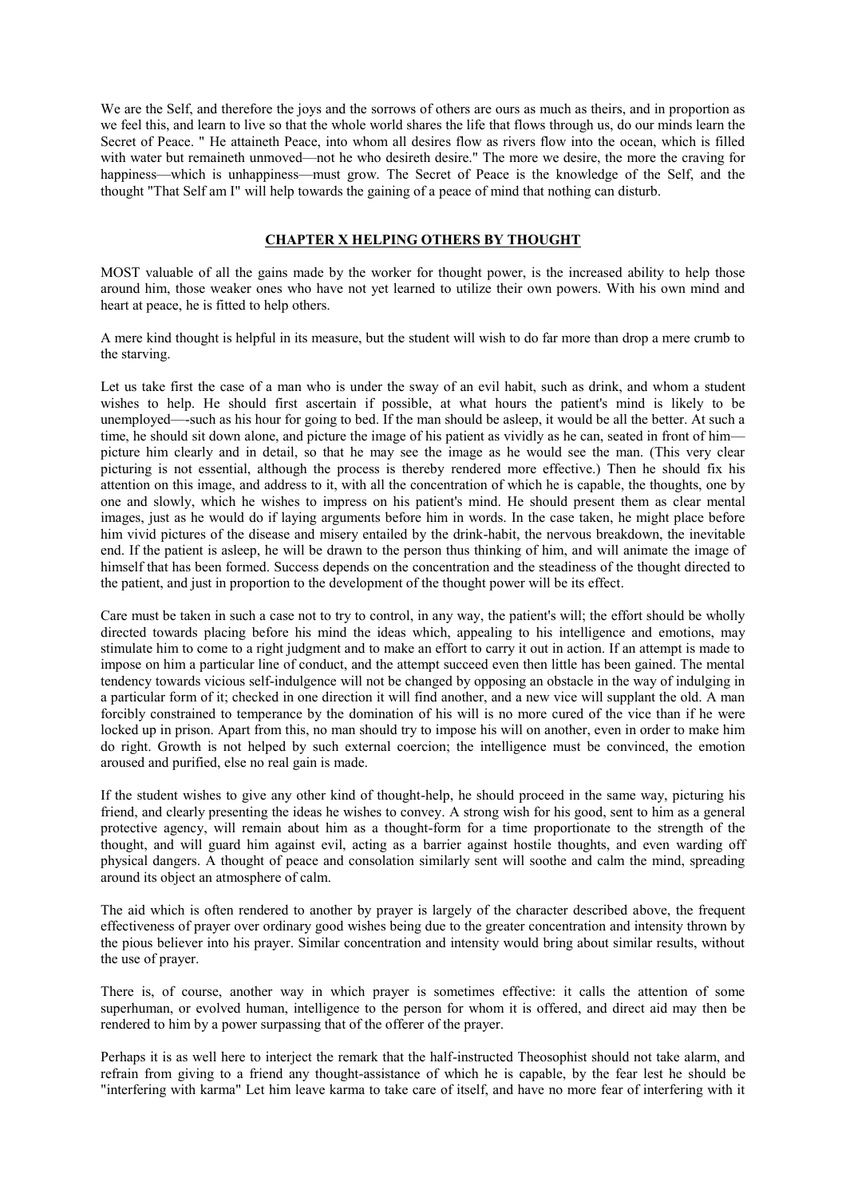We are the Self, and therefore the joys and the sorrows of others are ours as much as theirs, and in proportion as we feel this, and learn to live so that the whole world shares the life that flows through us, do our minds learn the Secret of Peace. " He attaineth Peace, into whom all desires flow as rivers flow into the ocean, which is filled with water but remaineth unmoved—not he who desireth desire." The more we desire, the more the craving for happiness—which is unhappiness—must grow. The Secret of Peace is the knowledge of the Self, and the thought "That Self am I" will help towards the gaining of a peace of mind that nothing can disturb.

## **CHAPTER X HELPING OTHERS BY THOUGHT**

MOST valuable of all the gains made by the worker for thought power, is the increased ability to help those around him, those weaker ones who have not yet learned to utilize their own powers. With his own mind and heart at peace, he is fitted to help others.

A mere kind thought is helpful in its measure, but the student will wish to do far more than drop a mere crumb to the starving.

Let us take first the case of a man who is under the sway of an evil habit, such as drink, and whom a student wishes to help. He should first ascertain if possible, at what hours the patient's mind is likely to be unemployed—-such as his hour for going to bed. If the man should be asleep, it would be all the better. At such a time, he should sit down alone, and picture the image of his patient as vividly as he can, seated in front of him picture him clearly and in detail, so that he may see the image as he would see the man. (This very clear picturing is not essential, although the process is thereby rendered more effective.) Then he should fix his attention on this image, and address to it, with all the concentration of which he is capable, the thoughts, one by one and slowly, which he wishes to impress on his patient's mind. He should present them as clear mental images, just as he would do if laying arguments before him in words. In the case taken, he might place before him vivid pictures of the disease and misery entailed by the drink-habit, the nervous breakdown, the inevitable end. If the patient is asleep, he will be drawn to the person thus thinking of him, and will animate the image of himself that has been formed. Success depends on the concentration and the steadiness of the thought directed to the patient, and just in proportion to the development of the thought power will be its effect.

Care must be taken in such a case not to try to control, in any way, the patient's will; the effort should be wholly directed towards placing before his mind the ideas which, appealing to his intelligence and emotions, may stimulate him to come to a right judgment and to make an effort to carry it out in action. If an attempt is made to impose on him a particular line of conduct, and the attempt succeed even then little has been gained. The mental tendency towards vicious self-indulgence will not be changed by opposing an obstacle in the way of indulging in a particular form of it; checked in one direction it will find another, and a new vice will supplant the old. A man forcibly constrained to temperance by the domination of his will is no more cured of the vice than if he were locked up in prison. Apart from this, no man should try to impose his will on another, even in order to make him do right. Growth is not helped by such external coercion; the intelligence must be convinced, the emotion aroused and purified, else no real gain is made.

If the student wishes to give any other kind of thought-help, he should proceed in the same way, picturing his friend, and clearly presenting the ideas he wishes to convey. A strong wish for his good, sent to him as a general protective agency, will remain about him as a thought-form for a time proportionate to the strength of the thought, and will guard him against evil, acting as a barrier against hostile thoughts, and even warding off physical dangers. A thought of peace and consolation similarly sent will soothe and calm the mind, spreading around its object an atmosphere of calm.

The aid which is often rendered to another by prayer is largely of the character described above, the frequent effectiveness of prayer over ordinary good wishes being due to the greater concentration and intensity thrown by the pious believer into his prayer. Similar concentration and intensity would bring about similar results, without the use of prayer.

There is, of course, another way in which prayer is sometimes effective: it calls the attention of some superhuman, or evolved human, intelligence to the person for whom it is offered, and direct aid may then be rendered to him by a power surpassing that of the offerer of the prayer.

Perhaps it is as well here to interject the remark that the half-instructed Theosophist should not take alarm, and refrain from giving to a friend any thought-assistance of which he is capable, by the fear lest he should be "interfering with karma" Let him leave karma to take care of itself, and have no more fear of interfering with it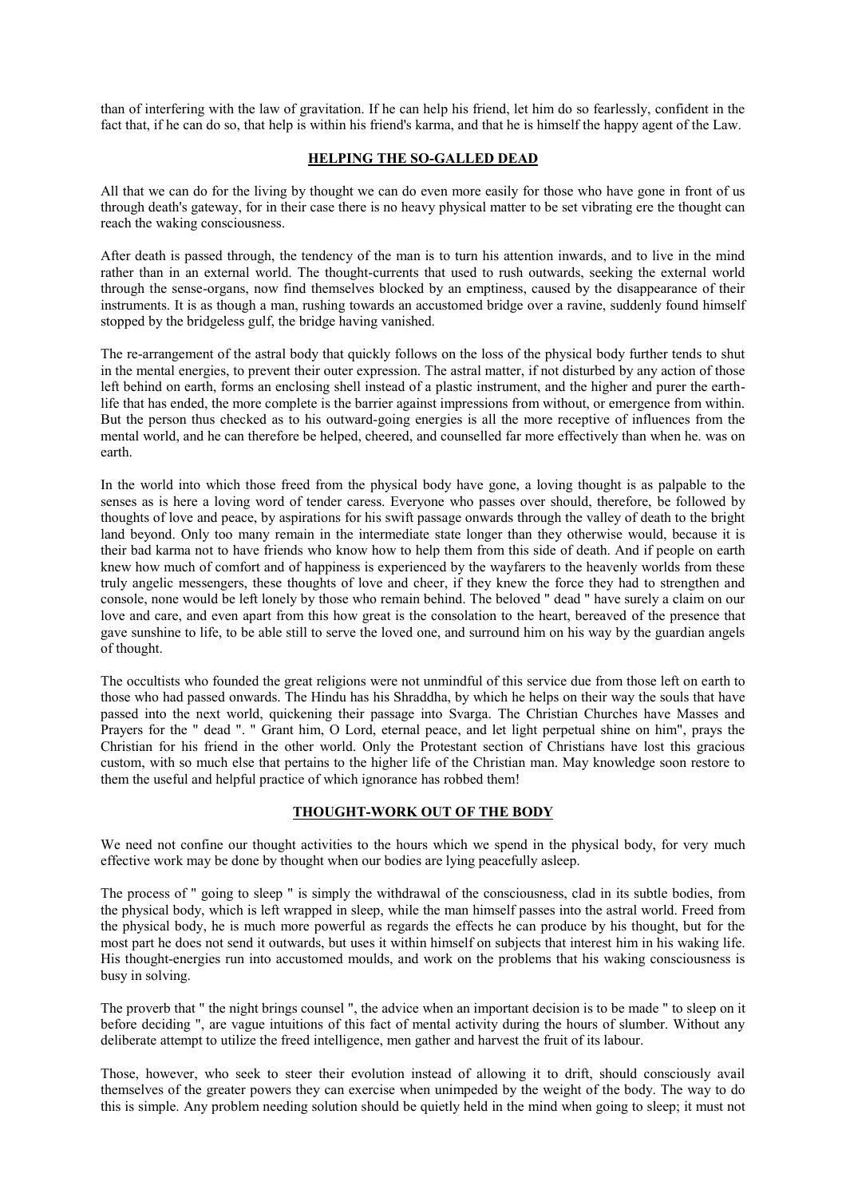than of interfering with the law of gravitation. If he can help his friend, let him do so fearlessly, confident in the fact that, if he can do so, that help is within his friend's karma, and that he is himself the happy agent of the Law.

## **HELPING THE SO-GALLED DEAD**

All that we can do for the living by thought we can do even more easily for those who have gone in front of us through death's gateway, for in their case there is no heavy physical matter to be set vibrating ere the thought can reach the waking consciousness.

After death is passed through, the tendency of the man is to turn his attention inwards, and to live in the mind rather than in an external world. The thought-currents that used to rush outwards, seeking the external world through the sense-organs, now find themselves blocked by an emptiness, caused by the disappearance of their instruments. It is as though a man, rushing towards an accustomed bridge over a ravine, suddenly found himself stopped by the bridgeless gulf, the bridge having vanished.

The re-arrangement of the astral body that quickly follows on the loss of the physical body further tends to shut in the mental energies, to prevent their outer expression. The astral matter, if not disturbed by any action of those left behind on earth, forms an enclosing shell instead of a plastic instrument, and the higher and purer the earthlife that has ended, the more complete is the barrier against impressions from without, or emergence from within. But the person thus checked as to his outward-going energies is all the more receptive of influences from the mental world, and he can therefore be helped, cheered, and counselled far more effectively than when he. was on earth.

In the world into which those freed from the physical body have gone, a loving thought is as palpable to the senses as is here a loving word of tender caress. Everyone who passes over should, therefore, be followed by thoughts of love and peace, by aspirations for his swift passage onwards through the valley of death to the bright land beyond. Only too many remain in the intermediate state longer than they otherwise would, because it is their bad karma not to have friends who know how to help them from this side of death. And if people on earth knew how much of comfort and of happiness is experienced by the wayfarers to the heavenly worlds from these truly angelic messengers, these thoughts of love and cheer, if they knew the force they had to strengthen and console, none would be left lonely by those who remain behind. The beloved " dead " have surely a claim on our love and care, and even apart from this how great is the consolation to the heart, bereaved of the presence that gave sunshine to life, to be able still to serve the loved one, and surround him on his way by the guardian angels of thought.

The occultists who founded the great religions were not unmindful of this service due from those left on earth to those who had passed onwards. The Hindu has his Shraddha, by which he helps on their way the souls that have passed into the next world, quickening their passage into Svarga. The Christian Churches have Masses and Prayers for the " dead ". " Grant him, O Lord, eternal peace, and let light perpetual shine on him", prays the Christian for his friend in the other world. Only the Protestant section of Christians have lost this gracious custom, with so much else that pertains to the higher life of the Christian man. May knowledge soon restore to them the useful and helpful practice of which ignorance has robbed them!

## **THOUGHT-WORK OUT OF THE BODY**

We need not confine our thought activities to the hours which we spend in the physical body, for very much effective work may be done by thought when our bodies are lying peacefully asleep.

The process of " going to sleep " is simply the withdrawal of the consciousness, clad in its subtle bodies, from the physical body, which is left wrapped in sleep, while the man himself passes into the astral world. Freed from the physical body, he is much more powerful as regards the effects he can produce by his thought, but for the most part he does not send it outwards, but uses it within himself on subjects that interest him in his waking life. His thought-energies run into accustomed moulds, and work on the problems that his waking consciousness is busy in solving.

The proverb that " the night brings counsel ", the advice when an important decision is to be made " to sleep on it before deciding ", are vague intuitions of this fact of mental activity during the hours of slumber. Without any deliberate attempt to utilize the freed intelligence, men gather and harvest the fruit of its labour.

Those, however, who seek to steer their evolution instead of allowing it to drift, should consciously avail themselves of the greater powers they can exercise when unimpeded by the weight of the body. The way to do this is simple. Any problem needing solution should be quietly held in the mind when going to sleep; it must not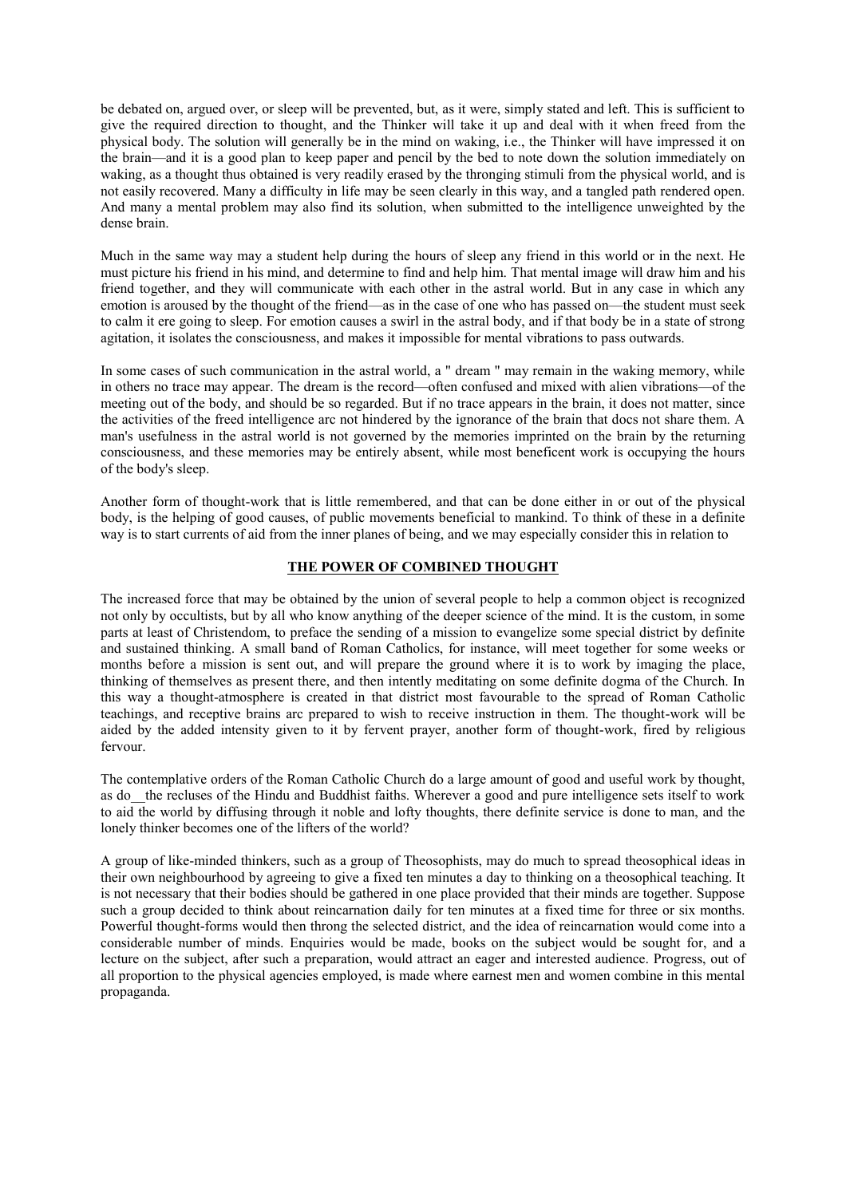be debated on, argued over, or sleep will be prevented, but, as it were, simply stated and left. This is sufficient to give the required direction to thought, and the Thinker will take it up and deal with it when freed from the physical body. The solution will generally be in the mind on waking, i.e., the Thinker will have impressed it on the brain—and it is a good plan to keep paper and pencil by the bed to note down the solution immediately on waking, as a thought thus obtained is very readily erased by the thronging stimuli from the physical world, and is not easily recovered. Many a difficulty in life may be seen clearly in this way, and a tangled path rendered open. And many a mental problem may also find its solution, when submitted to the intelligence unweighted by the dense brain.

Much in the same way may a student help during the hours of sleep any friend in this world or in the next. He must picture his friend in his mind, and determine to find and help him. That mental image will draw him and his friend together, and they will communicate with each other in the astral world. But in any case in which any emotion is aroused by the thought of the friend—as in the case of one who has passed on—the student must seek to calm it ere going to sleep. For emotion causes a swirl in the astral body, and if that body be in a state of strong agitation, it isolates the consciousness, and makes it impossible for mental vibrations to pass outwards.

In some cases of such communication in the astral world, a " dream " may remain in the waking memory, while in others no trace may appear. The dream is the record—often confused and mixed with alien vibrations—of the meeting out of the body, and should be so regarded. But if no trace appears in the brain, it does not matter, since the activities of the freed intelligence arc not hindered by the ignorance of the brain that docs not share them. A man's usefulness in the astral world is not governed by the memories imprinted on the brain by the returning consciousness, and these memories may be entirely absent, while most beneficent work is occupying the hours of the body's sleep.

Another form of thought-work that is little remembered, and that can be done either in or out of the physical body, is the helping of good causes, of public movements beneficial to mankind. To think of these in a definite way is to start currents of aid from the inner planes of being, and we may especially consider this in relation to

# **THE POWER OF COMBINED THOUGHT**

The increased force that may be obtained by the union of several people to help a common object is recognized not only by occultists, but by all who know anything of the deeper science of the mind. It is the custom, in some parts at least of Christendom, to preface the sending of a mission to evangelize some special district by definite and sustained thinking. A small band of Roman Catholics, for instance, will meet together for some weeks or months before a mission is sent out, and will prepare the ground where it is to work by imaging the place, thinking of themselves as present there, and then intently meditating on some definite dogma of the Church. In this way a thought-atmosphere is created in that district most favourable to the spread of Roman Catholic teachings, and receptive brains arc prepared to wish to receive instruction in them. The thought-work will be aided by the added intensity given to it by fervent prayer, another form of thought-work, fired by religious fervour.

The contemplative orders of the Roman Catholic Church do a large amount of good and useful work by thought, as do\_\_the recluses of the Hindu and Buddhist faiths. Wherever a good and pure intelligence sets itself to work to aid the world by diffusing through it noble and lofty thoughts, there definite service is done to man, and the lonely thinker becomes one of the lifters of the world?

A group of like-minded thinkers, such as a group of Theosophists, may do much to spread theosophical ideas in their own neighbourhood by agreeing to give a fixed ten minutes a day to thinking on a theosophical teaching. It is not necessary that their bodies should be gathered in one place provided that their minds are together. Suppose such a group decided to think about reincarnation daily for ten minutes at a fixed time for three or six months. Powerful thought-forms would then throng the selected district, and the idea of reincarnation would come into a considerable number of minds. Enquiries would be made, books on the subject would be sought for, and a lecture on the subject, after such a preparation, would attract an eager and interested audience. Progress, out of all proportion to the physical agencies employed, is made where earnest men and women combine in this mental propaganda.